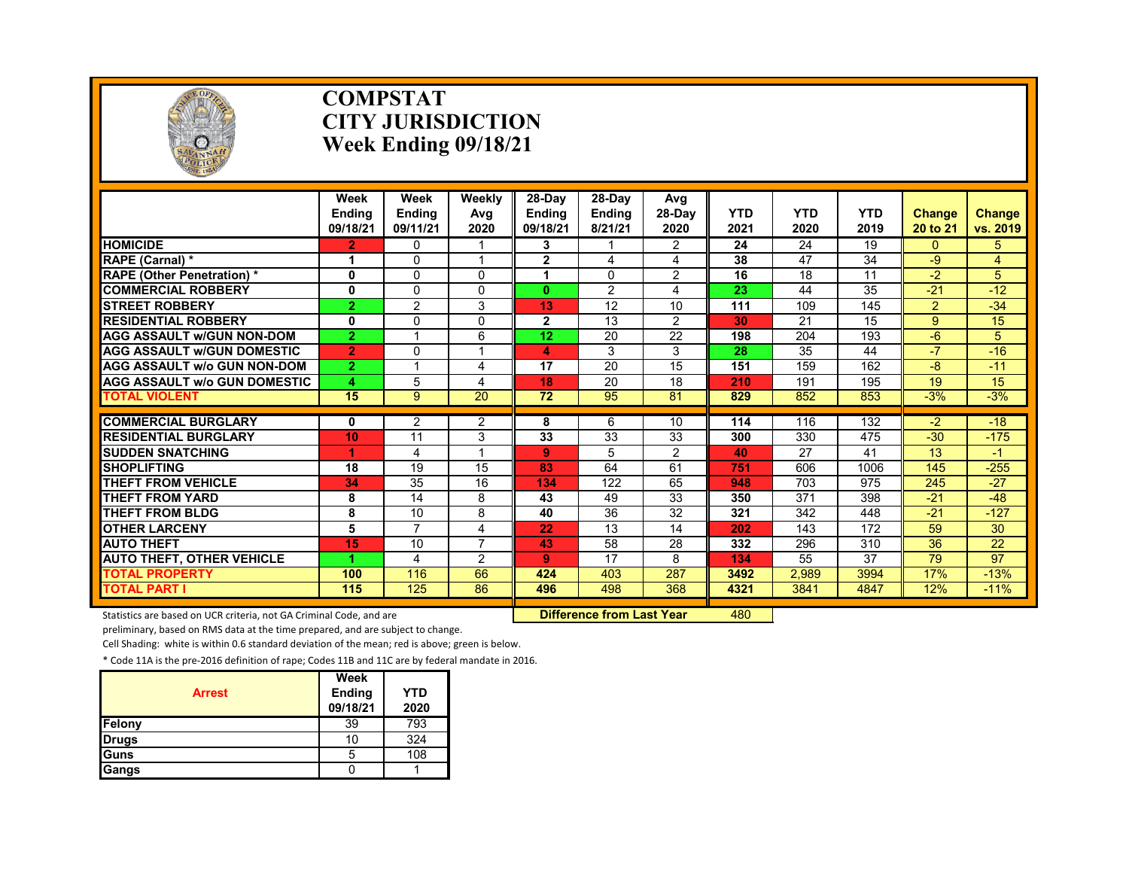

### **COMPSTAT CITY JURISDICTION Week Ending 09/18/21**

|                                     | Week<br><b>Ending</b><br>09/18/21 | Week<br><b>Endina</b><br>09/11/21 | Weekly<br>Avg<br>2020 | $28-Dav$<br><b>Endina</b><br>09/18/21 | 28-Day<br><b>Ending</b><br>8/21/21 | Avg<br>28-Dav<br>2020 | <b>YTD</b><br>2021 | <b>YTD</b><br>2020 | <b>YTD</b><br>2019 | <b>Change</b><br>20 to 21 | Change<br>vs. 2019 |
|-------------------------------------|-----------------------------------|-----------------------------------|-----------------------|---------------------------------------|------------------------------------|-----------------------|--------------------|--------------------|--------------------|---------------------------|--------------------|
| <b>HOMICIDE</b>                     | $\overline{2}$                    | 0                                 |                       | 3                                     |                                    | $\overline{2}$        | 24                 | 24                 | 19                 | $\Omega$                  | 5.                 |
| RAPE (Carnal) *                     | 1                                 | $\Omega$                          | $\overline{a}$        | $\mathbf{2}$                          | 4                                  | 4                     | 38                 | 47                 | 34                 | -9                        | 4                  |
| <b>RAPE (Other Penetration) *</b>   | 0                                 | 0                                 | $\Omega$              |                                       | 0                                  | $\overline{2}$        | 16                 | 18                 | 11                 | $-2$                      | 5                  |
| <b>COMMERCIAL ROBBERY</b>           | 0                                 | 0                                 | $\Omega$              | $\mathbf{0}$                          | 2                                  | 4                     | 23                 | 44                 | 35                 | $-21$                     | $-12$              |
| <b>STREET ROBBERY</b>               | $\overline{2}$                    | $\overline{2}$                    | 3                     | 13                                    | 12                                 | 10                    | 111                | 109                | 145                | $\overline{2}$            | $-34$              |
| <b>RESIDENTIAL ROBBERY</b>          | 0                                 | 0                                 | $\Omega$              | $\overline{2}$                        | 13                                 | $\overline{2}$        | 30                 | 21                 | 15                 | 9                         | 15                 |
| <b>AGG ASSAULT W/GUN NON-DOM</b>    | $\overline{2}$                    |                                   | 6                     | 12                                    | 20                                 | 22                    | 198                | 204                | 193                | $-6$                      | 5                  |
| <b>AGG ASSAULT W/GUN DOMESTIC</b>   | $\overline{2}$                    | 0                                 |                       | 4                                     | 3                                  | 3                     | 28                 | 35                 | 44                 | $-7$                      | $-16$              |
| <b>AGG ASSAULT W/o GUN NON-DOM</b>  | $\overline{2}$                    | 1                                 | 4                     | 17                                    | 20                                 | 15                    | 151                | 159                | 162                | -8                        | $-11$              |
| <b>AGG ASSAULT W/o GUN DOMESTIC</b> | 4                                 | 5                                 | 4                     | 18                                    | 20                                 | 18                    | 210                | 191                | 195                | 19                        | 15                 |
| <b>TOTAL VIOLENT</b>                | 15                                | 9                                 | $\overline{20}$       | $\overline{72}$                       | 95                                 | 81                    | 829                | 852                | 853                | $-3%$                     | $-3%$              |
|                                     |                                   |                                   |                       |                                       |                                    |                       |                    |                    |                    |                           |                    |
| <b>COMMERCIAL BURGLARY</b>          | 0                                 | 2                                 | 2                     | 8                                     | 6                                  | 10                    | 114                | 116                | 132                | $-2$                      | $-18$              |
| <b>RESIDENTIAL BURGLARY</b>         | 10                                | 11                                | 3                     | 33                                    | 33                                 | 33                    | 300                | 330                | 475                | $-30$                     | $-175$             |
| <b>SUDDEN SNATCHING</b>             | 1                                 | 4                                 |                       | 9                                     | 5                                  | $\overline{2}$        | 40                 | 27                 | 41                 | 13                        | -1                 |
| <b>SHOPLIFTING</b>                  | 18                                | 19                                | 15                    | 83                                    | 64                                 | 61                    | 751                | 606                | 1006               | 145                       | $-255$             |
| <b>THEFT FROM VEHICLE</b>           | 34                                | 35                                | 16                    | 134                                   | 122                                | 65                    | 948                | 703                | 975                | 245                       | $-27$              |
| <b>THEFT FROM YARD</b>              | 8                                 | 14                                | 8                     | 43                                    | 49                                 | 33                    | 350                | 371                | 398                | $-21$                     | $-48$              |
| <b>THEFT FROM BLDG</b>              | 8                                 | 10                                | 8                     | 40                                    | 36                                 | 32                    | 321                | 342                | 448                | $-21$                     | $-127$             |
| <b>OTHER LARCENY</b>                | 5                                 | $\overline{7}$                    | 4                     | 22                                    | 13                                 | 14                    | 202                | 143                | 172                | 59                        | 30                 |
| <b>AUTO THEFT</b>                   | 15                                | 10                                | $\overline{ }$        | 43                                    | 58                                 | 28                    | 332                | 296                | 310                | 36                        | 22                 |
| <b>AUTO THEFT, OTHER VEHICLE</b>    | 4                                 | 4                                 | 2                     | 9                                     | 17                                 | 8                     | 134                | 55                 | 37                 | 79                        | 97                 |
| <b>TOTAL PROPERTY</b>               | 100                               | 116                               | 66                    | 424                                   | 403                                | 287                   | 3492               | 2,989              | 3994               | 17%                       | $-13%$             |
| <b>TOTAL PART I</b>                 | 115                               | 125                               | 86                    | 496                                   | 498                                | 368                   | 4321               | 3841               | 4847               | 12%                       | $-11%$             |

Statistics are based on UCR criteria, not GA Criminal Code, and are **Difference from Last Year** 480

preliminary, based on RMS data at the time prepared, and are subject to change.

Cell Shading: white is within 0.6 standard deviation of the mean; red is above; green is below.

| <b>Arrest</b> | Week<br>Ending<br>09/18/21 | <b>YTD</b><br>2020 |
|---------------|----------------------------|--------------------|
| Felony        | 39                         | 793                |
| <b>Drugs</b>  | 10                         | 324                |
| <b>Guns</b>   | 5                          | 108                |
| Gangs         |                            |                    |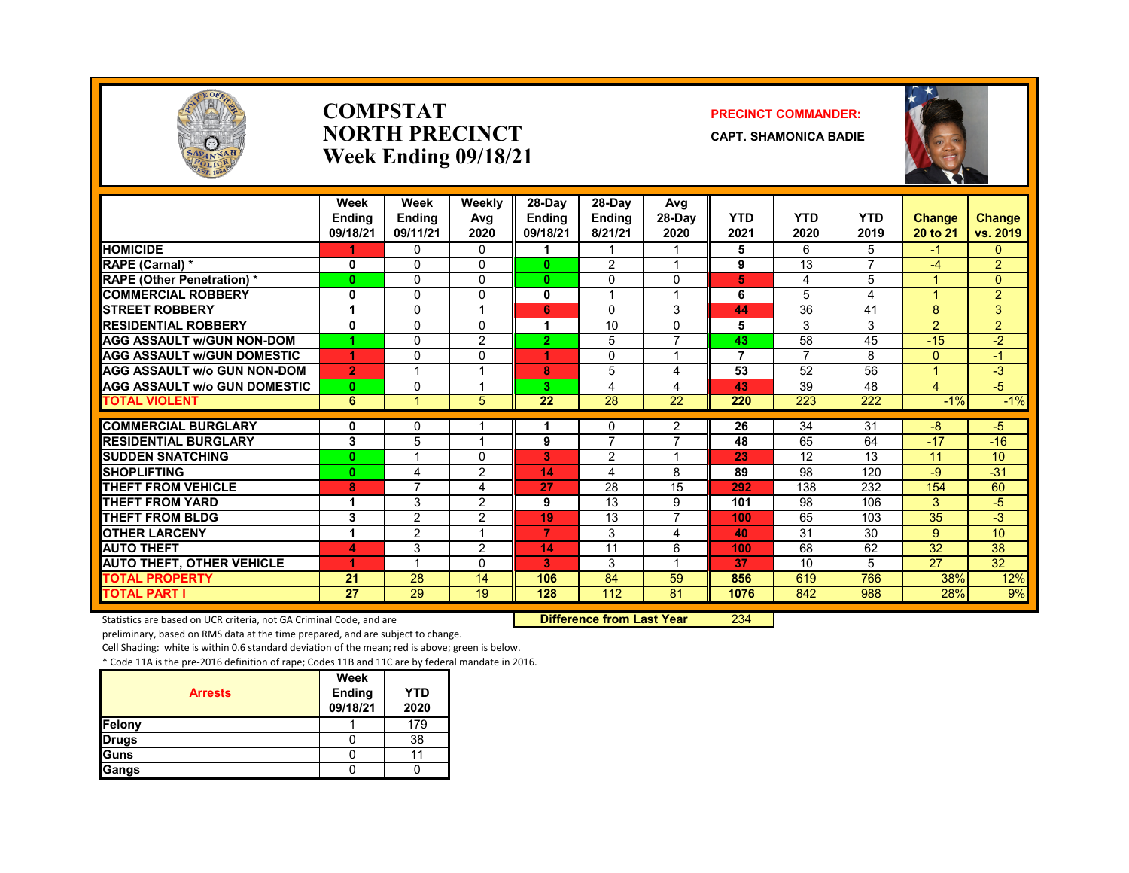

### **COMPSTATNORTH PRECINCTWeek Ending 09/18/21**

### **PRECINCT COMMANDER:**

**CAPT. SHAMONICA BADIE**



|                                     | Week<br><b>Endina</b><br>09/18/21 | Week<br><b>Endina</b><br>09/11/21 | Weekly<br>Avg<br>2020 | 28-Day<br><b>Endina</b><br>09/18/21 | $28-Dav$<br><b>Endina</b><br>8/21/21 | Avg<br>$28-Dav$<br>2020 | <b>YTD</b><br>2021 | <b>YTD</b><br>2020 | <b>YTD</b><br>2019 | <b>Change</b><br>20 to 21 | <b>Change</b><br>vs. 2019 |
|-------------------------------------|-----------------------------------|-----------------------------------|-----------------------|-------------------------------------|--------------------------------------|-------------------------|--------------------|--------------------|--------------------|---------------------------|---------------------------|
| <b>HOMICIDE</b>                     |                                   | $\mathbf{0}$                      | 0                     |                                     |                                      | 1                       | 5                  | 6                  | 5                  | $-1$                      | $\overline{0}$            |
| RAPE (Carnal) *                     | 0                                 | $\Omega$                          | 0                     | 0                                   | 2                                    | 1                       | 9                  | 13                 | $\overline{7}$     | $-4$                      | $\overline{2}$            |
| <b>RAPE (Other Penetration) *</b>   | $\bf{0}$                          | $\Omega$                          | 0                     | $\bf{0}$                            | $\mathbf{0}$                         | $\Omega$                | 5                  | 4                  | 5                  |                           | $\Omega$                  |
| <b>COMMERCIAL ROBBERY</b>           | $\mathbf 0$                       | $\Omega$                          | $\Omega$              | $\mathbf{0}$                        | $\overline{ }$                       | $\overline{1}$          | 6                  | 5                  | 4                  |                           | $\overline{2}$            |
| <b>STREET ROBBERY</b>               | 1                                 | $\Omega$                          |                       | 6                                   | $\Omega$                             | 3                       | 44                 | 36                 | 41                 | 8                         | 3                         |
| <b>RESIDENTIAL ROBBERY</b>          | 0                                 | $\mathbf{0}$                      | 0                     | 1                                   | 10                                   | $\Omega$                | 5                  | 3                  | 3                  | $\overline{2}$            | $\overline{2}$            |
| <b>AGG ASSAULT w/GUN NON-DOM</b>    |                                   | $\Omega$                          | 2                     | $\overline{2}$                      | 5                                    | $\overline{7}$          | 43                 | 58                 | 45                 | $-15$                     | $-2$                      |
| <b>AGG ASSAULT W/GUN DOMESTIC</b>   | 4                                 | $\Omega$                          | $\Omega$              | 4                                   | $\Omega$                             | $\overline{ }$          | $\overline{7}$     | $\overline{7}$     | 8                  | $\Omega$                  | $-1$                      |
| <b>AGG ASSAULT w/o GUN NON-DOM</b>  | $\overline{2}$                    |                                   |                       | 8                                   | 5                                    | 4                       | 53                 | 52                 | 56                 |                           | $-3$                      |
| <b>AGG ASSAULT w/o GUN DOMESTIC</b> | $\bf{0}$                          | $\mathbf{0}$                      |                       | 3.                                  | 4                                    | 4                       | 43                 | 39                 | 48                 | 4                         | $-5$                      |
| <b>TOTAL VIOLENT</b>                | 6                                 |                                   | 5                     | 22                                  | $\overline{28}$                      | 22                      | 220                | 223                | $\overline{222}$   | $-1%$                     | $-1%$                     |
| <b>COMMERCIAL BURGLARY</b>          | 0                                 | $\mathbf{0}$                      |                       |                                     | 0                                    | 2                       | 26                 | 34                 | 31                 | $-8$                      | $-5$                      |
| <b>RESIDENTIAL BURGLARY</b>         | 3                                 | 5                                 |                       | 9                                   | $\overline{7}$                       | $\overline{7}$          | 48                 | 65                 | 64                 | $-17$                     | $-16$                     |
| <b>SUDDEN SNATCHING</b>             | $\bf{0}$                          | $\overline{ }$                    | 0                     | 3                                   | 2                                    | $\overline{\mathbf{A}}$ | 23                 | 12                 | 13                 | 11                        | 10                        |
| <b>SHOPLIFTING</b>                  | $\bf{0}$                          | 4                                 | 2                     | 14                                  | 4                                    | 8                       | 89                 | 98                 | 120                | -9                        | $-31$                     |
| <b>THEFT FROM VEHICLE</b>           | 8                                 | $\overline{7}$                    | 4                     | 27                                  | 28                                   | 15                      | 292                | 138                | 232                | 154                       | 60                        |
| <b>THEFT FROM YARD</b>              | 1                                 | 3                                 | 2                     | 9                                   | 13                                   | 9                       | 101                | 98                 | 106                | 3                         | $-5$                      |
| THEFT FROM BLDG                     | 3                                 | $\overline{2}$                    | 2                     | 19                                  | 13                                   | 7                       | 100                | 65                 | 103                | 35                        | $-3$                      |
| <b>OTHER LARCENY</b>                | 1                                 | 2                                 |                       | 7                                   | 3                                    | 4                       | 40                 | 31                 | 30                 | 9                         | 10                        |
| <b>AUTO THEFT</b>                   | 4                                 | 3                                 | 2                     | 14                                  | 11                                   | 6                       | 100                | 68                 | 62                 | $\overline{32}$           | $\overline{38}$           |
| <b>AUTO THEFT, OTHER VEHICLE</b>    | 4                                 | $\overline{\mathbf{A}}$           | 0                     | 3                                   | 3                                    | 1                       | 37                 | 10                 | 5                  | 27                        | 32                        |
| <b>TOTAL PROPERTY</b>               | 21                                | 28                                | 14                    | 106                                 | 84                                   | 59                      | 856                | 619                | 766                | 38%                       | 12%                       |
| <b>TOTAL PART I</b>                 | 27                                | 29                                | 19                    | 128                                 | 112                                  | 81                      | 1076               | 842                | 988                | 28%                       | 9%                        |

Statistics are based on UCR criteria, not GA Criminal Code, and are **Difference from Last Year** 234

preliminary, based on RMS data at the time prepared, and are subject to change.

Cell Shading: white is within 0.6 standard deviation of the mean; red is above; green is below.

|                | Week               |                    |
|----------------|--------------------|--------------------|
| <b>Arrests</b> | Ending<br>09/18/21 | <b>YTD</b><br>2020 |
| Felony         |                    | 179                |
| <b>Drugs</b>   |                    | 38                 |
| Guns           |                    |                    |
| Gangs          |                    |                    |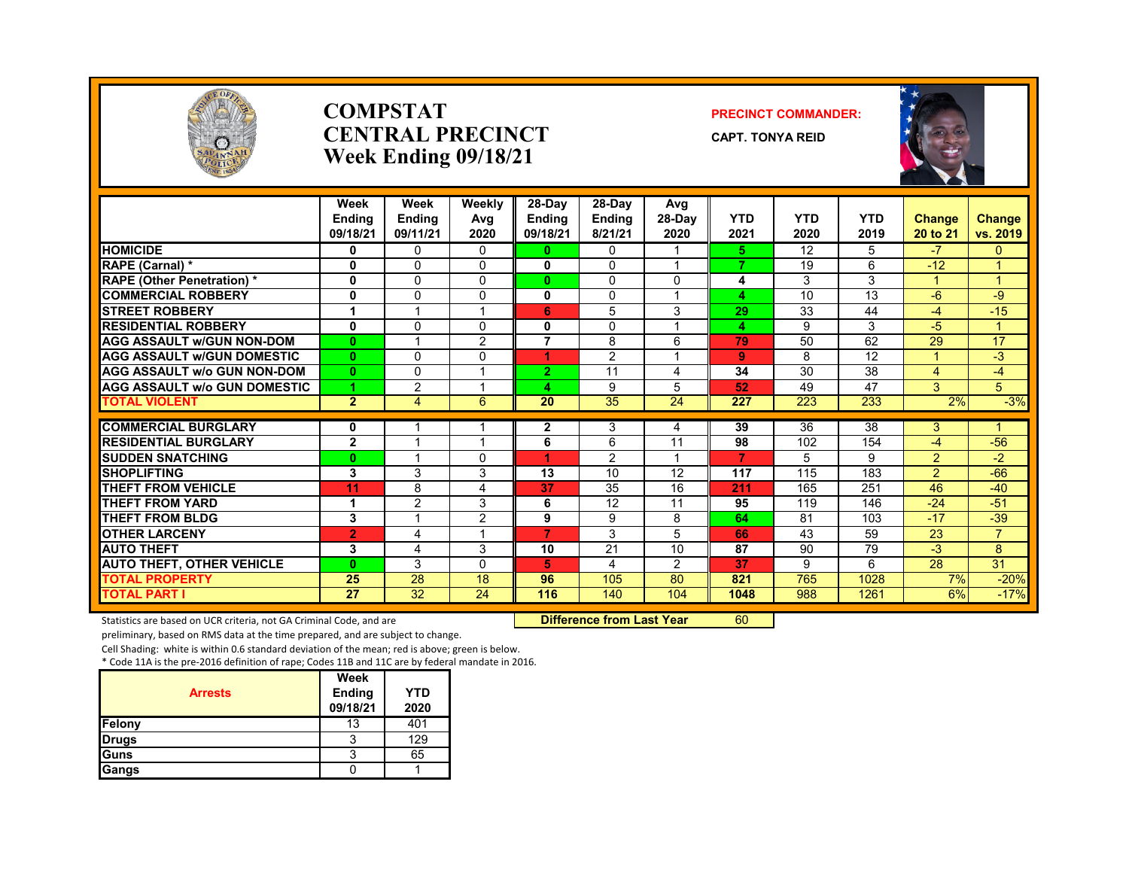

### **COMPSTATCENTRAL PRECINCTWeek Ending 09/18/21**

### **PRECINCT COMMANDER:**

**CAPT. TONYA REID**



|                                     | Week<br><b>Endina</b><br>09/18/21 | Week<br>Ending<br>09/11/21 | Weekly<br>Avg<br>2020 | 28-Day<br><b>Endina</b><br>09/18/21 | $28-Dav$<br><b>Ending</b><br>8/21/21 | Avg<br>28-Day<br>2020 | <b>YTD</b><br>2021 | <b>YTD</b><br>2020 | <b>YTD</b><br>2019 | Change<br>20 to 21      | <b>Change</b><br>vs. 2019 |
|-------------------------------------|-----------------------------------|----------------------------|-----------------------|-------------------------------------|--------------------------------------|-----------------------|--------------------|--------------------|--------------------|-------------------------|---------------------------|
| <b>HOMICIDE</b>                     | 0                                 | 0                          | 0                     | 0                                   | 0                                    | 1                     | 5                  | 12                 | 5                  | $-7$                    | 0                         |
| RAPE (Carnal) *                     | 0                                 | $\Omega$                   | 0                     | 0                                   | $\Omega$                             |                       | 7                  | 19                 | 6                  | $-12$                   |                           |
| <b>RAPE (Other Penetration) *</b>   | 0                                 | $\Omega$                   | $\Omega$              | $\bf{0}$                            | 0                                    | $\mathbf 0$           | 4                  | 3                  | 3                  |                         |                           |
| <b>COMMERCIAL ROBBERY</b>           | 0                                 | $\Omega$                   | 0                     | 0                                   | $\Omega$                             | $\overline{ }$        | 4                  | 10                 | 13                 | $-6$                    | -9                        |
| <b>ISTREET ROBBERY</b>              | 1                                 |                            |                       | 6                                   | 5                                    | 3                     | 29                 | 33                 | 44                 | -4                      | $-15$                     |
| <b>RESIDENTIAL ROBBERY</b>          | 0                                 | $\Omega$                   | 0                     | 0                                   | $\Omega$                             | $\overline{ }$        | 4                  | 9                  | 3                  | -5                      |                           |
| <b>AGG ASSAULT W/GUN NON-DOM</b>    | $\bf{0}$                          |                            | $\overline{2}$        | 7                                   | 8                                    | 6                     | 79                 | 50                 | 62                 | 29                      | 17                        |
| <b>AGG ASSAULT W/GUN DOMESTIC</b>   | $\mathbf{0}$                      | $\Omega$                   | 0                     | 4                                   | 2                                    | $\overline{ }$        | 9                  | 8                  | 12                 |                         | $-3$                      |
| <b>AGG ASSAULT w/o GUN NON-DOM</b>  | $\mathbf{0}$                      | $\mathbf{0}$               |                       | $\overline{2}$                      | 11                                   | 4                     | 34                 | 30                 | 38                 | $\overline{4}$          | -4                        |
| <b>AGG ASSAULT W/o GUN DOMESTIC</b> |                                   | $\overline{2}$             |                       | 4                                   | 9                                    | 5                     | 52                 | 49                 | 47                 | 3                       | 5                         |
| <b>TOTAL VIOLENT</b>                | $\overline{2}$                    | 4                          | 6                     | $\overline{20}$                     | $\overline{35}$                      | $\overline{24}$       | 227                | 223                | 233                | 2%                      | $-3%$                     |
| <b>COMMERCIAL BURGLARY</b>          |                                   |                            |                       |                                     |                                      |                       | 39                 | 36                 | 38                 | 3                       |                           |
| <b>RESIDENTIAL BURGLARY</b>         | 0<br>$\overline{2}$               |                            |                       | 2<br>6                              | 3<br>6                               | 4<br>11               | 98                 | 102                | 154                | $-4$                    | $-56$                     |
| <b>SUDDEN SNATCHING</b>             | $\bf{0}$                          | $\overline{\phantom{a}}$   | $\Omega$              | 4                                   | $\mathfrak{p}$                       | $\overline{1}$        | $\overline{7}$     | 5                  | 9                  | $\mathcal{P}$           | $-2$                      |
| <b>SHOPLIFTING</b>                  | 3                                 | 3                          | 3                     | 13                                  | 10                                   | 12                    |                    | 115                | 183                | $\overline{2}$          | $-66$                     |
| <b>THEFT FROM VEHICLE</b>           |                                   | 8                          | 4                     |                                     | 35                                   | 16                    | 117<br>211         | 165                | 251                | 46                      | $-40$                     |
| <b>THEFT FROM YARD</b>              | 11<br>1                           | 2                          | 3                     | 37<br>6                             | 12                                   | 11                    | 95                 | 119                | 146                | $-24$                   | $-51$                     |
| <b>THEFT FROM BLDG</b>              | 3                                 | ×,                         | $\overline{2}$        | 9                                   | 9                                    | 8                     | 64                 | 81                 | 103                | $-17$                   | $-39$                     |
| <b>OTHER LARCENY</b>                |                                   |                            |                       | 7                                   | 3                                    | 5                     | 66                 | 43                 |                    | 23                      | $\overline{7}$            |
|                                     | $\overline{2}$                    | 4                          |                       |                                     |                                      |                       |                    |                    | 59                 |                         |                           |
| <b>AUTO THEFT</b>                   | 3                                 | 4                          | 3                     | 10                                  | 21                                   | 10                    | 87                 | 90                 | 79                 | $-3$<br>$\overline{28}$ | 8<br>$\overline{31}$      |
| <b>AUTO THEFT, OTHER VEHICLE</b>    | $\bf{0}$                          | 3                          | $\Omega$              | 5                                   | 4                                    | 2                     | 37                 | 9                  | 6                  |                         |                           |
| <b>TOTAL PROPERTY</b>               | 25                                | 28                         | 18                    | 96                                  | 105                                  | 80                    | 821                | 765                | 1028               | 7%                      | $-20%$                    |
| <b>TOTAL PART I</b>                 | 27                                | 32                         | 24                    | 116                                 | 140                                  | 104                   | 1048               | 988                | 1261               | 6%                      | $-17%$                    |

Statistics are based on UCR criteria, not GA Criminal Code, and are **Difference from Last Year 60** 

preliminary, based on RMS data at the time prepared, and are subject to change.

Cell Shading: white is within 0.6 standard deviation of the mean; red is above; green is below.

| <b>Arrests</b> | Week<br>Ending<br>09/18/21 | YTD<br>2020 |
|----------------|----------------------------|-------------|
| Felony         | 13                         | 401         |
| <b>Drugs</b>   | 3                          | 129         |
| Guns           | 3                          | 65          |
| Gangs          |                            |             |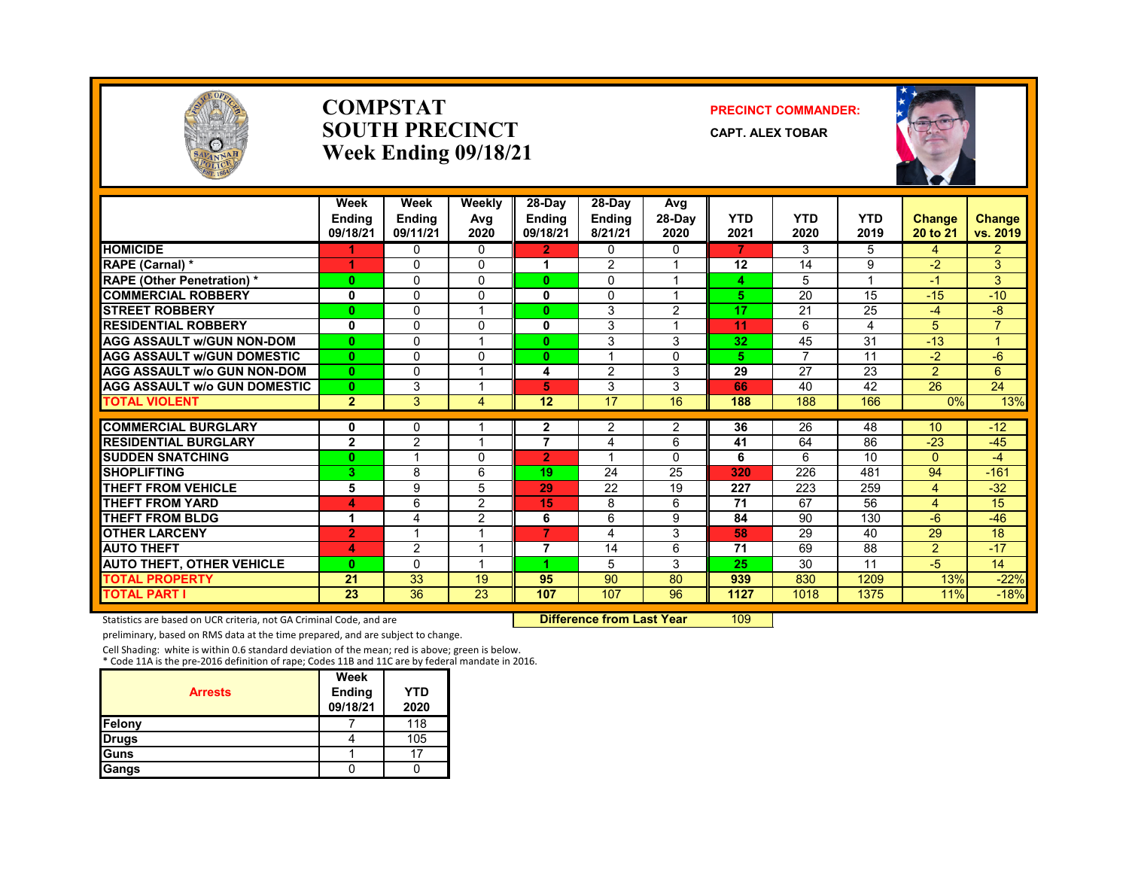

### **COMPSTATSOUTH PRECINCTWeek Ending 09/18/21**

### **PRECINCT COMMANDER:**

**CAPT. ALEX TOBAR**



|                                     | Week<br><b>Endina</b><br>09/18/21 | Week<br><b>Endina</b><br>09/11/21 | Weekly<br>Avg<br>2020 | 28-Day<br><b>Endina</b><br>09/18/21 | $28-Dav$<br><b>Endina</b><br>8/21/21 | Avg<br>28-Day<br>2020 | <b>YTD</b><br>2021 | <b>YTD</b><br>2020 | <b>YTD</b><br>2019 | Change<br>20 to 21 | <b>Change</b><br>vs. 2019 |
|-------------------------------------|-----------------------------------|-----------------------------------|-----------------------|-------------------------------------|--------------------------------------|-----------------------|--------------------|--------------------|--------------------|--------------------|---------------------------|
| <b>HOMICIDE</b>                     |                                   | $\Omega$                          | $\Omega$              | $\overline{2}$                      | 0                                    | 0                     | 7                  | 3                  | 5                  | 4                  | $\overline{2}$            |
| RAPE (Carnal) *                     |                                   | <sup>0</sup>                      | 0                     |                                     | 2                                    |                       | 12                 | 14                 | 9                  | $-2$               | 3                         |
| <b>RAPE (Other Penetration)*</b>    | $\bf{0}$                          | 0                                 | $\Omega$              | $\mathbf{0}$                        | $\Omega$                             |                       | 4                  | 5                  |                    | $-1$               | 3                         |
| <b>COMMERCIAL ROBBERY</b>           | 0                                 | $\Omega$                          | 0                     | 0                                   | 0                                    | $\overline{ }$        | 5                  | 20                 | 15                 | $-15$              | $-10$                     |
| <b>STREET ROBBERY</b>               | $\bf{0}$                          | $\Omega$                          |                       | 0                                   | 3                                    | $\overline{2}$        | 17                 | 21                 | 25                 | $-4$               | -8                        |
| <b>RESIDENTIAL ROBBERY</b>          | $\bf{0}$                          | $\Omega$                          | 0                     | 0                                   | 3                                    | 1                     | 11                 | 6                  | 4                  | 5                  | $\overline{7}$            |
| <b>AGG ASSAULT W/GUN NON-DOM</b>    | $\bf{0}$                          | $\Omega$                          |                       | 0                                   | 3                                    | 3                     | 32                 | 45                 | 31                 | $-13$              |                           |
| <b>AGG ASSAULT W/GUN DOMESTIC</b>   | $\bf{0}$                          | $\Omega$                          | 0                     | $\mathbf{0}$                        |                                      | 0                     | 5                  | $\overline{7}$     | 11                 | $-2$               | $-6$                      |
| <b>AGG ASSAULT w/o GUN NON-DOM</b>  | $\bf{0}$                          | $\Omega$                          | 1                     | 4                                   | 2                                    | 3                     | 29                 | 27                 | 23                 | $\overline{2}$     | 6                         |
| <b>AGG ASSAULT w/o GUN DOMESTIC</b> | $\bf{0}$                          | 3                                 |                       | 5                                   | 3                                    | 3                     | 66                 | 40                 | 42                 | 26                 | 24                        |
| <b>TOTAL VIOLENT</b>                | $\overline{2}$                    | 3                                 | 4                     | 12                                  | 17                                   | 16                    | 188                | 188                | 166                | 0%                 | 13%                       |
| <b>COMMERCIAL BURGLARY</b>          | 0                                 | $\Omega$                          |                       | $\mathbf{2}$                        | 2                                    | $\overline{2}$        | 36                 | 26                 | 48                 | 10                 | $-12$                     |
| <b>RESIDENTIAL BURGLARY</b>         | $\mathbf{2}$                      | $\overline{2}$                    |                       | 7                                   | 4                                    | 6                     | 41                 | 64                 | 86                 | $-23$              | $-45$                     |
| <b>SUDDEN SNATCHING</b>             | $\bf{0}$                          |                                   | 0                     | $\overline{2}$                      | $\overline{\mathbf{A}}$              | $\Omega$              | 6                  | 6                  | 10                 | $\Omega$           | $-4$                      |
| <b>SHOPLIFTING</b>                  | 3                                 | 8                                 | 6                     | 19                                  | 24                                   | 25                    | 320                | 226                | 481                | 94                 | $-161$                    |
| THEFT FROM VEHICLE                  | 5                                 | 9                                 | 5                     | 29                                  | 22                                   | 19                    | 227                | 223                | 259                | 4                  | $-32$                     |
| <b>THEFT FROM YARD</b>              | 4                                 | 6                                 | $\overline{2}$        | 15                                  | 8                                    | 6                     | 71                 | 67                 | 56                 | 4                  | 15                        |
| <b>THEFT FROM BLDG</b>              | 1                                 | 4                                 | 2                     | 6                                   | 6                                    | 9                     | 84                 | 90                 | 130                | $-6$               | $-46$                     |
| <b>OTHER LARCENY</b>                | $\overline{2}$                    |                                   |                       | $\overline{7}$                      | 4                                    | 3                     | 58                 | 29                 | 40                 | 29                 | 18                        |
| <b>AUTO THEFT</b>                   | 4                                 | $\overline{2}$                    | 1                     | $\overline{7}$                      | 14                                   | 6                     | 71                 | 69                 | 88                 | $\overline{2}$     | $-17$                     |
| <b>AUTO THEFT, OTHER VEHICLE</b>    | $\bf{0}$                          | $\Omega$                          |                       |                                     | 5                                    | 3                     | 25                 | 30                 | 11                 | -5                 | 14                        |
| <b>TOTAL PROPERTY</b>               | 21                                | 33                                | 19                    | 95                                  | 90                                   | 80                    | 939                | 830                | 1209               | 13%                | $-22%$                    |
| <b>TOTAL PART I</b>                 | 23                                | 36                                | 23                    | 107                                 | 107                                  | 96                    | 1127               | 1018               | 1375               | 11%                | $-18%$                    |

Statistics are based on UCR criteria, not GA Criminal Code, and are **Difference from Last Year** 109

preliminary, based on RMS data at the time prepared, and are subject to change.

Cell Shading: white is within 0.6 standard deviation of the mean; red is above; green is below. \* Code 11A is the pre‐2016 definition of rape; Codes 11B and 11C are by federal mandate in 2016.

| <b>Arrests</b> | Week<br>Ending<br>09/18/21 | <b>YTD</b><br>2020 |
|----------------|----------------------------|--------------------|
| Felony         |                            | 118                |
| <b>Drugs</b>   |                            | 105                |
| Guns           |                            |                    |
| Gangs          |                            |                    |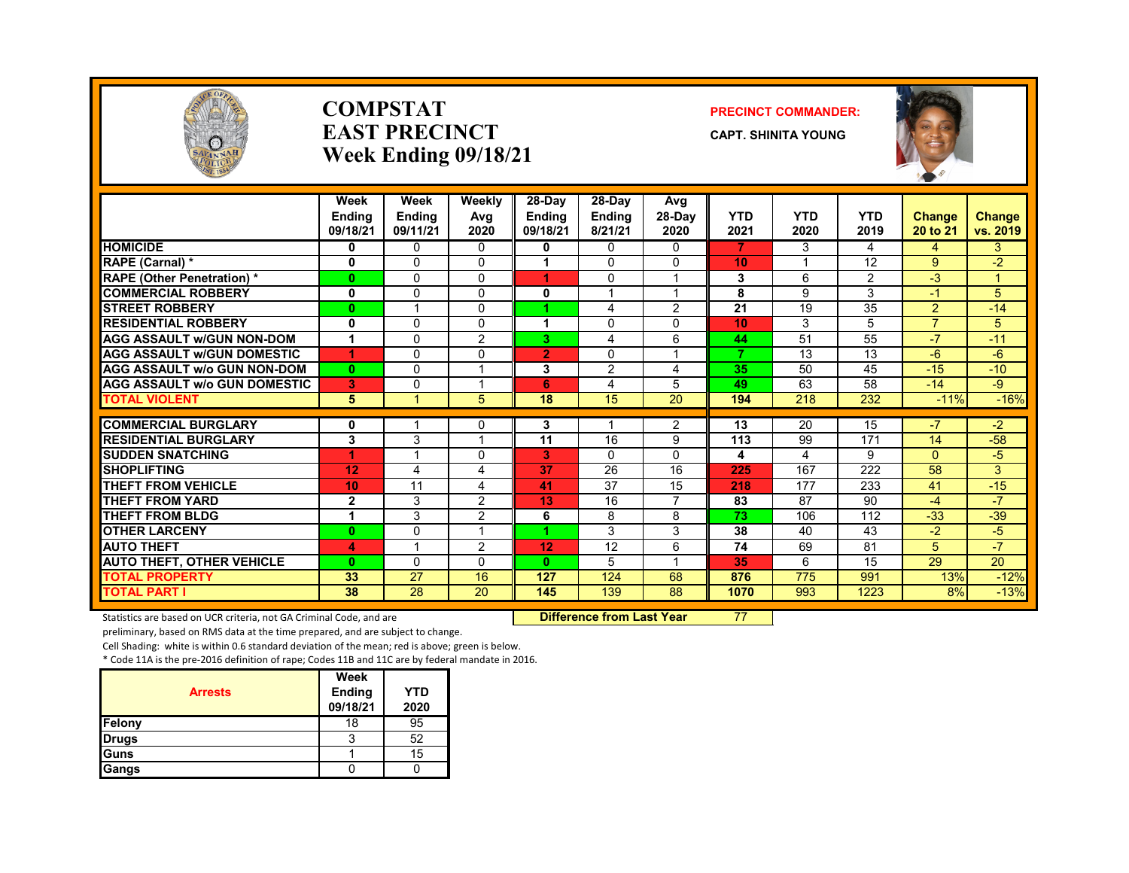

### **COMPSTATEAST PRECINCTWeek Ending 09/18/21**

### **PRECINCT COMMANDER:**

**CAPT. SHINITA YOUNG**



|                                    | Week<br><b>Endina</b><br>09/18/21 | Week<br><b>Endina</b><br>09/11/21 | Weekly<br>Avg<br>2020 | $28-Day$<br>Ending<br>09/18/21 | 28-Day<br><b>Ending</b><br>8/21/21 | Avg<br>$28-Dav$<br>2020 | YTD<br>2021              | <b>YTD</b><br>2020 | <b>YTD</b><br>2019 | <b>Change</b><br>20 to 21 | Change<br>vs. 2019 |
|------------------------------------|-----------------------------------|-----------------------------------|-----------------------|--------------------------------|------------------------------------|-------------------------|--------------------------|--------------------|--------------------|---------------------------|--------------------|
| <b>HOMICIDE</b>                    | 0                                 | $\Omega$                          | $\Omega$              | 0                              | 0                                  | 0                       | 7                        | 3                  | 4                  | 4                         | 3                  |
| <b>RAPE (Carnal) *</b>             | 0                                 | $\Omega$                          | 0                     |                                | $\Omega$                           | $\Omega$                | 10                       |                    | 12                 | 9                         | $-2$               |
| <b>RAPE (Other Penetration)</b> *  | $\mathbf{0}$                      | $\Omega$                          | $\mathbf{0}$          |                                | $\Omega$                           | 4                       | 3                        | 6                  | 2                  | $-3$                      |                    |
| <b>COMMERCIAL ROBBERY</b>          | $\mathbf 0$                       | $\Omega$                          | $\Omega$              | 0                              |                                    | $\overline{ }$          | 8                        | 9                  | 3                  | -1                        | 5                  |
| <b>STREET ROBBERY</b>              | $\mathbf{0}$                      | 1                                 | 0                     |                                | 4                                  | 2                       | 21                       | 19                 | 35                 | $\overline{2}$            | $-14$              |
| <b>RESIDENTIAL ROBBERY</b>         | 0                                 | 0                                 | 0                     |                                | $\mathbf{0}$                       | $\Omega$                | 10                       | 3                  | 5                  | $\overline{7}$            | 5                  |
| <b>AGG ASSAULT w/GUN NON-DOM</b>   | 1                                 | $\Omega$                          | 2                     | 3                              | 4                                  | 6                       | 44                       | 51                 | 55                 | $-7$                      | $-11$              |
| <b>AGG ASSAULT W/GUN DOMESTIC</b>  |                                   | $\Omega$                          | $\Omega$              | $\overline{2}$                 | $\mathbf{0}$                       | 1                       | $\overline{\phantom{a}}$ | 13                 | 13                 | $-6$                      | $-6$               |
| <b>AGG ASSAULT w/o GUN NON-DOM</b> | $\mathbf{0}$                      | $\Omega$                          | и                     | 3                              | 2                                  | 4                       | 35                       | 50                 | 45                 | $-15$                     | $-10$              |
| AGG ASSAULT w/o GUN DOMESTIC       | 3                                 | 0                                 |                       | 6                              | 4                                  | 5                       | 49                       | 63                 | 58                 | $-14$                     | $-9$               |
| <b>TOTAL VIOLENT</b>               | $5\phantom{1}$                    | 1                                 | 5                     | 18                             | 15                                 | 20                      | 194                      | 218                | 232                | $-11%$                    | $-16%$             |
| <b>COMMERCIAL BURGLARY</b>         | 0                                 | 1                                 | 0                     | 3                              | 1                                  | 2                       | 13                       | 20                 | 15                 | $-7$                      | $-2$               |
| <b>RESIDENTIAL BURGLARY</b>        | 3                                 | 3                                 |                       | 11                             | 16                                 | 9                       | 113                      | 99                 | 171                | 14                        | $-58$              |
| <b>SUDDEN SNATCHING</b>            | 1                                 |                                   | 0                     | 3                              | 0                                  | $\Omega$                | 4                        | 4                  | 9                  | $\Omega$                  | $-5$               |
| <b>SHOPLIFTING</b>                 | 12                                | 4                                 | 4                     | 37                             | 26                                 | 16                      | 225                      | 167                | 222                | 58                        | 3                  |
| <b>THEFT FROM VEHICLE</b>          | 10                                | 11                                | 4                     | 41                             | 37                                 | 15                      | 218                      | 177                | 233                | 41                        | $-15$              |
| <b>THEFT FROM YARD</b>             | $\mathbf{2}$                      | 3                                 | 2                     | 13                             | 16                                 | 7                       | 83                       | 87                 | 90                 | $-4$                      | $-7$               |
| <b>THEFT FROM BLDG</b>             | 1                                 | 3                                 | 2                     | 6                              | 8                                  | 8                       | 73                       | 106                | 112                | $-33$                     | $-39$              |
| <b>OTHER LARCENY</b>               | $\mathbf{0}$                      | $\Omega$                          | 1                     | и                              | 3                                  | 3                       | 38                       | 40                 | 43                 | $-2$                      | $-5$               |
| <b>AUTO THEFT</b>                  | 4                                 | 1                                 | 2                     | 12                             | 12                                 | 6                       | 74                       | 69                 | 81                 | 5                         | $-7$               |
| <b>AUTO THEFT, OTHER VEHICLE</b>   | $\mathbf{0}$                      | $\Omega$                          | 0                     | $\mathbf{0}$                   | 5                                  | $\overline{\mathbf{A}}$ | 35                       | 6                  | 15                 | 29                        | 20                 |
| <b>TOTAL PROPERTY</b>              | 33                                | 27                                | 16                    | 127                            | 124                                | 68                      | 876                      | 775                | 991                | 13%                       | $-12%$             |
| <b>TOTAL PART I</b>                | 38                                | 28                                | 20                    | 145                            | 139                                | 88                      | 1070                     | 993                | 1223               | 8%                        | $-13%$             |

Statistics are based on UCR criteria, not GA Criminal Code, and are **Difference from Last Year** 77

preliminary, based on RMS data at the time prepared, and are subject to change.

Cell Shading: white is within 0.6 standard deviation of the mean; red is above; green is below.

|                | Week          |            |
|----------------|---------------|------------|
| <b>Arrests</b> | <b>Ending</b> | <b>YTD</b> |
|                | 09/18/21      | 2020       |
| Felony         | 18            | 95         |
| <b>Drugs</b>   |               | 52         |
| Guns           |               | 15         |
| Gangs          |               |            |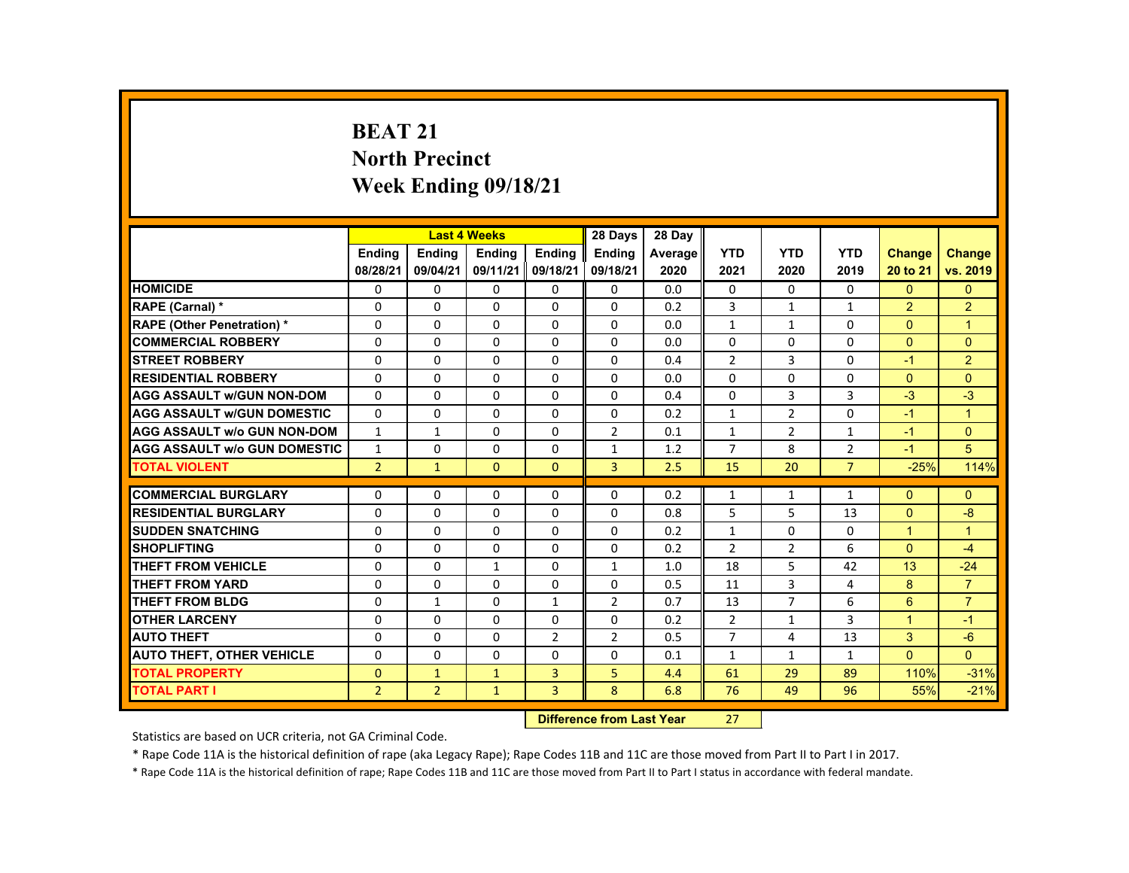# **BEAT 21 North Precinct Week Ending 09/18/21**

|                                     |                |                | <b>Last 4 Weeks</b> |                | 28 Days        | 28 Day  |                |                |                |                      |                      |
|-------------------------------------|----------------|----------------|---------------------|----------------|----------------|---------|----------------|----------------|----------------|----------------------|----------------------|
|                                     | <b>Endina</b>  | <b>Endina</b>  | <b>Endina</b>       | <b>Endina</b>  | <b>Endina</b>  | Average | <b>YTD</b>     | <b>YTD</b>     | <b>YTD</b>     | <b>Change</b>        | <b>Change</b>        |
|                                     | 08/28/21       | 09/04/21       | 09/11/21            | 09/18/21       | 09/18/21       | 2020    | 2021           | 2020           | 2019           | 20 to 21             | vs. 2019             |
| <b>HOMICIDE</b>                     | 0              | $\Omega$       | $\Omega$            | $\Omega$       | 0              | 0.0     | 0              | $\Omega$       | 0              | $\Omega$             | $\mathbf{0}$         |
| RAPE (Carnal) *                     | $\Omega$       | $\Omega$       | $\Omega$            | $\Omega$       | 0              | 0.2     | 3              | $\mathbf{1}$   | $\mathbf{1}$   | $\overline{2}$       | $\overline{2}$       |
| <b>RAPE (Other Penetration) *</b>   | $\Omega$       | $\Omega$       | $\Omega$            | $\Omega$       | $\Omega$       | 0.0     | $\mathbf{1}$   | $\mathbf{1}$   | $\Omega$       | $\Omega$             | $\blacktriangleleft$ |
| <b>COMMERCIAL ROBBERY</b>           | $\Omega$       | $\Omega$       | $\Omega$            | $\Omega$       | $\Omega$       | 0.0     | $\Omega$       | $\Omega$       | $\Omega$       | $\Omega$             | $\Omega$             |
| <b>STREET ROBBERY</b>               | $\Omega$       | $\Omega$       | $\Omega$            | $\Omega$       | $\Omega$       | 0.4     | $\overline{2}$ | $\overline{3}$ | $\Omega$       | $-1$                 | $\overline{2}$       |
| <b>RESIDENTIAL ROBBERY</b>          | $\Omega$       | $\Omega$       | $\Omega$            | $\Omega$       | $\Omega$       | 0.0     | $\Omega$       | $\Omega$       | $\Omega$       | $\Omega$             | $\Omega$             |
| <b>AGG ASSAULT W/GUN NON-DOM</b>    | $\Omega$       | $\Omega$       | $\Omega$            | $\Omega$       | $\Omega$       | 0.4     | $\Omega$       | 3              | 3              | $-3$                 | $-3$                 |
| <b>AGG ASSAULT w/GUN DOMESTIC</b>   | $\Omega$       | $\Omega$       | $\Omega$            | $\Omega$       | $\Omega$       | 0.2     | $\mathbf{1}$   | $\overline{2}$ | $\Omega$       | $-1$                 | $\blacktriangleleft$ |
| <b>AGG ASSAULT w/o GUN NON-DOM</b>  | $\mathbf{1}$   | $\mathbf{1}$   | $\Omega$            | $\Omega$       | $\overline{2}$ | 0.1     | $\mathbf{1}$   | $\overline{2}$ | $\mathbf{1}$   | $-1$                 | $\Omega$             |
| <b>AGG ASSAULT W/o GUN DOMESTIC</b> | $\mathbf{1}$   | $\Omega$       | $\Omega$            | $\Omega$       | $\mathbf{1}$   | 1.2     | $\overline{7}$ | 8              | $\overline{2}$ | $-1$                 | 5                    |
| <b>TOTAL VIOLENT</b>                | $\overline{2}$ | $\mathbf{1}$   | $\Omega$            | $\Omega$       | $\overline{3}$ | 2.5     | 15             | 20             | $\overline{7}$ | $-25%$               | 114%                 |
|                                     |                |                |                     |                |                |         |                |                |                |                      |                      |
| <b>COMMERCIAL BURGLARY</b>          | $\Omega$       | $\Omega$       | $\Omega$            | $\Omega$       | $\Omega$       | 0.2     | $\mathbf{1}$   | $\mathbf{1}$   | $\mathbf{1}$   | $\Omega$             | $\Omega$             |
| <b>RESIDENTIAL BURGLARY</b>         | $\Omega$       | $\Omega$       | $\Omega$            | $\Omega$       | $\Omega$       | 0.8     | 5              | 5              | 13             | $\Omega$             | -8                   |
| <b>SUDDEN SNATCHING</b>             | $\Omega$       | $\Omega$       | $\Omega$            | $\Omega$       | $\Omega$       | 0.2     | $\mathbf{1}$   | $\Omega$       | $\Omega$       | $\overline{1}$       | $\overline{1}$       |
| <b>SHOPLIFTING</b>                  | $\Omega$       | $\Omega$       | $\Omega$            | $\Omega$       | $\Omega$       | 0.2     | $\overline{2}$ | $\overline{2}$ | 6              | $\Omega$             | $-4$                 |
| THEFT FROM VEHICLE                  | $\Omega$       | $\Omega$       | $\mathbf{1}$        | $\Omega$       | $\mathbf{1}$   | 1.0     | 18             | 5              | 42             | 13                   | $-24$                |
| <b>THEFT FROM YARD</b>              | 0              | $\Omega$       | $\Omega$            | 0              | 0              | 0.5     | 11             | 3              | 4              | 8                    | $\overline{7}$       |
| <b>THEFT FROM BLDG</b>              | $\Omega$       | $\mathbf{1}$   | $\Omega$            | $\mathbf{1}$   | 2              | 0.7     | 13             | $\overline{7}$ | 6              | 6                    | $\overline{7}$       |
| <b>OTHER LARCENY</b>                | $\Omega$       | $\Omega$       | $\Omega$            | $\Omega$       | $\Omega$       | 0.2     | $\overline{2}$ | $\mathbf{1}$   | 3              | $\blacktriangleleft$ | $-1$                 |
| <b>AUTO THEFT</b>                   | $\Omega$       | $\Omega$       | $\Omega$            | $\overline{2}$ | $\overline{2}$ | 0.5     | $\overline{7}$ | 4              | 13             | 3                    | $-6$                 |
| <b>AUTO THEFT, OTHER VEHICLE</b>    | $\Omega$       | $\Omega$       | $\Omega$            | $\Omega$       | $\Omega$       | 0.1     | $\mathbf{1}$   | $\mathbf{1}$   | $\mathbf{1}$   | $\Omega$             | $\Omega$             |
| <b>TOTAL PROPERTY</b>               | $\Omega$       | $\mathbf{1}$   | $\mathbf{1}$        | $\overline{3}$ | 5              | 4.4     | 61             | 29             | 89             | 110%                 | $-31%$               |
| <b>TOTAL PART I</b>                 | $\overline{2}$ | $\overline{2}$ | $\mathbf{1}$        | $\overline{3}$ | 8              | 6.8     | 76             | 49             | 96             | 55%                  | $-21%$               |
|                                     |                |                |                     |                |                |         |                |                |                |                      |                      |

#### **Difference from Last Year**r 27

Statistics are based on UCR criteria, not GA Criminal Code.

\* Rape Code 11A is the historical definition of rape (aka Legacy Rape); Rape Codes 11B and 11C are those moved from Part II to Part I in 2017.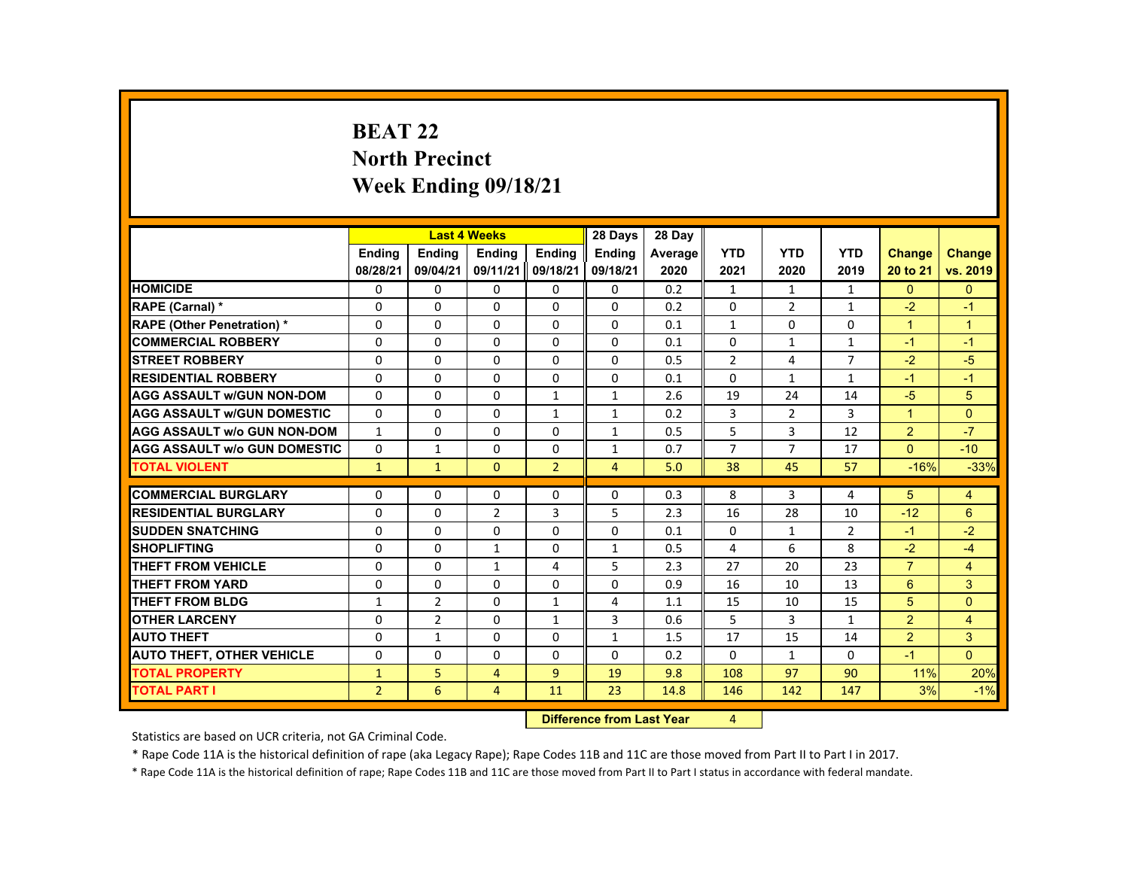# **BEAT 22 North Precinct Week Ending 09/18/21**

|                                     |                |                                  | <b>Last 4 Weeks</b> |                | 28 Days        | 28 Day  |                |                |                |                |                |
|-------------------------------------|----------------|----------------------------------|---------------------|----------------|----------------|---------|----------------|----------------|----------------|----------------|----------------|
|                                     | <b>Endina</b>  | <b>Endina</b>                    | <b>Endina</b>       | <b>Endina</b>  | <b>Endina</b>  | Average | <b>YTD</b>     | <b>YTD</b>     | <b>YTD</b>     | Change         | Change         |
|                                     | 08/28/21       | 09/04/21                         | 09/11/21            | 09/18/21       | 09/18/21       | 2020    | 2021           | 2020           | 2019           | 20 to 21       | vs. 2019       |
| <b>HOMICIDE</b>                     | 0              | 0                                | 0                   | 0              | 0              | 0.2     | $\mathbf{1}$   | $\mathbf{1}$   | $\mathbf{1}$   | $\mathbf{0}$   | $\mathbf{0}$   |
| RAPE (Carnal) *                     | $\Omega$       | $\Omega$                         | $\Omega$            | $\Omega$       | $\Omega$       | 0.2     | $\Omega$       | $\overline{2}$ | $\mathbf{1}$   | $-2$           | $-1$           |
| <b>RAPE (Other Penetration) *</b>   | 0              | $\Omega$                         | $\Omega$            | $\Omega$       | $\Omega$       | 0.1     | $\mathbf{1}$   | 0              | $\Omega$       | $\mathbf{1}$   | $\overline{1}$ |
| <b>COMMERCIAL ROBBERY</b>           | $\Omega$       | $\Omega$                         | $\Omega$            | $\Omega$       | $\Omega$       | 0.1     | $\Omega$       | $\mathbf{1}$   | $\mathbf{1}$   | $-1$           | $-1$           |
| <b>STREET ROBBERY</b>               | $\Omega$       | $\Omega$                         | $\Omega$            | $\Omega$       | $\Omega$       | 0.5     | $\overline{2}$ | 4              | $\overline{7}$ | $-2$           | $-5$           |
| <b>RESIDENTIAL ROBBERY</b>          | $\mathbf{0}$   | $\Omega$                         | 0                   | $\Omega$       | 0              | 0.1     | $\Omega$       | $\mathbf{1}$   | $\mathbf{1}$   | $-1$           | $-1$           |
| <b>AGG ASSAULT w/GUN NON-DOM</b>    | $\Omega$       | $\Omega$                         | $\Omega$            | $\mathbf{1}$   | $\mathbf{1}$   | 2.6     | 19             | 24             | 14             | $-5$           | 5              |
| <b>AGG ASSAULT W/GUN DOMESTIC</b>   | $\Omega$       | $\Omega$                         | $\Omega$            | $\mathbf{1}$   | $\mathbf{1}$   | 0.2     | 3              | $\overline{2}$ | $\overline{3}$ | $\mathbf{1}$   | $\Omega$       |
| <b>AGG ASSAULT W/o GUN NON-DOM</b>  | $\mathbf{1}$   | $\Omega$                         | $\Omega$            | $\Omega$       | $\mathbf{1}$   | 0.5     | 5              | 3              | 12             | $\overline{2}$ | $-7$           |
| <b>AGG ASSAULT W/o GUN DOMESTIC</b> | $\Omega$       | 1                                | $\Omega$            | 0              | $\mathbf{1}$   | 0.7     | $\overline{7}$ | $\overline{7}$ | 17             | $\Omega$       | $-10$          |
| <b>TOTAL VIOLENT</b>                | $\mathbf{1}$   | $\mathbf{1}$                     | $\Omega$            | $\overline{2}$ | $\overline{4}$ | 5.0     | 38             | 45             | 57             | $-16%$         | $-33%$         |
| <b>COMMERCIAL BURGLARY</b>          | $\Omega$       | $\Omega$                         | $\Omega$            | $\Omega$       | $\Omega$       | 0.3     | 8              | 3              | 4              | 5              | 4              |
| <b>RESIDENTIAL BURGLARY</b>         |                |                                  |                     |                |                |         |                |                |                | $-12$          |                |
| <b>SUDDEN SNATCHING</b>             | 0              | $\mathbf{0}$                     | $\overline{2}$      | 3              | 5              | 2.3     | 16             | 28             | 10             |                | 6              |
| <b>SHOPLIFTING</b>                  | $\Omega$       | $\Omega$                         | $\Omega$            | $\Omega$       | $\Omega$       | 0.1     | $\Omega$       | $\mathbf{1}$   | $\overline{2}$ | $-1$           | $-2$           |
|                                     | $\Omega$       | $\Omega$                         | $\mathbf{1}$        | $\Omega$       | $\mathbf{1}$   | 0.5     | 4              | 6              | 8              | $-2$           | $-4$           |
| <b>THEFT FROM VEHICLE</b>           | $\Omega$       | $\Omega$                         | 1                   | 4              | 5              | 2.3     | 27             | 20             | 23             | $\overline{7}$ | 4              |
| <b>THEFT FROM YARD</b>              | $\Omega$       | $\Omega$                         | $\Omega$            | $\Omega$       | $\Omega$       | 0.9     | 16             | 10             | 13             | $6\phantom{1}$ | 3              |
| <b>THEFT FROM BLDG</b>              | $\mathbf{1}$   | $\overline{2}$                   | $\Omega$            | $\mathbf{1}$   | 4              | 1.1     | 15             | 10             | 15             | 5              | $\Omega$       |
| <b>OTHER LARCENY</b>                | $\Omega$       | $\overline{2}$                   | $\Omega$            | $\mathbf{1}$   | $\overline{3}$ | 0.6     | 5              | 3              | $\mathbf{1}$   | $\overline{2}$ | $\overline{4}$ |
| <b>AUTO THEFT</b>                   | $\Omega$       | $\mathbf{1}$                     | $\Omega$            | $\Omega$       | $\mathbf{1}$   | 1.5     | 17             | 15             | 14             | $\overline{2}$ | 3              |
| <b>AUTO THEFT, OTHER VEHICLE</b>    | $\Omega$       | $\Omega$                         | $\Omega$            | $\Omega$       | $\Omega$       | 0.2     | $\Omega$       | $\mathbf{1}$   | $\Omega$       | $-1$           | $\mathbf{0}$   |
| <b>TOTAL PROPERTY</b>               | $\mathbf{1}$   | 5                                | $\overline{4}$      | $\overline{9}$ | 19             | 9.8     | 108            | 97             | 90             | 11%            | 20%            |
| <b>TOTAL PART I</b>                 | 2 <sup>1</sup> | 6                                | $\overline{4}$      | 11             | 23             | 14.8    | 146            | 142            | 147            | 3%             | $-1%$          |
|                                     |                | <b>Difference from Last Year</b> |                     | 4              |                |         |                |                |                |                |                |

### **Difference from Last Year** 4

Statistics are based on UCR criteria, not GA Criminal Code.

\* Rape Code 11A is the historical definition of rape (aka Legacy Rape); Rape Codes 11B and 11C are those moved from Part II to Part I in 2017.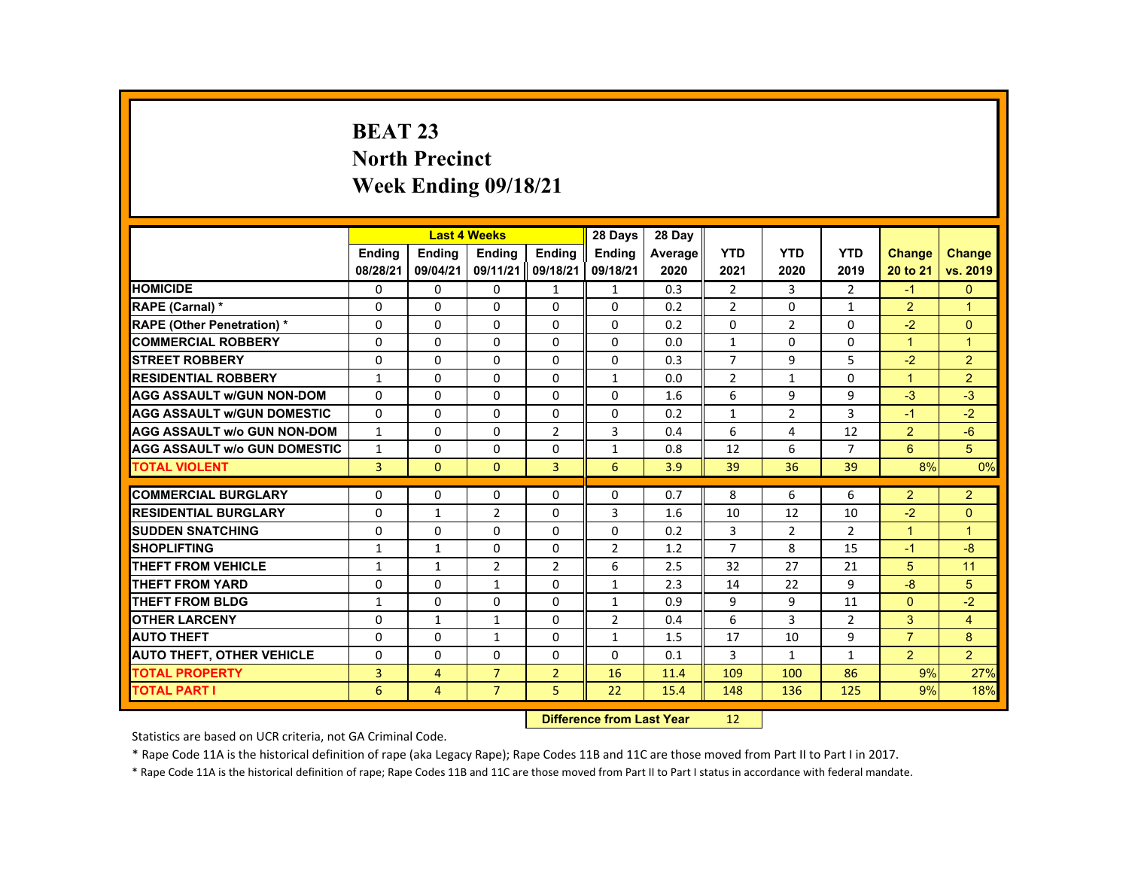# **BEAT 23 North Precinct Week Ending 09/18/21**

|                                     |                |                | <b>Last 4 Weeks</b> |                | 28 Days        | 28 Day  |                |                |                |                |                |
|-------------------------------------|----------------|----------------|---------------------|----------------|----------------|---------|----------------|----------------|----------------|----------------|----------------|
|                                     | <b>Ending</b>  | <b>Ending</b>  | <b>Ending</b>       | <b>Endina</b>  | <b>Endina</b>  | Average | <b>YTD</b>     | <b>YTD</b>     | <b>YTD</b>     | Change         | <b>Change</b>  |
|                                     | 08/28/21       | 09/04/21       | 09/11/21            | 09/18/21       | 09/18/21       | 2020    | 2021           | 2020           | 2019           | 20 to 21       | vs. 2019       |
| <b>HOMICIDE</b>                     | 0              | 0              | 0                   | 1              | 1              | 0.3     | $\overline{2}$ | 3              | 2              | $-1$           | $\mathbf{0}$   |
| RAPE (Carnal) *                     | $\Omega$       | $\Omega$       | $\Omega$            | $\Omega$       | $\Omega$       | 0.2     | $\overline{2}$ | $\Omega$       | $\mathbf{1}$   | $\overline{2}$ | $\overline{1}$ |
| <b>RAPE (Other Penetration) *</b>   | $\Omega$       | $\Omega$       | $\Omega$            | $\Omega$       | $\Omega$       | 0.2     | $\Omega$       | 2              | $\Omega$       | $-2$           | $\Omega$       |
| <b>COMMERCIAL ROBBERY</b>           | 0              | $\mathbf{0}$   | 0                   | 0              | 0              | 0.0     | $\mathbf{1}$   | 0              | 0              | $\mathbf{1}$   | $\overline{1}$ |
| <b>STREET ROBBERY</b>               | $\Omega$       | $\Omega$       | $\Omega$            | $\Omega$       | $\Omega$       | 0.3     | $\overline{7}$ | 9              | 5              | $-2$           | $\overline{2}$ |
| <b>RESIDENTIAL ROBBERY</b>          | $\mathbf{1}$   | $\Omega$       | $\Omega$            | $\Omega$       | $\mathbf{1}$   | 0.0     | $\overline{2}$ | $\mathbf{1}$   | $\Omega$       | $\mathbf{1}$   | $\overline{2}$ |
| <b>AGG ASSAULT WGUN NON-DOM</b>     | $\mathbf{0}$   | $\mathbf{0}$   | 0                   | 0              | 0              | 1.6     | 6              | 9              | 9              | $-3$           | $-3$           |
| <b>AGG ASSAULT W/GUN DOMESTIC</b>   | $\Omega$       | $\Omega$       | $\Omega$            | $\Omega$       | $\Omega$       | 0.2     | $\mathbf{1}$   | $\overline{2}$ | 3              | $-1$           | $-2$           |
| <b>AGG ASSAULT W/o GUN NON-DOM</b>  | $\mathbf{1}$   | $\Omega$       | $\Omega$            | $\overline{2}$ | 3              | 0.4     | 6              | 4              | 12             | $\overline{2}$ | $-6$           |
| <b>AGG ASSAULT W/o GUN DOMESTIC</b> | $\mathbf{1}$   | $\Omega$       | $\Omega$            | $\Omega$       | $\mathbf{1}$   | 0.8     | 12             | 6              | $\overline{7}$ | 6              | 5              |
| <b>TOTAL VIOLENT</b>                | $\overline{3}$ | $\mathbf{0}$   | $\mathbf{0}$        | $\overline{3}$ | 6              | 3.9     | 39             | 36             | 39             | 8%             | 0%             |
|                                     |                |                |                     |                |                |         |                |                |                |                |                |
| <b>COMMERCIAL BURGLARY</b>          | 0              | $\mathbf{0}$   | 0                   | 0              | 0              | 0.7     | 8              | 6              | 6              | $\overline{2}$ | $\overline{2}$ |
| <b>RESIDENTIAL BURGLARY</b>         | 0              | 1              | $\overline{2}$      | $\Omega$       | 3              | 1.6     | 10             | 12             | 10             | $-2$           | $\mathbf{0}$   |
| <b>SUDDEN SNATCHING</b>             | $\Omega$       | $\Omega$       | $\Omega$            | $\Omega$       | $\Omega$       | 0.2     | 3              | $\overline{2}$ | $\overline{2}$ | $\mathbf{1}$   | $\overline{1}$ |
| <b>SHOPLIFTING</b>                  | $\mathbf{1}$   | $\mathbf{1}$   | $\Omega$            | $\Omega$       | 2              | 1.2     | $\overline{7}$ | 8              | 15             | $-1$           | $-8$           |
| <b>THEFT FROM VEHICLE</b>           | $\mathbf{1}$   | $\mathbf{1}$   | $\overline{2}$      | $\overline{2}$ | 6              | 2.5     | 32             | 27             | 21             | 5              | 11             |
| <b>THEFT FROM YARD</b>              | 0              | $\mathbf{0}$   | $\mathbf{1}$        | $\Omega$       | $\mathbf{1}$   | 2.3     | 14             | 22             | 9              | $-8$           | 5              |
| THEFT FROM BLDG                     | $\mathbf{1}$   | $\Omega$       | $\Omega$            | $\Omega$       | $\mathbf{1}$   | 0.9     | 9              | 9              | 11             | $\Omega$       | $-2$           |
| <b>OTHER LARCENY</b>                | $\Omega$       | $\mathbf{1}$   | $\mathbf{1}$        | $\Omega$       | $\overline{2}$ | 0.4     | 6              | 3              | $\overline{2}$ | 3              | $\overline{4}$ |
| <b>AUTO THEFT</b>                   | $\Omega$       | $\Omega$       | $\mathbf{1}$        | $\Omega$       | $\mathbf{1}$   | 1.5     | 17             | 10             | 9              | $\overline{7}$ | 8              |
| <b>AUTO THEFT, OTHER VEHICLE</b>    | $\Omega$       | $\Omega$       | $\Omega$            | $\Omega$       | $\Omega$       | 0.1     | 3              | $\mathbf{1}$   | $\mathbf{1}$   | $\overline{2}$ | $\overline{2}$ |
| <b>TOTAL PROPERTY</b>               | 3              | $\overline{4}$ | $\overline{7}$      | $\overline{2}$ | 16             | 11.4    | 109            | 100            | 86             | 9%             | 27%            |
| <b>TOTAL PART I</b>                 | 6              | $\overline{4}$ | $\overline{7}$      | 5              | 22             | 15.4    | 148            | 136            | 125            | 9%             | 18%            |
|                                     |                |                |                     |                |                |         |                |                |                |                |                |

#### **Difference from Last Year**r 12

Statistics are based on UCR criteria, not GA Criminal Code.

\* Rape Code 11A is the historical definition of rape (aka Legacy Rape); Rape Codes 11B and 11C are those moved from Part II to Part I in 2017.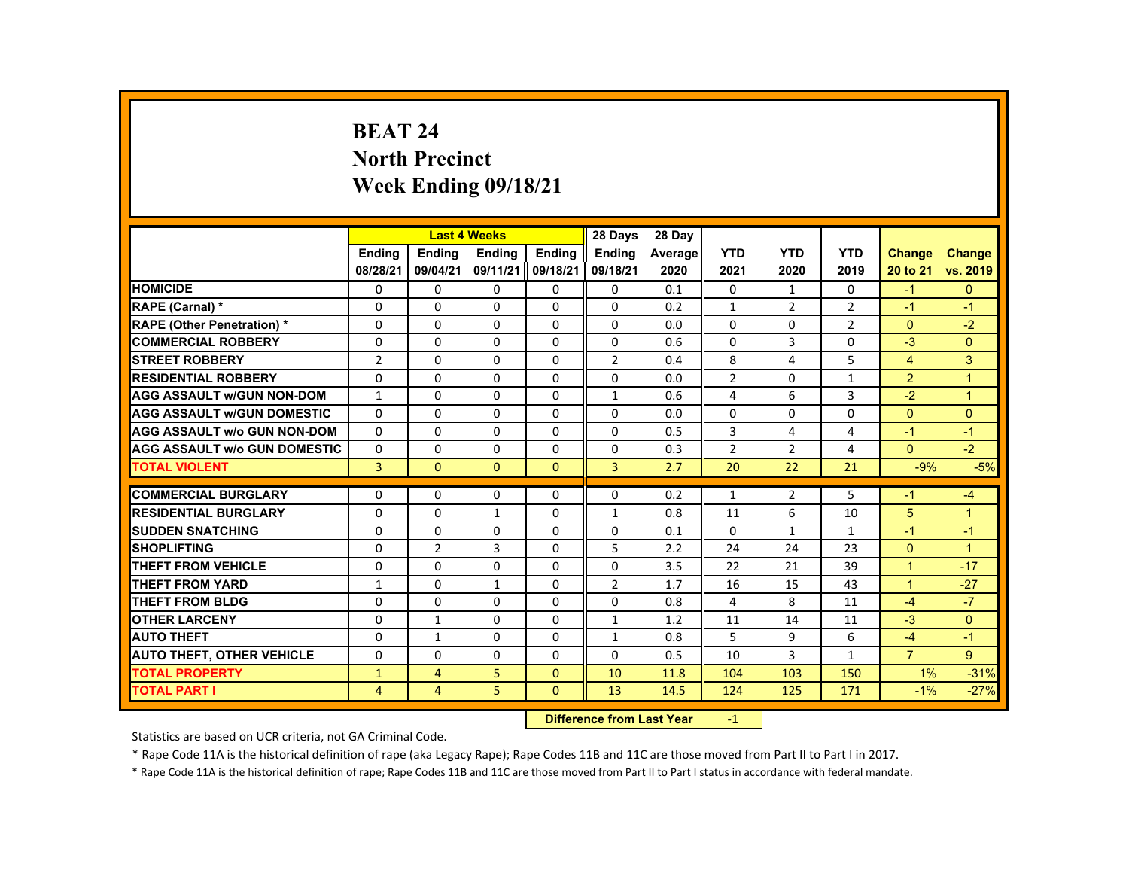# **BEAT 24 North Precinct Week Ending 09/18/21**

|                                     |                   |                          | <b>Last 4 Weeks</b> |               | 28 Days        | 28 Day     |                |                |                |                        |                |
|-------------------------------------|-------------------|--------------------------|---------------------|---------------|----------------|------------|----------------|----------------|----------------|------------------------|----------------|
|                                     | <b>Endina</b>     | <b>Endina</b>            | <b>Endina</b>       | <b>Endina</b> | <b>Endina</b>  | Average    | <b>YTD</b>     | <b>YTD</b>     | <b>YTD</b>     | Change                 | <b>Change</b>  |
|                                     | 08/28/21          | 09/04/21                 | 09/11/21            | 09/18/21      | 09/18/21       | 2020       | 2021           | 2020           | 2019           | 20 to 21               | vs. 2019       |
| <b>HOMICIDE</b>                     | 0                 | $\mathbf{0}$             | 0                   | 0             | 0              | 0.1        | $\mathbf{0}$   | $\mathbf{1}$   | $\mathbf{0}$   | $-1$                   | $\mathbf{0}$   |
| <b>RAPE (Carnal) *</b>              | $\Omega$          | $\Omega$                 | $\Omega$            | $\Omega$      | $\Omega$       | 0.2        | $\mathbf{1}$   | $\overline{2}$ | $\overline{2}$ | $-1$                   | $-1$           |
| <b>RAPE (Other Penetration) *</b>   | $\Omega$          | $\Omega$                 | $\Omega$            | $\Omega$      | $\Omega$       | 0.0        | $\Omega$       | $\Omega$       | $\overline{2}$ | $\Omega$               | $-2$           |
| <b>COMMERCIAL ROBBERY</b>           | 0                 | $\mathbf{0}$             | 0                   | 0             | 0              | 0.6        | 0              | 3              | 0              | $-3$                   | $\mathbf{0}$   |
| <b>STREET ROBBERY</b>               | $\overline{2}$    | $\Omega$                 | $\Omega$            | $\Omega$      | $\overline{2}$ | 0.4        | 8              | 4              | 5              | $\overline{4}$         | 3              |
| <b>RESIDENTIAL ROBBERY</b>          | $\Omega$          | $\Omega$                 | $\Omega$            | $\Omega$      | $\Omega$       | 0.0        | $\overline{2}$ | $\Omega$       | $\mathbf{1}$   | $\overline{2}$         | $\overline{1}$ |
| <b>AGG ASSAULT W/GUN NON-DOM</b>    | $\mathbf{1}$      | $\Omega$                 | $\Omega$            | $\Omega$      | 1              | 0.6        | 4              | 6              | $\overline{3}$ | $-2$                   | $\overline{1}$ |
| <b>AGG ASSAULT W/GUN DOMESTIC</b>   | $\Omega$          | $\Omega$                 | $\Omega$            | $\Omega$      | $\Omega$       | 0.0        | $\Omega$       | $\Omega$       | $\Omega$       | $\Omega$               | $\Omega$       |
| <b>AGG ASSAULT W/o GUN NON-DOM</b>  | $\Omega$          | $\Omega$                 | $\Omega$            | $\Omega$      | $\Omega$       | 0.5        | 3              | 4              | $\overline{4}$ | $-1$                   | $-1$           |
| <b>AGG ASSAULT W/o GUN DOMESTIC</b> | $\Omega$          | $\Omega$                 | $\Omega$            | $\Omega$      | $\Omega$       | 0.3        | $\overline{2}$ | 2              | $\overline{4}$ | $\Omega$               | $-2$           |
| <b>TOTAL VIOLENT</b>                | $\overline{3}$    | $\mathbf{0}$             | $\mathbf{0}$        | $\mathbf{0}$  | $\overline{3}$ | 2.7        | 20             | 22             | 21             | $-9%$                  | $-5%$          |
| <b>COMMERCIAL BURGLARY</b>          | $\Omega$          | $\Omega$                 | $\Omega$            | $\Omega$      | $\Omega$       | 0.2        | $\mathbf{1}$   | $\overline{2}$ | 5              | $-1$                   | $-4$           |
| <b>RESIDENTIAL BURGLARY</b>         | 0                 | $\mathbf{0}$             | $\mathbf{1}$        | 0             |                | 0.8        | 11             | 6              | 10             | 5                      | $\overline{1}$ |
| <b>SUDDEN SNATCHING</b>             | $\Omega$          | $\Omega$                 | $\Omega$            | $\Omega$      | 1<br>$\Omega$  | 0.1        | $\Omega$       | $\mathbf{1}$   | $\mathbf{1}$   | $-1$                   | $-1$           |
| <b>SHOPLIFTING</b>                  | $\Omega$          | $\overline{2}$           | $\mathbf{3}$        | $\Omega$      | 5              | 2.2        | 24             | 24             | 23             | $\Omega$               | $\overline{1}$ |
| <b>THEFT FROM VEHICLE</b>           |                   |                          | $\Omega$            | $\Omega$      |                |            |                |                |                | $\mathbf{1}$           | $-17$          |
| <b>THEFT FROM YARD</b>              | 0<br>$\mathbf{1}$ | $\mathbf{0}$<br>$\Omega$ | $\mathbf{1}$        | $\Omega$      | 0<br>2         | 3.5<br>1.7 | 22<br>16       | 21<br>15       | 39<br>43       | $\mathbf{1}$           | $-27$          |
| <b>THEFT FROM BLDG</b>              | $\Omega$          | $\Omega$                 | $\Omega$            | $\Omega$      | $\Omega$       | 0.8        | 4              | 8              | 11             | $-4$                   | $-7$           |
| <b>OTHER LARCENY</b>                |                   |                          |                     |               |                | 1.2        | 11             | 14             | 11             | $-3$                   | $\Omega$       |
|                                     | 0                 | $\mathbf{1}$             | 0                   | 0             | $\mathbf{1}$   |            |                |                |                |                        |                |
| <b>AUTO THEFT</b>                   | $\Omega$          | $\mathbf{1}$             | $\Omega$            | 0             | $\mathbf{1}$   | 0.8        | 5<br>10        | 9<br>3         | 6              | $-4$<br>$\overline{7}$ | $-1$<br>9      |
| <b>AUTO THEFT, OTHER VEHICLE</b>    | 0                 | $\mathbf{0}$             | 0                   | 0             | 0              | 0.5        |                |                | $\mathbf{1}$   |                        |                |
| <b>TOTAL PROPERTY</b>               | $\mathbf{1}$      | 4                        | 5                   | $\mathbf{0}$  | 10             | 11.8       | 104            | 103            | 150            | 1%                     | $-31%$         |
| <b>TOTAL PART I</b>                 | 4                 | $\overline{4}$           | 5                   | $\mathbf{0}$  | 13             | 14.5       | 124            | 125            | 171            | $-1%$                  | $-27%$         |

#### **Difference from Last Year**r -1

Statistics are based on UCR criteria, not GA Criminal Code.

\* Rape Code 11A is the historical definition of rape (aka Legacy Rape); Rape Codes 11B and 11C are those moved from Part II to Part I in 2017.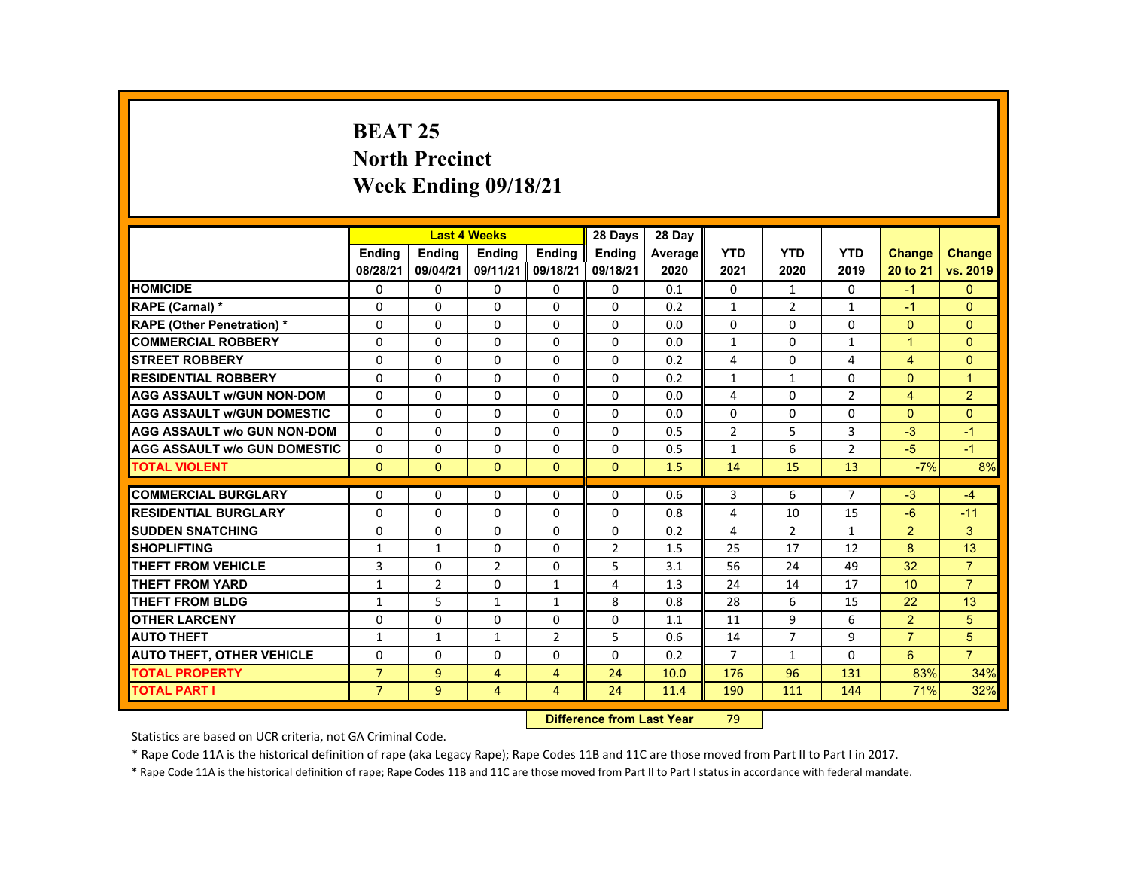# **BEAT 25 North Precinct Week Ending 09/18/21**

|                                     |                |                | <b>Last 4 Weeks</b> |                | 28 Days        | 28 Day  |                |                |                |                      |                |
|-------------------------------------|----------------|----------------|---------------------|----------------|----------------|---------|----------------|----------------|----------------|----------------------|----------------|
|                                     | <b>Endina</b>  | <b>Endina</b>  | <b>Endina</b>       | <b>Endina</b>  | <b>Endina</b>  | Average | <b>YTD</b>     | <b>YTD</b>     | <b>YTD</b>     | <b>Change</b>        | <b>Change</b>  |
|                                     | 08/28/21       | 09/04/21       | 09/11/21            | 09/18/21       | 09/18/21       | 2020    | 2021           | 2020           | 2019           | 20 to 21             | vs. 2019       |
| <b>HOMICIDE</b>                     | 0              | 0              | 0                   | 0              | 0              | 0.1     | 0              | 1              | 0              | $-1$                 | $\mathbf{0}$   |
| RAPE (Carnal) *                     | $\Omega$       | $\Omega$       | $\Omega$            | $\Omega$       | $\Omega$       | 0.2     | $\mathbf{1}$   | 2              | $\mathbf{1}$   | $-1$                 | $\Omega$       |
| <b>RAPE (Other Penetration) *</b>   | $\Omega$       | $\Omega$       | $\Omega$            | $\Omega$       | $\Omega$       | 0.0     | $\Omega$       | $\Omega$       | $\Omega$       | $\Omega$             | $\Omega$       |
| <b>COMMERCIAL ROBBERY</b>           | 0              | $\mathbf{0}$   | 0                   | 0              | $\mathbf{0}$   | 0.0     | $\mathbf{1}$   | 0              | 1              | $\blacktriangleleft$ | $\mathbf{0}$   |
| <b>STREET ROBBERY</b>               | $\Omega$       | $\Omega$       | $\Omega$            | $\Omega$       | $\Omega$       | 0.2     | 4              | $\Omega$       | 4              | $\overline{4}$       | $\Omega$       |
| <b>RESIDENTIAL ROBBERY</b>          | $\Omega$       | $\Omega$       | $\Omega$            | $\Omega$       | $\Omega$       | 0.2     | $\mathbf{1}$   | $\mathbf{1}$   | $\Omega$       | $\Omega$             | $\overline{1}$ |
| <b>AGG ASSAULT w/GUN NON-DOM</b>    | $\Omega$       | $\Omega$       | $\Omega$            | $\Omega$       | $\Omega$       | 0.0     | 4              | $\Omega$       | $\overline{2}$ | $\overline{4}$       | $\overline{2}$ |
| <b>AGG ASSAULT w/GUN DOMESTIC</b>   | $\Omega$       | $\Omega$       | $\Omega$            | $\Omega$       | $\Omega$       | 0.0     | $\Omega$       | $\Omega$       | $\Omega$       | $\Omega$             | $\Omega$       |
| <b>AGG ASSAULT w/o GUN NON-DOM</b>  | $\Omega$       | $\Omega$       | $\Omega$            | $\Omega$       | $\Omega$       | 0.5     | $\overline{2}$ | 5              | 3              | $-3$                 | $-1$           |
| <b>AGG ASSAULT w/o GUN DOMESTIC</b> | $\Omega$       | $\Omega$       | $\Omega$            | $\Omega$       | $\Omega$       | 0.5     | $\mathbf{1}$   | 6              | $\overline{2}$ | $-5$                 | $-1$           |
| <b>TOTAL VIOLENT</b>                | $\Omega$       | $\Omega$       | $\Omega$            | $\Omega$       | $\Omega$       | 1.5     | 14             | 15             | 13             | $-7%$                | 8%             |
|                                     |                |                |                     |                |                |         |                |                |                |                      |                |
| <b>COMMERCIAL BURGLARY</b>          | $\Omega$       | $\Omega$       | $\Omega$            | $\Omega$       | $\Omega$       | 0.6     | 3              | 6              | $\overline{7}$ | $-3$                 | $-4$           |
| <b>RESIDENTIAL BURGLARY</b>         | $\Omega$       | $\Omega$       | $\Omega$            | $\Omega$       | $\Omega$       | 0.8     | 4              | 10             | 15             | $-6$                 | $-11$          |
| <b>SUDDEN SNATCHING</b>             | 0              | $\mathbf{0}$   | 0                   | 0              | $\Omega$       | 0.2     | 4              | 2              | $\mathbf{1}$   | $\overline{2}$       | 3              |
| <b>SHOPLIFTING</b>                  | $\mathbf{1}$   | $\mathbf{1}$   | $\Omega$            | $\Omega$       | $\overline{2}$ | 1.5     | 25             | 17             | 12             | 8                    | 13             |
| <b>THEFT FROM VEHICLE</b>           | 3              | $\Omega$       | $\overline{2}$      | $\Omega$       | 5              | 3.1     | 56             | 24             | 49             | 32                   | $\overline{7}$ |
| <b>THEFT FROM YARD</b>              | $\mathbf{1}$   | $\overline{2}$ | $\Omega$            | $\mathbf{1}$   | 4              | 1.3     | 24             | 14             | 17             | 10                   | $\overline{7}$ |
| <b>THEFT FROM BLDG</b>              | $\mathbf{1}$   | 5              | $\mathbf{1}$        | $\mathbf{1}$   | 8              | 0.8     | 28             | 6              | 15             | 22                   | 13             |
| <b>OTHER LARCENY</b>                | 0              | $\mathbf{0}$   | 0                   | 0              | 0              | 1.1     | 11             | 9              | 6              | $\overline{2}$       | 5              |
| <b>AUTO THEFT</b>                   | $\mathbf{1}$   | $\mathbf{1}$   | $\mathbf{1}$        | 2              | 5              | 0.6     | 14             | $\overline{7}$ | 9              | $\overline{7}$       | 5              |
| <b>AUTO THEFT, OTHER VEHICLE</b>    | $\Omega$       | $\Omega$       | $\Omega$            | $\Omega$       | $\Omega$       | 0.2     | $\overline{7}$ | $\mathbf{1}$   | $\Omega$       | $6\overline{6}$      | $\overline{7}$ |
| <b>TOTAL PROPERTY</b>               | $\overline{7}$ | 9              | $\overline{4}$      | $\overline{4}$ | 24             | 10.0    | 176            | 96             | 131            | 83%                  | 34%            |
| <b>TOTAL PART I</b>                 | $\overline{7}$ | $\overline{9}$ | $\overline{4}$      | $\overline{4}$ | 24             | 11.4    | 190            | 111            | 144            | 71%                  | 32%            |
|                                     |                |                |                     |                |                |         |                |                |                |                      |                |

#### **Difference from Last Year**r 79

Statistics are based on UCR criteria, not GA Criminal Code.

\* Rape Code 11A is the historical definition of rape (aka Legacy Rape); Rape Codes 11B and 11C are those moved from Part II to Part I in 2017.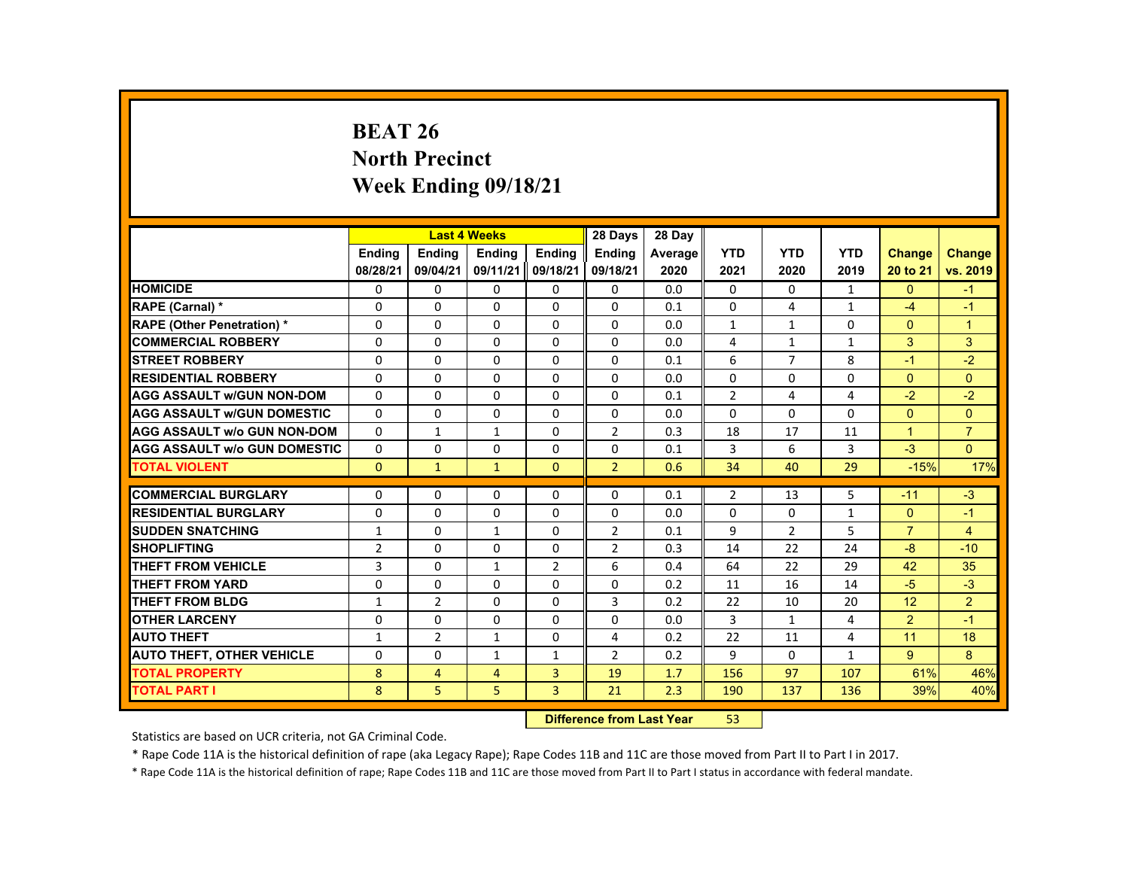# **BEAT 26 North Precinct Week Ending 09/18/21**

|                                     |                |                | <b>Last 4 Weeks</b> |                | 28 Days        | 28 Day  |                |                |              |                |                |
|-------------------------------------|----------------|----------------|---------------------|----------------|----------------|---------|----------------|----------------|--------------|----------------|----------------|
|                                     | <b>Endina</b>  | <b>Endina</b>  | <b>Endina</b>       | <b>Endina</b>  | <b>Endina</b>  | Average | <b>YTD</b>     | <b>YTD</b>     | <b>YTD</b>   | <b>Change</b>  | <b>Change</b>  |
|                                     | 08/28/21       | 09/04/21       | 09/11/21            | 09/18/21       | 09/18/21       | 2020    | 2021           | 2020           | 2019         | 20 to 21       | vs. 2019       |
| <b>HOMICIDE</b>                     | $\mathbf{0}$   | $\mathbf{0}$   | 0                   | 0              | 0              | 0.0     | $\mathbf{0}$   | 0              | $\mathbf{1}$ | $\mathbf{0}$   | $-1$           |
| <b>RAPE (Carnal) *</b>              | $\Omega$       | $\Omega$       | $\Omega$            | $\Omega$       | $\Omega$       | 0.1     | $\Omega$       | 4              | $\mathbf{1}$ | $-4$           | $-1$           |
| <b>RAPE (Other Penetration) *</b>   | $\Omega$       | $\Omega$       | $\Omega$            | $\Omega$       | $\Omega$       | 0.0     | $\mathbf{1}$   | $\mathbf{1}$   | $\Omega$     | $\Omega$       | $\overline{1}$ |
| <b>COMMERCIAL ROBBERY</b>           | 0              | $\mathbf{0}$   | 0                   | 0              | 0              | 0.0     | 4              | $\mathbf{1}$   | $\mathbf{1}$ | 3              | 3              |
| <b>STREET ROBBERY</b>               | 0              | $\Omega$       | $\Omega$            | $\Omega$       | $\Omega$       | 0.1     | 6              | $\overline{7}$ | 8            | $-1$           | $-2$           |
| <b>RESIDENTIAL ROBBERY</b>          | $\Omega$       | $\Omega$       | $\Omega$            | $\Omega$       | $\Omega$       | 0.0     | $\Omega$       | $\Omega$       | $\Omega$     | $\Omega$       | $\Omega$       |
| <b>AGG ASSAULT w/GUN NON-DOM</b>    | $\Omega$       | $\mathbf{0}$   | 0                   | 0              | 0              | 0.1     | $\overline{2}$ | 4              | 4            | $-2$           | $-2$           |
| <b>AGG ASSAULT WGUN DOMESTIC</b>    | $\Omega$       | $\Omega$       | $\Omega$            | 0              | 0              | 0.0     | 0              | 0              | 0            | $\Omega$       | $\Omega$       |
| <b>AGG ASSAULT W/o GUN NON-DOM</b>  | $\Omega$       | 1              | 1                   | $\Omega$       | $\overline{2}$ | 0.3     | 18             | 17             | 11           | $\mathbf{1}$   | $\overline{7}$ |
| <b>AGG ASSAULT W/o GUN DOMESTIC</b> | $\Omega$       | $\Omega$       | $\Omega$            | $\Omega$       | $\Omega$       | 0.1     | 3              | 6              | 3            | $-3$           | $\Omega$       |
| <b>TOTAL VIOLENT</b>                | $\Omega$       | $\mathbf{1}$   | $\mathbf{1}$        | $\Omega$       | $\overline{2}$ | 0.6     | 34             | 40             | 29           | $-15%$         | 17%            |
|                                     |                |                |                     |                |                |         |                |                |              |                |                |
| <b>COMMERCIAL BURGLARY</b>          | $\Omega$       | $\Omega$       | $\Omega$            | $\Omega$       | $\Omega$       | 0.1     | $\overline{2}$ | 13             | 5            | $-11$          | $-3$           |
| <b>RESIDENTIAL BURGLARY</b>         | 0              | $\mathbf{0}$   | 0                   | 0              | 0              | 0.0     | $\Omega$       | 0              | $\mathbf{1}$ | $\mathbf{0}$   | $-1$           |
| <b>SUDDEN SNATCHING</b>             | $\mathbf{1}$   | $\Omega$       | $\mathbf{1}$        | $\Omega$       | $\overline{2}$ | 0.1     | 9              | $\overline{2}$ | 5            | $\overline{7}$ | $\overline{4}$ |
| <b>SHOPLIFTING</b>                  | $\overline{2}$ | $\Omega$       | $\Omega$            | $\Omega$       | $\overline{2}$ | 0.3     | 14             | 22             | 24           | $-8$           | $-10$          |
| <b>THEFT FROM VEHICLE</b>           | 3              | $\mathbf{0}$   | $\mathbf{1}$        | $\overline{2}$ | 6              | 0.4     | 64             | 22             | 29           | 42             | 35             |
| <b>THEFT FROM YARD</b>              | $\Omega$       | $\Omega$       | $\Omega$            | $\Omega$       | $\Omega$       | 0.2     | 11             | 16             | 14           | $-5$           | $-3$           |
| THEFT FROM BLDG                     | $\mathbf{1}$   | $\overline{2}$ | $\Omega$            | $\Omega$       | 3              | 0.2     | 22             | 10             | 20           | 12             | $\overline{2}$ |
| <b>OTHER LARCENY</b>                | 0              | $\mathbf{0}$   | 0                   | 0              | 0              | 0.0     | 3              | $\mathbf{1}$   | 4            | $\overline{2}$ | $-1$           |
| <b>AUTO THEFT</b>                   | $\mathbf{1}$   | 2              | $\mathbf{1}$        | $\Omega$       | 4              | 0.2     | 22             | 11             | 4            | 11             | 18             |
| <b>AUTO THEFT, OTHER VEHICLE</b>    | $\Omega$       | $\Omega$       | $\mathbf{1}$        | $\mathbf{1}$   | $\overline{2}$ | 0.2     | 9              | $\Omega$       | $\mathbf{1}$ | 9              | 8              |
| <b>TOTAL PROPERTY</b>               | 8              | $\overline{4}$ | $\overline{4}$      | $\overline{3}$ | 19             | 1.7     | 156            | 97             | 107          | 61%            | 46%            |
| <b>TOTAL PART I</b>                 | 8              | 5              | 5                   | $\overline{3}$ | 21             | 2.3     | 190            | 137            | 136          | 39%            | 40%            |

#### **Difference from Last Year**r 53

Statistics are based on UCR criteria, not GA Criminal Code.

\* Rape Code 11A is the historical definition of rape (aka Legacy Rape); Rape Codes 11B and 11C are those moved from Part II to Part I in 2017.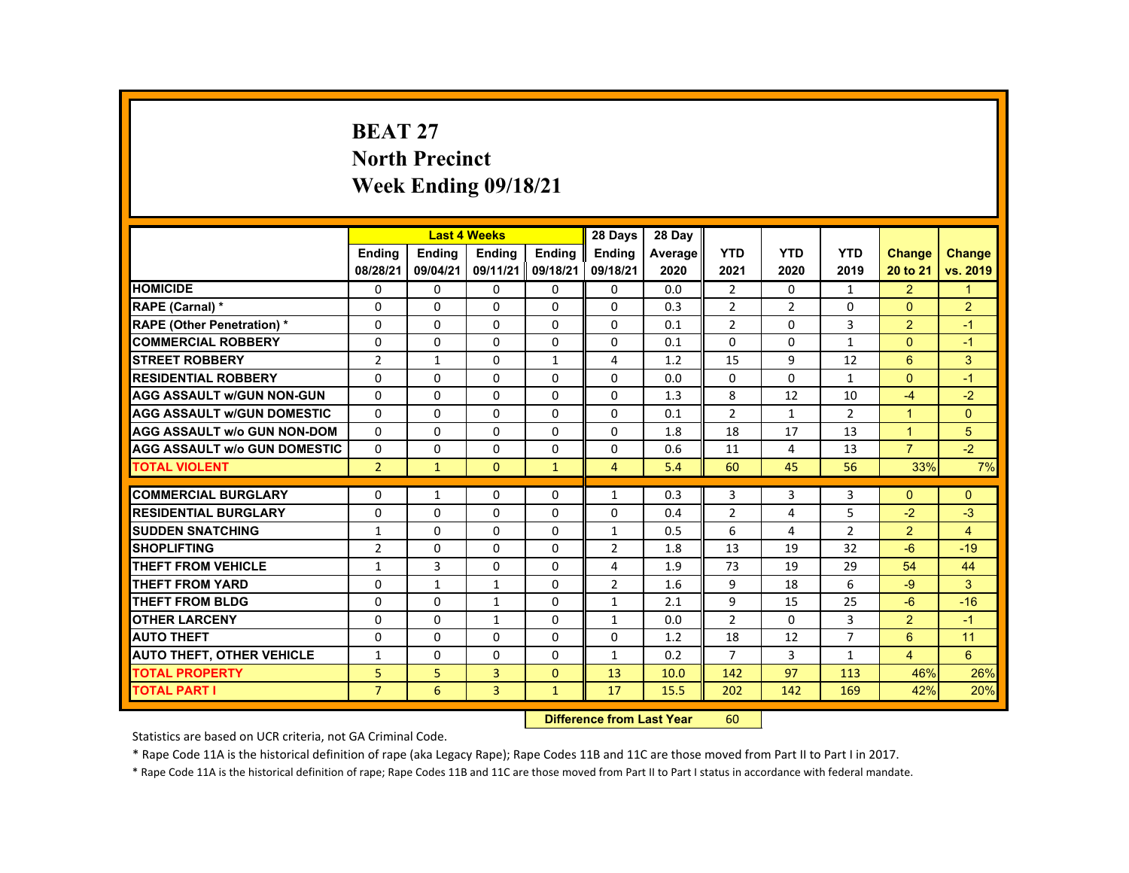# **BEAT 27 North Precinct Week Ending 09/18/21**

|                                     |                |               | <b>Last 4 Weeks</b> |               | 28 Days        | 28 Day  |                |                |                |                      |                |
|-------------------------------------|----------------|---------------|---------------------|---------------|----------------|---------|----------------|----------------|----------------|----------------------|----------------|
|                                     | <b>Endina</b>  | <b>Endina</b> | <b>Endina</b>       | <b>Endina</b> | <b>Endina</b>  | Average | <b>YTD</b>     | <b>YTD</b>     | <b>YTD</b>     | <b>Change</b>        | Change         |
|                                     | 08/28/21       | 09/04/21      | 09/11/21            | 09/18/21      | 09/18/21       | 2020    | 2021           | 2020           | 2019           | 20 to 21             | vs. 2019       |
| <b>HOMICIDE</b>                     | $\mathbf{0}$   | 0             | 0                   | 0             | 0              | 0.0     | $\overline{2}$ | $\Omega$       | $\mathbf{1}$   | $\overline{2}$       | $\mathbf{1}$   |
| RAPE (Carnal) *                     | $\Omega$       | $\Omega$      | $\Omega$            | $\Omega$      | $\Omega$       | 0.3     | $\overline{2}$ | 2              | $\Omega$       | $\Omega$             | $\overline{2}$ |
| <b>RAPE (Other Penetration) *</b>   | $\Omega$       | $\Omega$      | $\Omega$            | $\Omega$      | $\Omega$       | 0.1     | $\overline{2}$ | $\Omega$       | 3              | 2                    | $-1$           |
| <b>COMMERCIAL ROBBERY</b>           | $\Omega$       | $\Omega$      | $\Omega$            | $\Omega$      | $\Omega$       | 0.1     | $\Omega$       | $\Omega$       | $\mathbf{1}$   | $\Omega$             | $-1$           |
| <b>STREET ROBBERY</b>               | $\overline{2}$ | $\mathbf{1}$  | $\Omega$            | $\mathbf{1}$  | 4              | 1.2     | 15             | 9              | 12             | 6                    | 3              |
| <b>RESIDENTIAL ROBBERY</b>          | $\Omega$       | $\Omega$      | $\Omega$            | $\Omega$      | $\Omega$       | 0.0     | $\Omega$       | $\Omega$       | $\mathbf{1}$   | $\Omega$             | $-1$           |
| <b>AGG ASSAULT w/GUN NON-GUN</b>    | $\Omega$       | $\Omega$      | $\Omega$            | $\Omega$      | $\Omega$       | 1.3     | 8              | 12             | 10             | $-4$                 | $-2$           |
| <b>AGG ASSAULT w/GUN DOMESTIC</b>   | $\Omega$       | $\Omega$      | $\Omega$            | $\Omega$      | $\Omega$       | 0.1     | $\overline{2}$ | $\mathbf{1}$   | $\overline{2}$ | $\blacktriangleleft$ | $\Omega$       |
| <b>AGG ASSAULT w/o GUN NON-DOM</b>  | $\Omega$       | 0             | 0                   | 0             | 0              | 1.8     | 18             | 17             | 13             | $\overline{1}$       | 5              |
| <b>AGG ASSAULT W/o GUN DOMESTIC</b> | $\Omega$       | $\Omega$      | $\Omega$            | $\Omega$      | $\Omega$       | 0.6     | 11             | 4              | 13             | $\overline{7}$       | $-2$           |
| <b>TOTAL VIOLENT</b>                | $\overline{2}$ | $\mathbf{1}$  | $\Omega$            | $\mathbf{1}$  | $\overline{4}$ | 5.4     | 60             | 45             | 56             | 33%                  | 7%             |
|                                     |                |               |                     |               |                |         |                |                |                |                      |                |
| <b>COMMERCIAL BURGLARY</b>          | $\Omega$       | $\mathbf{1}$  | $\Omega$            | 0             | $\mathbf{1}$   | 0.3     | 3              | 3              | 3              | $\Omega$             | $\Omega$       |
| <b>RESIDENTIAL BURGLARY</b>         | $\Omega$       | $\Omega$      | $\Omega$            | $\Omega$      | 0              | 0.4     | $\overline{2}$ | 4              | 5              | $-2$                 | $-3$           |
| <b>SUDDEN SNATCHING</b>             | $\mathbf{1}$   | $\Omega$      | $\Omega$            | $\Omega$      | $\mathbf{1}$   | 0.5     | 6              | 4              | $\overline{2}$ | 2                    | $\overline{4}$ |
| <b>SHOPLIFTING</b>                  | $\overline{2}$ | $\Omega$      | $\Omega$            | $\Omega$      | 2              | 1.8     | 13             | 19             | 32             | $-6$                 | $-19$          |
| <b>THEFT FROM VEHICLE</b>           | $\mathbf{1}$   | 3             | 0                   | 0             | 4              | 1.9     | 73             | 19             | 29             | 54                   | 44             |
| <b>THEFT FROM YARD</b>              | $\Omega$       | $\mathbf{1}$  | $\mathbf{1}$        | $\Omega$      | $\overline{2}$ | 1.6     | 9              | 18             | 6              | $-9$                 | 3              |
| <b>THEFT FROM BLDG</b>              | $\Omega$       | $\Omega$      | $\mathbf{1}$        | $\Omega$      | $\mathbf{1}$   | 2.1     | 9              | 15             | 25             | $-6$                 | $-16$          |
| <b>OTHER LARCENY</b>                | $\Omega$       | $\Omega$      | $\mathbf{1}$        | 0             | $\mathbf{1}$   | 0.0     | $\overline{2}$ | 0              | 3              | 2                    | $-1$           |
| <b>AUTO THEFT</b>                   | $\Omega$       | $\Omega$      | $\Omega$            | $\Omega$      | $\Omega$       | 1.2     | 18             | 12             | $\overline{7}$ | 6                    | 11             |
| <b>AUTO THEFT, OTHER VEHICLE</b>    | $\mathbf{1}$   | $\Omega$      | $\Omega$            | $\Omega$      | $\mathbf{1}$   | 0.2     | $\overline{7}$ | $\overline{3}$ | $\mathbf{1}$   | $\overline{4}$       | 6              |
| <b>TOTAL PROPERTY</b>               | 5              | 5             | 3                   | $\Omega$      | 13             | 10.0    | 142            | 97             | 113            | 46%                  | 26%            |
| <b>TOTAL PART I</b>                 | $\overline{7}$ | 6             | $\overline{3}$      | $\mathbf{1}$  | 17             | 15.5    | 202            | 142            | 169            | 42%                  | 20%            |

#### **Difference from Last Year**r 60

Statistics are based on UCR criteria, not GA Criminal Code.

\* Rape Code 11A is the historical definition of rape (aka Legacy Rape); Rape Codes 11B and 11C are those moved from Part II to Part I in 2017.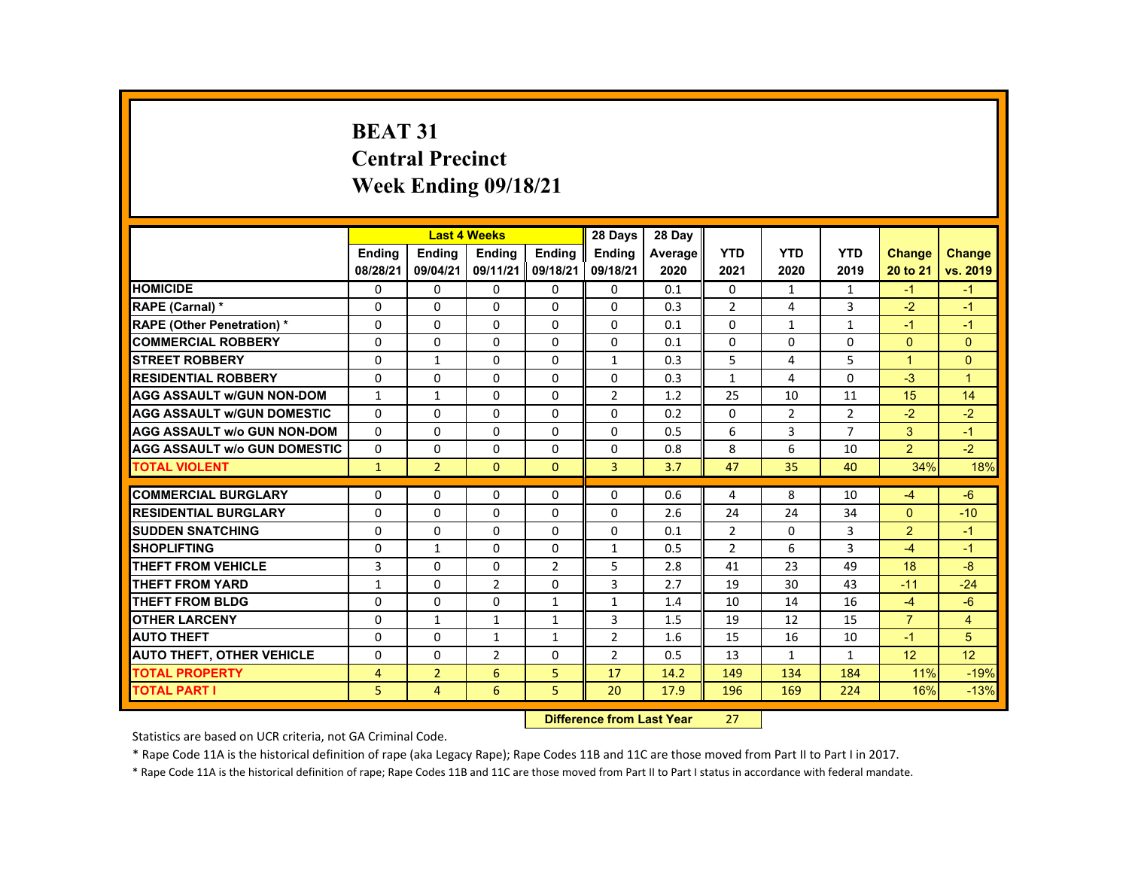# **BEAT 31 Central Precinct Week Ending 09/18/21**

|                                     |               |                | <b>Last 4 Weeks</b> |                | 28 Days        | 28 Day  |                |                |                |                      |                |
|-------------------------------------|---------------|----------------|---------------------|----------------|----------------|---------|----------------|----------------|----------------|----------------------|----------------|
|                                     | <b>Endina</b> | <b>Endina</b>  | <b>Endina</b>       | <b>Endina</b>  | <b>Endina</b>  | Average | <b>YTD</b>     | <b>YTD</b>     | <b>YTD</b>     | <b>Change</b>        | <b>Change</b>  |
|                                     | 08/28/21      | 09/04/21       | 09/11/21            | 09/18/21       | 09/18/21       | 2020    | 2021           | 2020           | 2019           | 20 to 21             | vs. 2019       |
| <b>HOMICIDE</b>                     | 0             | $\Omega$       | $\mathbf{0}$        | $\Omega$       | 0              | 0.1     | 0              | 1              | $\mathbf{1}$   | $-1$                 | $-1$           |
| RAPE (Carnal) *                     | $\Omega$      | $\Omega$       | $\Omega$            | $\Omega$       | $\Omega$       | 0.3     | $\overline{2}$ | 4              | 3              | $-2$                 | $-1$           |
| <b>RAPE (Other Penetration) *</b>   | $\Omega$      | $\Omega$       | $\Omega$            | $\Omega$       | $\Omega$       | 0.1     | $\Omega$       | $\mathbf{1}$   | $\mathbf{1}$   | $-1$                 | $-1$           |
| <b>COMMERCIAL ROBBERY</b>           | $\Omega$      | $\Omega$       | $\Omega$            | $\Omega$       | $\Omega$       | 0.1     | $\Omega$       | $\Omega$       | $\Omega$       | $\Omega$             | $\Omega$       |
| <b>STREET ROBBERY</b>               | $\Omega$      | $\mathbf{1}$   | $\Omega$            | $\Omega$       | $\mathbf{1}$   | 0.3     | 5              | 4              | 5              | $\blacktriangleleft$ | $\Omega$       |
| <b>RESIDENTIAL ROBBERY</b>          | $\Omega$      | $\Omega$       | $\Omega$            | $\Omega$       | $\Omega$       | 0.3     | $\mathbf{1}$   | 4              | $\Omega$       | $-3$                 | $\overline{1}$ |
| <b>AGG ASSAULT W/GUN NON-DOM</b>    | $\mathbf{1}$  | $\mathbf{1}$   | $\Omega$            | $\Omega$       | 2              | 1.2     | 25             | 10             | 11             | 15                   | 14             |
| <b>AGG ASSAULT W/GUN DOMESTIC</b>   | $\mathbf{0}$  | $\Omega$       | $\Omega$            | $\Omega$       | $\Omega$       | 0.2     | $\Omega$       | $\overline{2}$ | $\overline{2}$ | $-2$                 | $-2$           |
| <b>AGG ASSAULT w/o GUN NON-DOM</b>  | $\Omega$      | $\Omega$       | $\Omega$            | $\Omega$       | $\Omega$       | 0.5     | 6              | 3              | $\overline{7}$ | 3                    | $-1$           |
| <b>AGG ASSAULT W/o GUN DOMESTIC</b> | $\Omega$      | $\Omega$       | $\Omega$            | $\Omega$       | $\Omega$       | 0.8     | 8              | 6              | 10             | $\overline{2}$       | $-2$           |
| <b>TOTAL VIOLENT</b>                | $\mathbf{1}$  | $\overline{2}$ | $\mathbf{0}$        | $\mathbf{0}$   | 3              | 3.7     | 47             | 35             | 40             | 34%                  | 18%            |
|                                     |               |                |                     |                |                |         |                |                |                |                      |                |
| <b>COMMERCIAL BURGLARY</b>          | $\Omega$      | $\Omega$       | $\Omega$            | $\Omega$       | $\Omega$       | 0.6     | 4              | 8              | 10             | $-4$                 | $-6$           |
| <b>RESIDENTIAL BURGLARY</b>         | $\Omega$      | $\Omega$       | $\Omega$            | 0              | 0              | 2.6     | 24             | 24             | 34             | $\Omega$             | $-10$          |
| <b>SUDDEN SNATCHING</b>             | $\Omega$      | $\Omega$       | $\Omega$            | $\Omega$       | $\Omega$       | 0.1     | $\overline{2}$ | $\Omega$       | 3              | 2                    | $-1$           |
| <b>SHOPLIFTING</b>                  | $\Omega$      | $\mathbf{1}$   | $\Omega$            | $\Omega$       | $\mathbf{1}$   | 0.5     | $\overline{2}$ | 6              | 3              | $-4$                 | $-1$           |
| <b>THEFT FROM VEHICLE</b>           | 3             | $\Omega$       | $\mathbf{0}$        | $\overline{2}$ | 5              | 2.8     | 41             | 23             | 49             | 18                   | $-8$           |
| <b>THEFT FROM YARD</b>              | $\mathbf{1}$  | $\Omega$       | $\overline{2}$      | $\Omega$       | 3              | 2.7     | 19             | 30             | 43             | $-11$                | $-24$          |
| <b>THEFT FROM BLDG</b>              | $\Omega$      | $\Omega$       | $\Omega$            | $\mathbf{1}$   | $\mathbf{1}$   | 1.4     | 10             | 14             | 16             | $-4$                 | $-6$           |
| <b>OTHER LARCENY</b>                | $\Omega$      | $\mathbf{1}$   | $\mathbf{1}$        | $\mathbf{1}$   | 3              | 1.5     | 19             | 12             | 15             | $\overline{7}$       | $\overline{4}$ |
| <b>AUTO THEFT</b>                   | $\Omega$      | $\Omega$       | $\mathbf{1}$        | $\mathbf{1}$   | 2              | 1.6     | 15             | 16             | 10             | $-1$                 | 5              |
| <b>AUTO THEFT, OTHER VEHICLE</b>    | $\Omega$      | $\mathbf{0}$   | $\overline{2}$      | 0              | $\overline{2}$ | 0.5     | 13             | 1              | $\mathbf{1}$   | 12                   | 12             |
| <b>TOTAL PROPERTY</b>               | 4             | $\overline{2}$ | 6                   | 5              | 17             | 14.2    | 149            | 134            | 184            | 11%                  | $-19%$         |
| <b>TOTAL PART I</b>                 | 5             | $\overline{4}$ | 6                   | 5              | 20             | 17.9    | 196            | 169            | 224            | 16%                  | $-13%$         |

#### **Difference from Last Year**r 27

Statistics are based on UCR criteria, not GA Criminal Code.

\* Rape Code 11A is the historical definition of rape (aka Legacy Rape); Rape Codes 11B and 11C are those moved from Part II to Part I in 2017.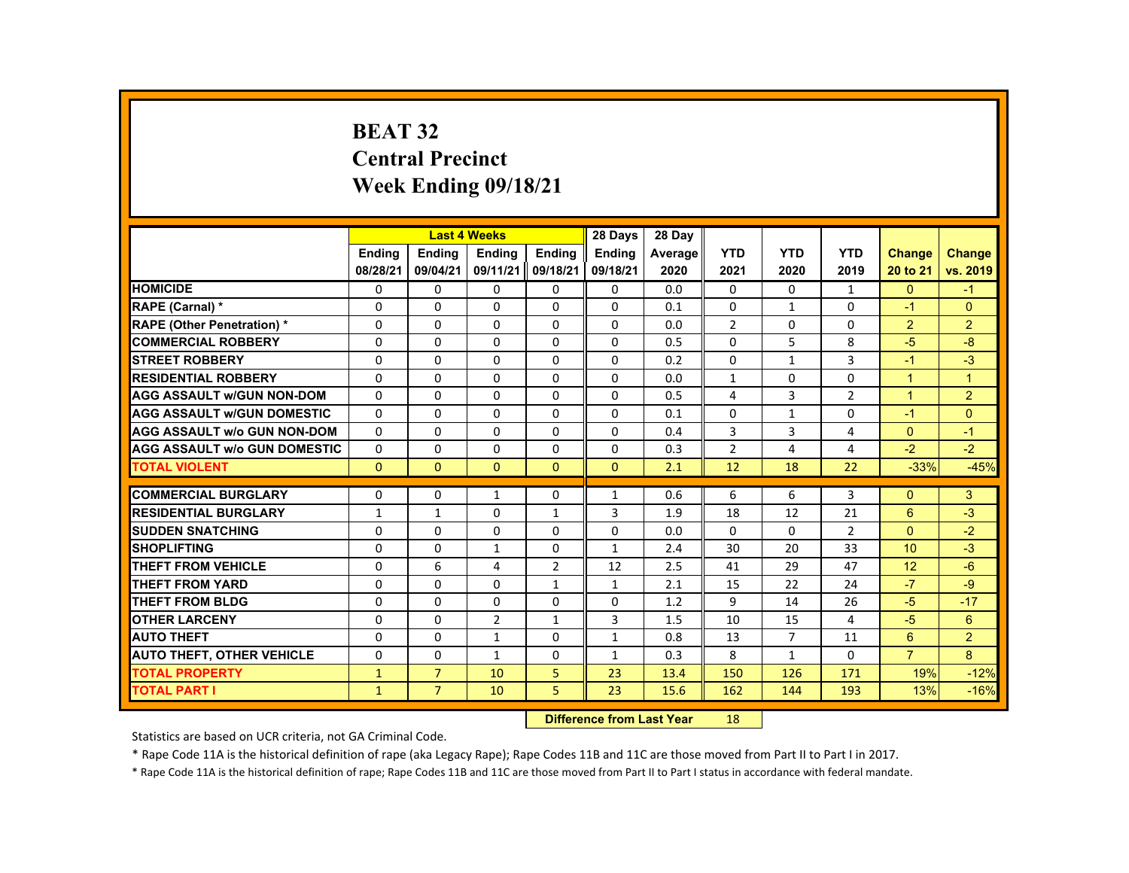# **BEAT 32 Central Precinct Week Ending 09/18/21**

| <b>YTD</b><br><b>YTD</b><br><b>YTD</b><br><b>Ending</b><br><b>Ending</b><br><b>Ending</b><br><b>Ending</b><br><b>Ending</b><br>Average<br><b>Change</b><br>09/11/21 09/18/21<br>08/28/21<br>09/04/21<br>09/18/21<br>2021<br>2020<br>2020<br>2019<br>20 to 21<br><b>HOMICIDE</b><br>0<br>0<br>0.0<br>$\mathbf{0}$<br>$\mathbf{0}$<br>$\Omega$<br>0<br>0<br>0<br>$\mathbf{1}$<br>$\Omega$<br>$\Omega$<br>RAPE (Carnal) *<br>$\Omega$<br>$\Omega$<br>$\Omega$<br>$\Omega$<br>$\Omega$<br>0.1<br>$\mathbf{1}$<br>$\Omega$<br>$-1$<br><b>RAPE (Other Penetration) *</b><br>$\overline{2}$<br>$\overline{2}$<br>$\Omega$<br>$\Omega$<br>$\Omega$<br>$\Omega$<br>$\Omega$<br>0.0<br>$\Omega$<br>$\Omega$<br><b>COMMERCIAL ROBBERY</b><br>5<br>8<br>0<br>0<br>0<br>0<br>0<br>$-5$<br>$\mathbf{0}$<br>0.5<br>3<br><b>STREET ROBBERY</b><br>$\Omega$<br>$\Omega$<br>$\Omega$<br>$\Omega$<br>$\Omega$<br>$\Omega$<br>$\mathbf{1}$<br>$-1$<br>0.2<br><b>RESIDENTIAL ROBBERY</b><br>$\Omega$<br>$\Omega$<br>$\Omega$<br>$\Omega$<br>$\Omega$<br>$\overline{1}$<br>$\Omega$<br>0.0<br>$\mathbf{1}$<br>$\Omega$<br>$\mathbf{1}$<br>$\overline{2}$<br><b>AGG ASSAULT W/GUN NON-DOM</b><br>$\Omega$<br>$\Omega$<br>$\Omega$<br>$\Omega$<br>$\Omega$<br>0.5<br>4<br>3<br>$\overline{2}$<br>$\mathbf{1}$<br>$\Omega$<br>$\Omega$<br>$\Omega$<br>$\Omega$<br>$\Omega$<br>$\Omega$<br>$\Omega$<br>$\Omega$<br><b>AGG ASSAULT W/GUN DOMESTIC</b><br>0.1<br>$\mathbf{1}$<br>$-1$<br>$\Omega$<br>$\Omega$<br>$\Omega$<br>$\Omega$<br>$\Omega$<br>3<br>3<br><b>AGG ASSAULT W/o GUN NON-DOM</b><br>0.4<br>4<br>$\Omega$<br><b>AGG ASSAULT W/o GUN DOMESTIC</b><br>$\Omega$<br>$\Omega$<br>$\Omega$<br>$\Omega$<br>$\overline{2}$<br>$\overline{4}$<br>$-2$<br>$\mathbf{0}$<br>0.3<br>4<br><b>TOTAL VIOLENT</b><br>$\Omega$<br>$\mathbf{0}$<br>$\mathbf{0}$<br>$\mathbf{0}$<br>12<br>22<br>$-33%$<br>$\mathbf{0}$<br>2.1<br>18<br><b>COMMERCIAL BURGLARY</b><br>3<br>$\Omega$<br>$\Omega$<br>$\Omega$<br>0.6<br>6<br>6<br>3<br>$\Omega$<br>$\mathbf{1}$<br>$\mathbf{1}$<br>$\Omega$<br>3<br>18<br>12<br>21<br>6<br><b>RESIDENTIAL BURGLARY</b><br>$\mathbf{1}$<br>1<br>$\mathbf{1}$<br>1.9<br>$\Omega$<br>$\Omega$<br>$\Omega$<br>$\Omega$<br>$\Omega$<br><b>SUDDEN SNATCHING</b><br>$\Omega$<br>$\Omega$<br>$\Omega$<br>$\overline{2}$<br>0.0<br><b>SHOPLIFTING</b><br>30<br>33<br>$\Omega$<br>$\Omega$<br>$\Omega$<br>2.4<br>20<br>10<br>$\mathbf{1}$<br>$\mathbf{1}$<br>6<br>$\overline{2}$<br>2.5<br>12<br><b>THEFT FROM VEHICLE</b><br>$\Omega$<br>4<br>12<br>41<br>29<br>47<br>$-7$<br><b>THEFT FROM YARD</b><br>$\Omega$<br>$\Omega$<br>0<br>$\mathbf{1}$<br>$\mathbf{1}$<br>2.1<br>15<br>22<br>24 |                 |          |          | <b>Last 4 Weeks</b> |          | 28 Days  | 28 Day |   |    |    |      |                |
|--------------------------------------------------------------------------------------------------------------------------------------------------------------------------------------------------------------------------------------------------------------------------------------------------------------------------------------------------------------------------------------------------------------------------------------------------------------------------------------------------------------------------------------------------------------------------------------------------------------------------------------------------------------------------------------------------------------------------------------------------------------------------------------------------------------------------------------------------------------------------------------------------------------------------------------------------------------------------------------------------------------------------------------------------------------------------------------------------------------------------------------------------------------------------------------------------------------------------------------------------------------------------------------------------------------------------------------------------------------------------------------------------------------------------------------------------------------------------------------------------------------------------------------------------------------------------------------------------------------------------------------------------------------------------------------------------------------------------------------------------------------------------------------------------------------------------------------------------------------------------------------------------------------------------------------------------------------------------------------------------------------------------------------------------------------------------------------------------------------------------------------------------------------------------------------------------------------------------------------------------------------------------------------------------------------------------------------------------------------------------------------------------------------------------------------------------------------------------------------------------------------------------------------------------------------------------------------------------------------------------------------------------------------------------------|-----------------|----------|----------|---------------------|----------|----------|--------|---|----|----|------|----------------|
|                                                                                                                                                                                                                                                                                                                                                                                                                                                                                                                                                                                                                                                                                                                                                                                                                                                                                                                                                                                                                                                                                                                                                                                                                                                                                                                                                                                                                                                                                                                                                                                                                                                                                                                                                                                                                                                                                                                                                                                                                                                                                                                                                                                                                                                                                                                                                                                                                                                                                                                                                                                                                                                                                |                 |          |          |                     |          |          |        |   |    |    |      | <b>Change</b>  |
|                                                                                                                                                                                                                                                                                                                                                                                                                                                                                                                                                                                                                                                                                                                                                                                                                                                                                                                                                                                                                                                                                                                                                                                                                                                                                                                                                                                                                                                                                                                                                                                                                                                                                                                                                                                                                                                                                                                                                                                                                                                                                                                                                                                                                                                                                                                                                                                                                                                                                                                                                                                                                                                                                |                 |          |          |                     |          |          |        |   |    |    |      | vs. 2019       |
|                                                                                                                                                                                                                                                                                                                                                                                                                                                                                                                                                                                                                                                                                                                                                                                                                                                                                                                                                                                                                                                                                                                                                                                                                                                                                                                                                                                                                                                                                                                                                                                                                                                                                                                                                                                                                                                                                                                                                                                                                                                                                                                                                                                                                                                                                                                                                                                                                                                                                                                                                                                                                                                                                |                 |          |          |                     |          |          |        |   |    |    |      | $-1$           |
|                                                                                                                                                                                                                                                                                                                                                                                                                                                                                                                                                                                                                                                                                                                                                                                                                                                                                                                                                                                                                                                                                                                                                                                                                                                                                                                                                                                                                                                                                                                                                                                                                                                                                                                                                                                                                                                                                                                                                                                                                                                                                                                                                                                                                                                                                                                                                                                                                                                                                                                                                                                                                                                                                |                 |          |          |                     |          |          |        |   |    |    |      |                |
|                                                                                                                                                                                                                                                                                                                                                                                                                                                                                                                                                                                                                                                                                                                                                                                                                                                                                                                                                                                                                                                                                                                                                                                                                                                                                                                                                                                                                                                                                                                                                                                                                                                                                                                                                                                                                                                                                                                                                                                                                                                                                                                                                                                                                                                                                                                                                                                                                                                                                                                                                                                                                                                                                |                 |          |          |                     |          |          |        |   |    |    |      | $\overline{2}$ |
|                                                                                                                                                                                                                                                                                                                                                                                                                                                                                                                                                                                                                                                                                                                                                                                                                                                                                                                                                                                                                                                                                                                                                                                                                                                                                                                                                                                                                                                                                                                                                                                                                                                                                                                                                                                                                                                                                                                                                                                                                                                                                                                                                                                                                                                                                                                                                                                                                                                                                                                                                                                                                                                                                |                 |          |          |                     |          |          |        |   |    |    |      | $-8$           |
|                                                                                                                                                                                                                                                                                                                                                                                                                                                                                                                                                                                                                                                                                                                                                                                                                                                                                                                                                                                                                                                                                                                                                                                                                                                                                                                                                                                                                                                                                                                                                                                                                                                                                                                                                                                                                                                                                                                                                                                                                                                                                                                                                                                                                                                                                                                                                                                                                                                                                                                                                                                                                                                                                |                 |          |          |                     |          |          |        |   |    |    |      | $-3$           |
|                                                                                                                                                                                                                                                                                                                                                                                                                                                                                                                                                                                                                                                                                                                                                                                                                                                                                                                                                                                                                                                                                                                                                                                                                                                                                                                                                                                                                                                                                                                                                                                                                                                                                                                                                                                                                                                                                                                                                                                                                                                                                                                                                                                                                                                                                                                                                                                                                                                                                                                                                                                                                                                                                |                 |          |          |                     |          |          |        |   |    |    |      |                |
|                                                                                                                                                                                                                                                                                                                                                                                                                                                                                                                                                                                                                                                                                                                                                                                                                                                                                                                                                                                                                                                                                                                                                                                                                                                                                                                                                                                                                                                                                                                                                                                                                                                                                                                                                                                                                                                                                                                                                                                                                                                                                                                                                                                                                                                                                                                                                                                                                                                                                                                                                                                                                                                                                |                 |          |          |                     |          |          |        |   |    |    |      |                |
|                                                                                                                                                                                                                                                                                                                                                                                                                                                                                                                                                                                                                                                                                                                                                                                                                                                                                                                                                                                                                                                                                                                                                                                                                                                                                                                                                                                                                                                                                                                                                                                                                                                                                                                                                                                                                                                                                                                                                                                                                                                                                                                                                                                                                                                                                                                                                                                                                                                                                                                                                                                                                                                                                |                 |          |          |                     |          |          |        |   |    |    |      |                |
|                                                                                                                                                                                                                                                                                                                                                                                                                                                                                                                                                                                                                                                                                                                                                                                                                                                                                                                                                                                                                                                                                                                                                                                                                                                                                                                                                                                                                                                                                                                                                                                                                                                                                                                                                                                                                                                                                                                                                                                                                                                                                                                                                                                                                                                                                                                                                                                                                                                                                                                                                                                                                                                                                |                 |          |          |                     |          |          |        |   |    |    |      | $-1$           |
|                                                                                                                                                                                                                                                                                                                                                                                                                                                                                                                                                                                                                                                                                                                                                                                                                                                                                                                                                                                                                                                                                                                                                                                                                                                                                                                                                                                                                                                                                                                                                                                                                                                                                                                                                                                                                                                                                                                                                                                                                                                                                                                                                                                                                                                                                                                                                                                                                                                                                                                                                                                                                                                                                |                 |          |          |                     |          |          |        |   |    |    |      | $-2$           |
|                                                                                                                                                                                                                                                                                                                                                                                                                                                                                                                                                                                                                                                                                                                                                                                                                                                                                                                                                                                                                                                                                                                                                                                                                                                                                                                                                                                                                                                                                                                                                                                                                                                                                                                                                                                                                                                                                                                                                                                                                                                                                                                                                                                                                                                                                                                                                                                                                                                                                                                                                                                                                                                                                |                 |          |          |                     |          |          |        |   |    |    |      | $-45%$         |
|                                                                                                                                                                                                                                                                                                                                                                                                                                                                                                                                                                                                                                                                                                                                                                                                                                                                                                                                                                                                                                                                                                                                                                                                                                                                                                                                                                                                                                                                                                                                                                                                                                                                                                                                                                                                                                                                                                                                                                                                                                                                                                                                                                                                                                                                                                                                                                                                                                                                                                                                                                                                                                                                                |                 |          |          |                     |          |          |        |   |    |    |      |                |
|                                                                                                                                                                                                                                                                                                                                                                                                                                                                                                                                                                                                                                                                                                                                                                                                                                                                                                                                                                                                                                                                                                                                                                                                                                                                                                                                                                                                                                                                                                                                                                                                                                                                                                                                                                                                                                                                                                                                                                                                                                                                                                                                                                                                                                                                                                                                                                                                                                                                                                                                                                                                                                                                                |                 |          |          |                     |          |          |        |   |    |    |      |                |
|                                                                                                                                                                                                                                                                                                                                                                                                                                                                                                                                                                                                                                                                                                                                                                                                                                                                                                                                                                                                                                                                                                                                                                                                                                                                                                                                                                                                                                                                                                                                                                                                                                                                                                                                                                                                                                                                                                                                                                                                                                                                                                                                                                                                                                                                                                                                                                                                                                                                                                                                                                                                                                                                                |                 |          |          |                     |          |          |        |   |    |    |      | $-3$           |
|                                                                                                                                                                                                                                                                                                                                                                                                                                                                                                                                                                                                                                                                                                                                                                                                                                                                                                                                                                                                                                                                                                                                                                                                                                                                                                                                                                                                                                                                                                                                                                                                                                                                                                                                                                                                                                                                                                                                                                                                                                                                                                                                                                                                                                                                                                                                                                                                                                                                                                                                                                                                                                                                                |                 |          |          |                     |          |          |        |   |    |    |      | $-2$           |
|                                                                                                                                                                                                                                                                                                                                                                                                                                                                                                                                                                                                                                                                                                                                                                                                                                                                                                                                                                                                                                                                                                                                                                                                                                                                                                                                                                                                                                                                                                                                                                                                                                                                                                                                                                                                                                                                                                                                                                                                                                                                                                                                                                                                                                                                                                                                                                                                                                                                                                                                                                                                                                                                                |                 |          |          |                     |          |          |        |   |    |    |      | $-3$           |
|                                                                                                                                                                                                                                                                                                                                                                                                                                                                                                                                                                                                                                                                                                                                                                                                                                                                                                                                                                                                                                                                                                                                                                                                                                                                                                                                                                                                                                                                                                                                                                                                                                                                                                                                                                                                                                                                                                                                                                                                                                                                                                                                                                                                                                                                                                                                                                                                                                                                                                                                                                                                                                                                                |                 |          |          |                     |          |          |        |   |    |    |      | $-6$           |
|                                                                                                                                                                                                                                                                                                                                                                                                                                                                                                                                                                                                                                                                                                                                                                                                                                                                                                                                                                                                                                                                                                                                                                                                                                                                                                                                                                                                                                                                                                                                                                                                                                                                                                                                                                                                                                                                                                                                                                                                                                                                                                                                                                                                                                                                                                                                                                                                                                                                                                                                                                                                                                                                                |                 |          |          |                     |          |          |        |   |    |    |      | $-9$           |
|                                                                                                                                                                                                                                                                                                                                                                                                                                                                                                                                                                                                                                                                                                                                                                                                                                                                                                                                                                                                                                                                                                                                                                                                                                                                                                                                                                                                                                                                                                                                                                                                                                                                                                                                                                                                                                                                                                                                                                                                                                                                                                                                                                                                                                                                                                                                                                                                                                                                                                                                                                                                                                                                                | THEFT FROM BLDG | $\Omega$ | $\Omega$ | $\Omega$            | $\Omega$ | $\Omega$ | 1.2    | 9 | 14 | 26 | $-5$ | $-17$          |
| 6<br><b>OTHER LARCENY</b><br>$\overline{2}$<br>3<br>$-5$<br>0<br>$\mathbf{0}$<br>1.5<br>4<br>1<br>10<br>15                                                                                                                                                                                                                                                                                                                                                                                                                                                                                                                                                                                                                                                                                                                                                                                                                                                                                                                                                                                                                                                                                                                                                                                                                                                                                                                                                                                                                                                                                                                                                                                                                                                                                                                                                                                                                                                                                                                                                                                                                                                                                                                                                                                                                                                                                                                                                                                                                                                                                                                                                                     |                 |          |          |                     |          |          |        |   |    |    |      |                |
| $\overline{2}$<br><b>AUTO THEFT</b><br>6<br>$\Omega$<br>$\Omega$<br>$\mathbf{1}$<br>$\Omega$<br>$\mathbf{1}$<br>0.8<br>13<br>$\overline{7}$<br>11                                                                                                                                                                                                                                                                                                                                                                                                                                                                                                                                                                                                                                                                                                                                                                                                                                                                                                                                                                                                                                                                                                                                                                                                                                                                                                                                                                                                                                                                                                                                                                                                                                                                                                                                                                                                                                                                                                                                                                                                                                                                                                                                                                                                                                                                                                                                                                                                                                                                                                                              |                 |          |          |                     |          |          |        |   |    |    |      |                |
| $\overline{7}$<br>8<br>8<br><b>AUTO THEFT, OTHER VEHICLE</b><br>$\Omega$<br>$\Omega$<br>$\Omega$<br>0.3<br>$\Omega$<br>$\mathbf{1}$<br>$\mathbf{1}$<br>$\mathbf{1}$                                                                                                                                                                                                                                                                                                                                                                                                                                                                                                                                                                                                                                                                                                                                                                                                                                                                                                                                                                                                                                                                                                                                                                                                                                                                                                                                                                                                                                                                                                                                                                                                                                                                                                                                                                                                                                                                                                                                                                                                                                                                                                                                                                                                                                                                                                                                                                                                                                                                                                            |                 |          |          |                     |          |          |        |   |    |    |      |                |
| <b>TOTAL PROPERTY</b><br>19%<br>$\mathbf{1}$<br>$\overline{7}$<br>5<br>10<br>23<br>13.4<br>150<br>126<br>171                                                                                                                                                                                                                                                                                                                                                                                                                                                                                                                                                                                                                                                                                                                                                                                                                                                                                                                                                                                                                                                                                                                                                                                                                                                                                                                                                                                                                                                                                                                                                                                                                                                                                                                                                                                                                                                                                                                                                                                                                                                                                                                                                                                                                                                                                                                                                                                                                                                                                                                                                                   |                 |          |          |                     |          |          |        |   |    |    |      | $-12%$         |
| $\overline{7}$<br>5 <sup>1</sup><br><b>TOTAL PART I</b><br>$\mathbf{1}$<br>10<br>23<br>15.6<br>162<br>193<br>13%<br>144                                                                                                                                                                                                                                                                                                                                                                                                                                                                                                                                                                                                                                                                                                                                                                                                                                                                                                                                                                                                                                                                                                                                                                                                                                                                                                                                                                                                                                                                                                                                                                                                                                                                                                                                                                                                                                                                                                                                                                                                                                                                                                                                                                                                                                                                                                                                                                                                                                                                                                                                                        |                 |          |          |                     |          |          |        |   |    |    |      | $-16%$         |

#### **Difference from Last Year**r 18

Statistics are based on UCR criteria, not GA Criminal Code.

\* Rape Code 11A is the historical definition of rape (aka Legacy Rape); Rape Codes 11B and 11C are those moved from Part II to Part I in 2017.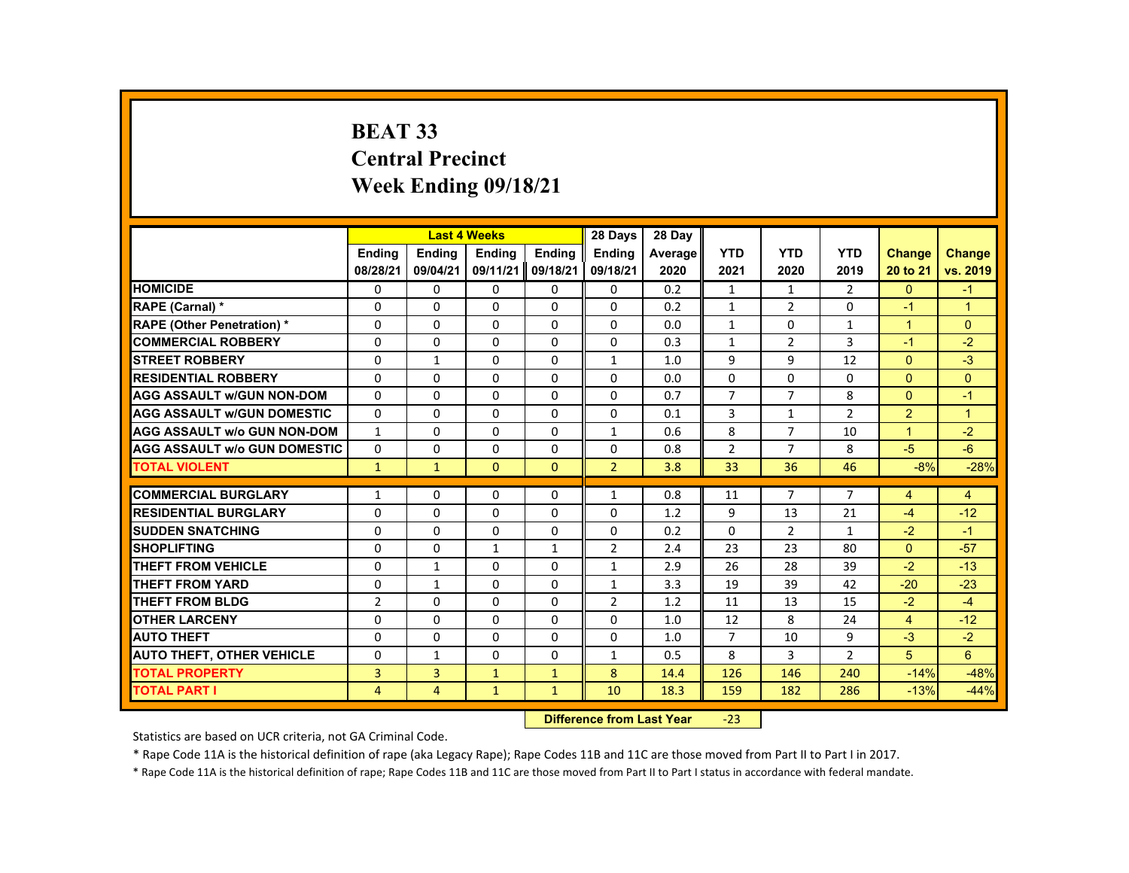# **BEAT 33 Central Precinct Week Ending 09/18/21**

|                                     |                | <b>Last 4 Weeks</b> |               |               | 28 Days        | 28 Day  |                |                |                |                |                |
|-------------------------------------|----------------|---------------------|---------------|---------------|----------------|---------|----------------|----------------|----------------|----------------|----------------|
|                                     | <b>Endina</b>  | <b>Endina</b>       | <b>Endina</b> | <b>Endina</b> | <b>Endina</b>  | Average | <b>YTD</b>     | <b>YTD</b>     | <b>YTD</b>     | <b>Change</b>  | <b>Change</b>  |
|                                     | 08/28/21       | 09/04/21            | 09/11/21      | 09/18/21      | 09/18/21       | 2020    | 2021           | 2020           | 2019           | 20 to 21       | vs. 2019       |
| <b>HOMICIDE</b>                     | 0              | 0                   | 0             | 0             | 0              | 0.2     | $\mathbf{1}$   | 1              | 2              | $\mathbf{0}$   | $-1$           |
| <b>RAPE (Carnal) *</b>              | 0              | 0                   | 0             | 0             | $\Omega$       | 0.2     | $\mathbf{1}$   | 2              | $\Omega$       | $-1$           | $\mathbf{1}$   |
| <b>RAPE (Other Penetration) *</b>   | $\Omega$       | $\Omega$            | $\Omega$      | $\Omega$      | $\Omega$       | 0.0     | $\mathbf{1}$   | $\Omega$       | $\mathbf{1}$   | $\overline{1}$ | $\Omega$       |
| <b>COMMERCIAL ROBBERY</b>           | 0              | 0                   | 0             | 0             | $\Omega$       | 0.3     | $\mathbf{1}$   | $\overline{2}$ | 3              | $-1$           | $-2$           |
| <b>STREET ROBBERY</b>               | $\Omega$       | $\mathbf{1}$        | $\Omega$      | $\Omega$      | $\mathbf{1}$   | 1.0     | 9              | 9              | 12             | $\Omega$       | $-3$           |
| <b>RESIDENTIAL ROBBERY</b>          | $\Omega$       | $\Omega$            | $\Omega$      | $\Omega$      | $\Omega$       | 0.0     | $\Omega$       | $\Omega$       | $\Omega$       | $\Omega$       | $\Omega$       |
| <b>AGG ASSAULT W/GUN NON-DOM</b>    | $\Omega$       | $\Omega$            | $\Omega$      | 0             | $\Omega$       | 0.7     | $\overline{7}$ | $\overline{7}$ | 8              | $\Omega$       | $-1$           |
| <b>AGG ASSAULT w/GUN DOMESTIC</b>   | $\Omega$       | $\Omega$            | $\Omega$      | $\Omega$      | $\Omega$       | 0.1     | 3              | $\mathbf{1}$   | $\overline{2}$ | 2              | $\overline{1}$ |
| <b>AGG ASSAULT w/o GUN NON-DOM</b>  | $\mathbf{1}$   | $\Omega$            | $\Omega$      | $\Omega$      | $\mathbf{1}$   | 0.6     | 8              | $\overline{7}$ | 10             | $\overline{1}$ | $-2$           |
| <b>AGG ASSAULT W/o GUN DOMESTIC</b> | $\Omega$       | $\Omega$            | $\Omega$      | $\Omega$      | $\Omega$       | 0.8     | $\overline{2}$ | $\overline{7}$ | 8              | $-5$           | $-6$           |
| <b>TOTAL VIOLENT</b>                | $\mathbf{1}$   | $\mathbf{1}$        | $\Omega$      | $\Omega$      | $\overline{2}$ | 3.8     | 33             | 36             | 46             | $-8%$          | $-28%$         |
|                                     |                |                     |               |               |                |         |                |                |                |                |                |
| <b>COMMERCIAL BURGLARY</b>          | $\mathbf{1}$   | $\Omega$            | 0             | 0             | $\mathbf{1}$   | 0.8     | 11             | $\overline{7}$ | $\overline{7}$ | $\overline{4}$ | 4              |
| <b>RESIDENTIAL BURGLARY</b>         | $\Omega$       | $\Omega$            | $\Omega$      | 0             | $\Omega$       | 1.2     | 9              | 13             | 21             | $-4$           | $-12$          |
| <b>SUDDEN SNATCHING</b>             | $\Omega$       | $\Omega$            | $\Omega$      | $\Omega$      | $\Omega$       | 0.2     | $\Omega$       | $\overline{2}$ | 1              | $-2$           | $-1$           |
| <b>SHOPLIFTING</b>                  | $\Omega$       | $\Omega$            | $\mathbf{1}$  | $\mathbf{1}$  | $\overline{2}$ | 2.4     | 23             | 23             | 80             | $\Omega$       | $-57$          |
| <b>THEFT FROM VEHICLE</b>           | $\Omega$       | $\mathbf{1}$        | $\Omega$      | $\Omega$      | $\mathbf{1}$   | 2.9     | 26             | 28             | 39             | $-2$           | $-13$          |
| <b>THEFT FROM YARD</b>              | $\Omega$       | $\mathbf{1}$        | $\Omega$      | $\Omega$      | 1              | 3.3     | 19             | 39             | 42             | $-20$          | $-23$          |
| <b>THEFT FROM BLDG</b>              | $\overline{2}$ | $\Omega$            | $\Omega$      | $\Omega$      | $\overline{2}$ | 1.2     | 11             | 13             | 15             | $-2$           | $-4$           |
| <b>OTHER LARCENY</b>                | $\Omega$       | $\Omega$            | $\Omega$      | $\Omega$      | $\Omega$       | 1.0     | 12             | 8              | 24             | $\overline{4}$ | $-12$          |
| <b>AUTO THEFT</b>                   | 0              | $\Omega$            | $\Omega$      | $\Omega$      | $\Omega$       | 1.0     | $\overline{7}$ | 10             | 9              | $-3$           | $-2$           |
| <b>AUTO THEFT, OTHER VEHICLE</b>    | $\Omega$       | $\mathbf{1}$        | $\Omega$      | $\Omega$      | $\mathbf{1}$   | 0.5     | 8              | 3              | $\overline{2}$ | 5              | 6              |
| <b>TOTAL PROPERTY</b>               | 3              | 3                   | $\mathbf{1}$  | $\mathbf{1}$  | 8              | 14.4    | 126            | 146            | 240            | $-14%$         | $-48%$         |
| <b>TOTAL PART I</b>                 | $\overline{4}$ | $\overline{4}$      | $\mathbf{1}$  | $\mathbf{1}$  | 10             | 18.3    | 159            | 182            | 286            | $-13%$         | $-44%$         |
|                                     |                |                     |               |               |                |         |                |                |                |                |                |

#### **Difference from Last Year**‐23

Statistics are based on UCR criteria, not GA Criminal Code.

\* Rape Code 11A is the historical definition of rape (aka Legacy Rape); Rape Codes 11B and 11C are those moved from Part II to Part I in 2017.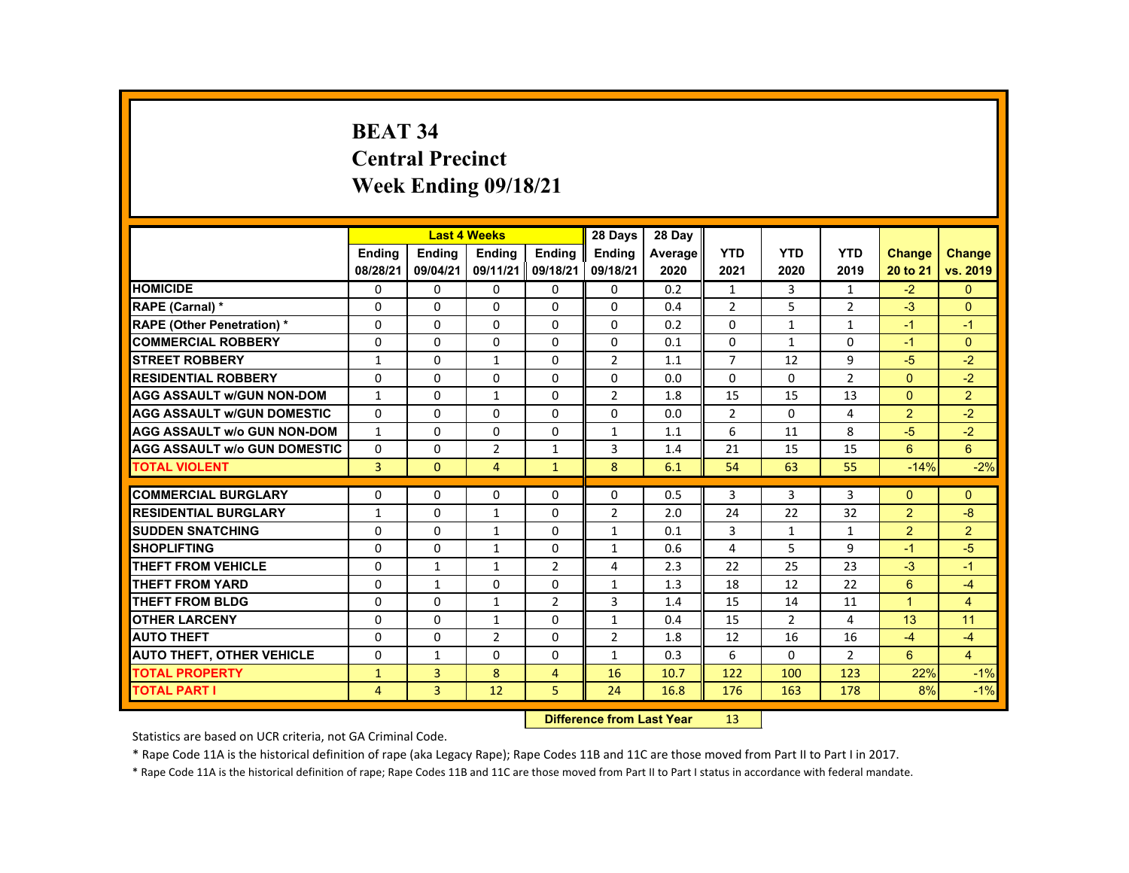# **BEAT 34 Central Precinct Week Ending 09/18/21**

|                                     |                |               | <b>Last 4 Weeks</b> |                | 28 Days        | 28 Day  |                |                |                |                      |                |
|-------------------------------------|----------------|---------------|---------------------|----------------|----------------|---------|----------------|----------------|----------------|----------------------|----------------|
|                                     | <b>Endina</b>  | <b>Endina</b> | <b>Endina</b>       | <b>Endina</b>  | <b>Endina</b>  | Average | <b>YTD</b>     | <b>YTD</b>     | <b>YTD</b>     | <b>Change</b>        | Change         |
|                                     | 08/28/21       | 09/04/21      | 09/11/21            | 09/18/21       | 09/18/21       | 2020    | 2021           | 2020           | 2019           | 20 to 21             | vs. 2019       |
| <b>HOMICIDE</b>                     | 0              | $\mathbf{0}$  | 0                   | 0              | $\Omega$       | 0.2     | $\mathbf{1}$   | 3              | $\mathbf{1}$   | $-2$                 | $\Omega$       |
| RAPE (Carnal) *                     | $\Omega$       | $\Omega$      | $\Omega$            | $\Omega$       | $\Omega$       | 0.4     | 2              | 5              | $\overline{2}$ | $-3$                 | $\Omega$       |
| <b>RAPE (Other Penetration) *</b>   | $\Omega$       | $\Omega$      | $\Omega$            | $\Omega$       | $\Omega$       | 0.2     | $\Omega$       | $\mathbf{1}$   | $\mathbf{1}$   | $-1$                 | $-1$           |
| <b>COMMERCIAL ROBBERY</b>           | $\Omega$       | $\Omega$      | $\Omega$            | $\Omega$       | $\Omega$       | 0.1     | $\Omega$       | $\mathbf{1}$   | $\Omega$       | $-1$                 | $\Omega$       |
| <b>STREET ROBBERY</b>               | $\mathbf{1}$   | $\Omega$      | $\mathbf{1}$        | $\Omega$       | $\overline{2}$ | 1.1     | $\overline{7}$ | 12             | 9              | $-5$                 | $-2$           |
| <b>RESIDENTIAL ROBBERY</b>          | $\Omega$       | $\Omega$      | $\Omega$            | $\Omega$       | $\Omega$       | 0.0     | $\Omega$       | $\Omega$       | $\overline{2}$ | $\Omega$             | $-2$           |
| <b>AGG ASSAULT W/GUN NON-DOM</b>    | $\mathbf{1}$   | $\Omega$      | $\mathbf{1}$        | $\Omega$       | $\overline{2}$ | 1.8     | 15             | 15             | 13             | $\Omega$             | $\overline{2}$ |
| <b>AGG ASSAULT w/GUN DOMESTIC</b>   | $\Omega$       | $\Omega$      | $\Omega$            | $\Omega$       | $\Omega$       | 0.0     | $\overline{2}$ | $\Omega$       | 4              | $\overline{2}$       | $-2$           |
| <b>AGG ASSAULT w/o GUN NON-DOM</b>  | $\mathbf{1}$   | $\mathbf{0}$  | 0                   | 0              | $\mathbf{1}$   | 1.1     | 6              | 11             | 8              | $-5$                 | $-2$           |
| <b>AGG ASSAULT W/o GUN DOMESTIC</b> | $\Omega$       | $\Omega$      | $\overline{2}$      | $\mathbf{1}$   | 3              | 1.4     | 21             | 15             | 15             | 6                    | 6              |
| <b>TOTAL VIOLENT</b>                | $\overline{3}$ | $\Omega$      | $\overline{4}$      | $\mathbf{1}$   | 8              | 6.1     | 54             | 63             | 55             | $-14%$               | $-2%$          |
|                                     |                |               |                     |                |                |         |                |                |                |                      |                |
| <b>COMMERCIAL BURGLARY</b>          | $\Omega$       | $\Omega$      | $\Omega$            | $\Omega$       | $\Omega$       | 0.5     | 3              | 3              | 3              | $\Omega$             | $\Omega$       |
| <b>RESIDENTIAL BURGLARY</b>         | $\mathbf{1}$   | $\mathbf{0}$  | $\mathbf{1}$        | 0              | $\overline{2}$ | 2.0     | 24             | 22             | 32             | $\overline{2}$       | $-8$           |
| <b>SUDDEN SNATCHING</b>             | $\Omega$       | $\Omega$      | $\mathbf{1}$        | $\Omega$       | $\mathbf{1}$   | 0.1     | 3              | $\mathbf{1}$   | $\mathbf{1}$   | $\overline{2}$       | 2              |
| <b>SHOPLIFTING</b>                  | $\Omega$       | $\Omega$      | $\mathbf{1}$        | $\Omega$       | $\mathbf{1}$   | 0.6     | 4              | 5              | 9              | $-1$                 | $-5$           |
| <b>THEFT FROM VEHICLE</b>           | 0              | 1             | 1                   | $\overline{2}$ | 4              | 2.3     | 22             | 25             | 23             | $-3$                 | $-1$           |
| <b>THEFT FROM YARD</b>              | $\Omega$       | $\mathbf{1}$  | $\Omega$            | $\Omega$       | $\mathbf{1}$   | 1.3     | 18             | 12             | 22             | 6                    | $-4$           |
| <b>THEFT FROM BLDG</b>              | $\Omega$       | $\Omega$      | $\mathbf{1}$        | $\overline{2}$ | 3              | 1.4     | 15             | 14             | 11             | $\blacktriangleleft$ | $\overline{4}$ |
| <b>OTHER LARCENY</b>                | 0              | $\Omega$      | $\mathbf{1}$        | $\Omega$       | $\mathbf{1}$   | 0.4     | 15             | $\overline{2}$ | 4              | 13                   | 11             |
| <b>AUTO THEFT</b>                   | $\Omega$       | $\Omega$      | $\overline{2}$      | $\Omega$       | $\overline{2}$ | 1.8     | 12             | 16             | 16             | $-4$                 | $-4$           |
| <b>AUTO THEFT, OTHER VEHICLE</b>    | $\Omega$       | $\mathbf{1}$  | $\Omega$            | $\Omega$       | $\mathbf{1}$   | 0.3     | 6              | $\Omega$       | $\overline{2}$ | $6\overline{6}$      | $\overline{4}$ |
| <b>TOTAL PROPERTY</b>               | $\mathbf{1}$   | 3             | 8                   | $\overline{4}$ | 16             | 10.7    | 122            | 100            | 123            | 22%                  | $-1%$          |
| <b>TOTAL PART I</b>                 | $\overline{4}$ | 3             | 12                  | 5              | 24             | 16.8    | 176            | 163            | 178            | 8%                   | $-1%$          |

#### **Difference from Last Year**r 13

Statistics are based on UCR criteria, not GA Criminal Code.

\* Rape Code 11A is the historical definition of rape (aka Legacy Rape); Rape Codes 11B and 11C are those moved from Part II to Part I in 2017.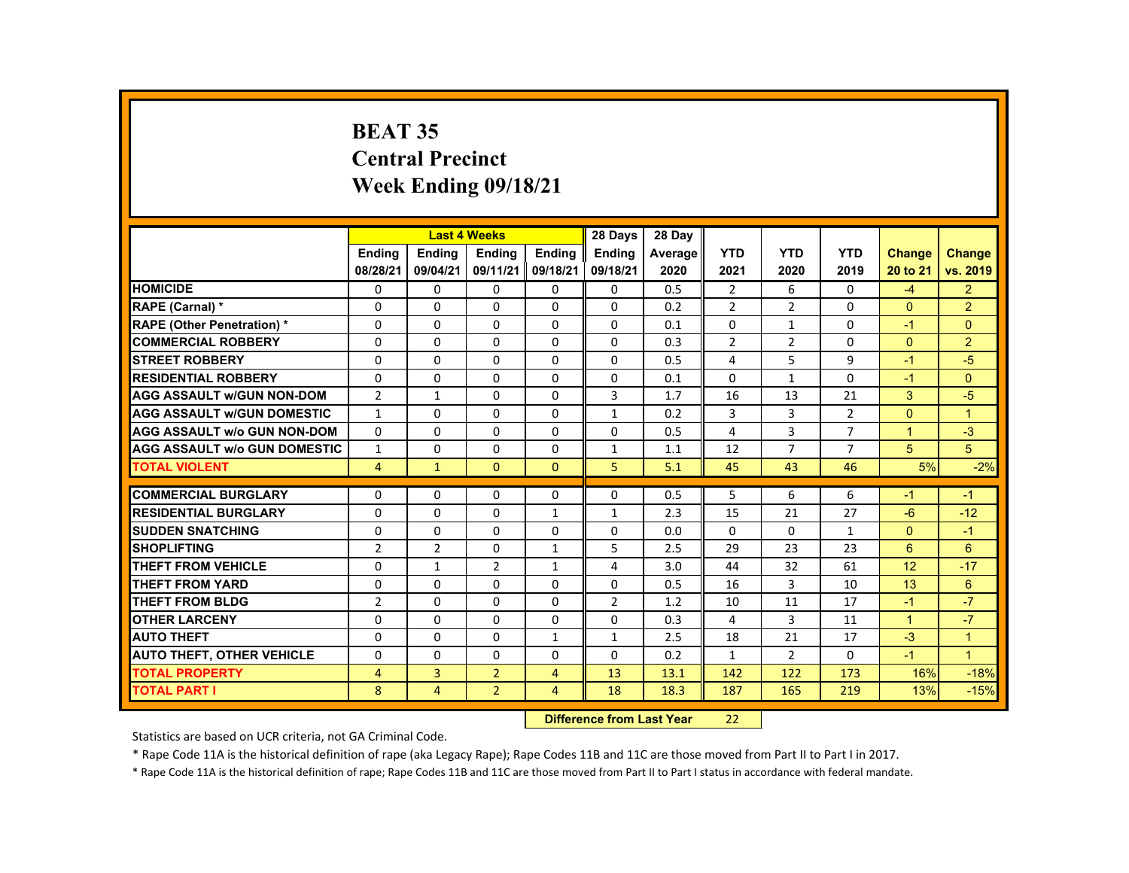# **BEAT 35 Central Precinct Week Ending 09/18/21**

|                                     |                |                | <b>Last 4 Weeks</b> |                | 28 Days        | 28 Day  |                |                |                |                      |                      |
|-------------------------------------|----------------|----------------|---------------------|----------------|----------------|---------|----------------|----------------|----------------|----------------------|----------------------|
|                                     | <b>Endina</b>  | <b>Endina</b>  | <b>Endina</b>       | <b>Endina</b>  | <b>Endina</b>  | Average | <b>YTD</b>     | <b>YTD</b>     | <b>YTD</b>     | <b>Change</b>        | Change               |
|                                     | 08/28/21       | 09/04/21       | 09/11/21            | 09/18/21       | 09/18/21       | 2020    | 2021           | 2020           | 2019           | 20 to 21             | vs. 2019             |
| <b>HOMICIDE</b>                     | 0              | 0              | 0                   | 0              | 0              | 0.5     | $\overline{2}$ | 6              | 0              | $-4$                 | $\overline{2}$       |
| RAPE (Carnal) *                     | $\Omega$       | $\Omega$       | $\Omega$            | $\Omega$       | $\Omega$       | 0.2     | $\overline{2}$ | 2              | $\Omega$       | $\Omega$             | $\overline{2}$       |
| <b>RAPE (Other Penetration) *</b>   | $\Omega$       | $\Omega$       | $\Omega$            | $\Omega$       | $\Omega$       | 0.1     | $\Omega$       | $\mathbf{1}$   | $\Omega$       | $-1$                 | $\Omega$             |
| <b>COMMERCIAL ROBBERY</b>           | 0              | 0              | 0                   | 0              | 0              | 0.3     | $\overline{2}$ | $\overline{2}$ | 0              | $\Omega$             | 2                    |
| <b>STREET ROBBERY</b>               | $\Omega$       | $\Omega$       | $\Omega$            | $\Omega$       | $\Omega$       | 0.5     | 4              | 5              | 9              | -1                   | $-5$                 |
| <b>RESIDENTIAL ROBBERY</b>          | $\Omega$       | $\Omega$       | $\Omega$            | $\Omega$       | $\Omega$       | 0.1     | $\Omega$       | $\mathbf{1}$   | $\Omega$       | $-1$                 | $\Omega$             |
| <b>AGG ASSAULT w/GUN NON-DOM</b>    | $\overline{2}$ | $\mathbf{1}$   | $\Omega$            | 0              | 3              | 1.7     | 16             | 13             | 21             | 3                    | $-5$                 |
| <b>AGG ASSAULT w/GUN DOMESTIC</b>   | $\mathbf{1}$   | $\Omega$       | $\Omega$            | $\Omega$       | $\mathbf{1}$   | 0.2     | 3              | 3              | $\overline{2}$ | $\Omega$             | $\blacktriangleleft$ |
| <b>AGG ASSAULT w/o GUN NON-DOM</b>  | $\Omega$       | $\Omega$       | $\Omega$            | $\Omega$       | $\Omega$       | 0.5     | 4              | 3              | $\overline{7}$ | $\overline{1}$       | $-3$                 |
| <b>AGG ASSAULT W/o GUN DOMESTIC</b> | $\mathbf{1}$   | $\Omega$       | $\Omega$            | $\Omega$       | $\mathbf{1}$   | 1.1     | 12             | $\overline{7}$ | $\overline{7}$ | 5                    | 5                    |
| <b>TOTAL VIOLENT</b>                | $\overline{4}$ | $\mathbf{1}$   | $\Omega$            | $\Omega$       | 5              | 5.1     | 45             | 43             | 46             | 5%                   | $-2%$                |
|                                     |                |                |                     |                |                |         |                |                |                |                      |                      |
| <b>COMMERCIAL BURGLARY</b>          | $\Omega$       | $\Omega$       | $\Omega$            | $\Omega$       | $\Omega$       | 0.5     | 5              | 6              | 6              | $-1$                 | $-1$                 |
| <b>RESIDENTIAL BURGLARY</b>         | $\Omega$       | 0              | $\Omega$            | $\mathbf{1}$   | $\mathbf{1}$   | 2.3     | 15             | 21             | 27             | $-6$                 | $-12$                |
| <b>SUDDEN SNATCHING</b>             | $\Omega$       | $\Omega$       | $\Omega$            | $\Omega$       | $\Omega$       | 0.0     | $\Omega$       | $\Omega$       | $\mathbf{1}$   | $\Omega$             | $-1$                 |
| <b>SHOPLIFTING</b>                  | $\overline{2}$ | $\overline{2}$ | $\Omega$            | $\mathbf{1}$   | 5              | 2.5     | 29             | 23             | 23             | 6                    | 6                    |
| <b>THEFT FROM VEHICLE</b>           | $\Omega$       | $\mathbf{1}$   | $\overline{2}$      | $\mathbf{1}$   | 4              | 3.0     | 44             | 32             | 61             | 12                   | $-17$                |
| <b>THEFT FROM YARD</b>              | $\Omega$       | $\Omega$       | $\Omega$            | $\Omega$       | $\Omega$       | 0.5     | 16             | 3              | 10             | 13                   | 6                    |
| <b>THEFT FROM BLDG</b>              | $\overline{2}$ | $\Omega$       | $\Omega$            | $\Omega$       | $\overline{2}$ | 1.2     | 10             | 11             | 17             | $-1$                 | $-7$                 |
| <b>OTHER LARCENY</b>                | $\Omega$       | 0              | $\Omega$            | $\Omega$       | $\Omega$       | 0.3     | 4              | 3              | 11             | $\blacktriangleleft$ | $-7$                 |
| <b>AUTO THEFT</b>                   | $\Omega$       | $\Omega$       | $\Omega$            | $\mathbf{1}$   | $\mathbf{1}$   | 2.5     | 18             | 21             | 17             | $-3$                 | $\overline{1}$       |
| <b>AUTO THEFT, OTHER VEHICLE</b>    | $\Omega$       | $\Omega$       | $\Omega$            | $\Omega$       | $\Omega$       | 0.2     | $\mathbf{1}$   | $\overline{2}$ | $\Omega$       | $-1$                 | $\blacktriangleleft$ |
| <b>TOTAL PROPERTY</b>               | 4              | 3              | $\overline{2}$      | $\overline{4}$ | 13             | 13.1    | 142            | 122            | 173            | 16%                  | $-18%$               |
| <b>TOTAL PART I</b>                 | 8              | $\overline{4}$ | $\overline{2}$      | $\overline{4}$ | 18             | 18.3    | 187            | 165            | 219            | 13%                  | $-15%$               |

#### **Difference from Last Year**22

Statistics are based on UCR criteria, not GA Criminal Code.

\* Rape Code 11A is the historical definition of rape (aka Legacy Rape); Rape Codes 11B and 11C are those moved from Part II to Part I in 2017.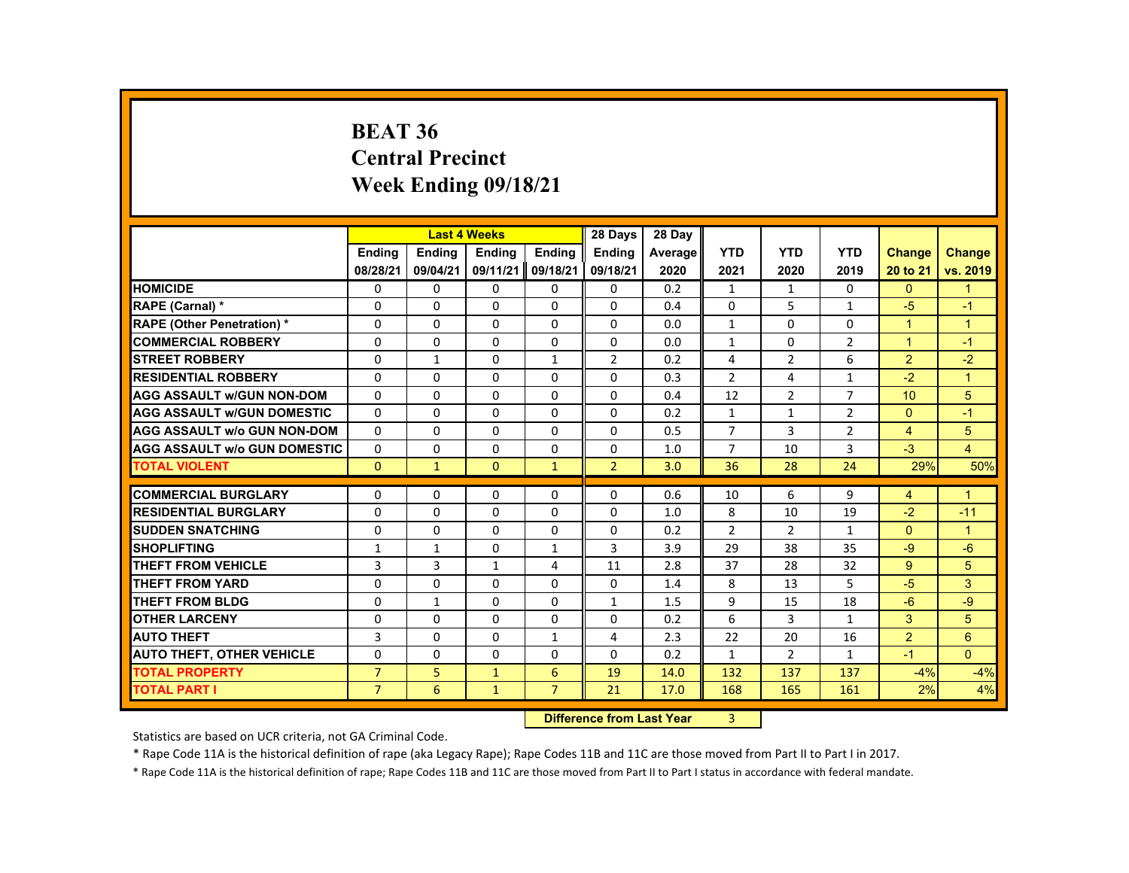## **BEAT 36 Central Precinct Week Ending 09/18/21**

|                                     |                |               | <b>Last 4 Weeks</b> |                | 28 Days                          | 28 Day         |                |                |                |                |                |
|-------------------------------------|----------------|---------------|---------------------|----------------|----------------------------------|----------------|----------------|----------------|----------------|----------------|----------------|
|                                     | <b>Endina</b>  | <b>Ending</b> | <b>Ending</b>       | <b>Endina</b>  | <b>Endina</b>                    | <b>Average</b> | <b>YTD</b>     | <b>YTD</b>     | <b>YTD</b>     | Change         | <b>Change</b>  |
|                                     | 08/28/21       | 09/04/21      | 09/11/21            | 09/18/21       | 09/18/21                         | 2020           | 2021           | 2020           | 2019           | 20 to 21       | vs. 2019       |
| <b>HOMICIDE</b>                     | 0              | 0             | 0                   | 0              | 0                                | 0.2            | 1              | $\mathbf{1}$   | 0              | $\Omega$       | $\mathbf{1}$   |
| RAPE (Carnal) *                     | $\Omega$       | $\Omega$      | $\Omega$            | $\Omega$       | $\Omega$                         | 0.4            | $\Omega$       | 5              | $\mathbf{1}$   | $-5$           | $-1$           |
| <b>RAPE (Other Penetration) *</b>   | 0              | 0             | 0                   | 0              | 0                                | 0.0            | $\mathbf{1}$   | 0              | 0              | $\overline{1}$ | $\mathbf{1}$   |
| <b>COMMERCIAL ROBBERY</b>           | $\Omega$       | 0             | $\Omega$            | 0              | $\Omega$                         | 0.0            | $\mathbf{1}$   | $\Omega$       | $\overline{2}$ | $\mathbf{1}$   | $-1$           |
| <b>STREET ROBBERY</b>               | $\Omega$       | $\mathbf{1}$  | $\Omega$            | $\mathbf{1}$   | $\overline{2}$                   | 0.2            | 4              | $\overline{2}$ | 6              | $\overline{2}$ | $-2$           |
| <b>RESIDENTIAL ROBBERY</b>          | $\Omega$       | $\Omega$      | $\Omega$            | $\Omega$       | $\Omega$                         | 0.3            | $\overline{2}$ | 4              | $\mathbf{1}$   | $-2$           | $\overline{1}$ |
| <b>AGG ASSAULT w/GUN NON-DOM</b>    | 0              | 0             | $\Omega$            | 0              | 0                                | 0.4            | 12             | $\overline{2}$ | $\overline{7}$ | 10             | 5              |
| <b>AGG ASSAULT W/GUN DOMESTIC</b>   | $\Omega$       | $\Omega$      | $\Omega$            | $\Omega$       | $\Omega$                         | 0.2            | $\mathbf{1}$   | $\mathbf{1}$   | $\overline{2}$ | $\Omega$       | $-1$           |
| <b>AGG ASSAULT w/o GUN NON-DOM</b>  | 0              | $\Omega$      | $\Omega$            | $\Omega$       | $\Omega$                         | 0.5            | $\overline{7}$ | 3              | $\overline{2}$ | $\overline{4}$ | 5              |
| <b>AGG ASSAULT w/o GUN DOMESTIC</b> | $\Omega$       | $\Omega$      | $\Omega$            | $\Omega$       | $\Omega$                         | 1.0            | $\overline{7}$ | 10             | 3              | $-3$           | $\overline{4}$ |
| <b>TOTAL VIOLENT</b>                | $\mathbf{0}$   | $\mathbf{1}$  | $\Omega$            | $\mathbf{1}$   | $\overline{2}$                   | 3.0            | 36             | 28             | 24             | 29%            | 50%            |
| <b>COMMERCIAL BURGLARY</b>          | 0              | $\Omega$      | $\Omega$            | $\Omega$       | 0                                | 0.6            | 10             | 6              | 9              | $\overline{4}$ | $\overline{1}$ |
| <b>RESIDENTIAL BURGLARY</b>         | 0              | $\Omega$      | 0                   | 0              | 0                                | 1.0            | 8              | 10             | 19             | $-2$           | $-11$          |
| <b>SUDDEN SNATCHING</b>             | $\Omega$       | 0             | $\Omega$            | 0              | $\Omega$                         | 0.2            | $\overline{2}$ | $\overline{2}$ | $\mathbf{1}$   | $\Omega$       | $\mathbf{1}$   |
| <b>SHOPLIFTING</b>                  | $\mathbf{1}$   | $\mathbf{1}$  | $\Omega$            | $\mathbf{1}$   | 3                                | 3.9            | 29             | 38             | 35             | $-9$           | $-6$           |
| <b>THEFT FROM VEHICLE</b>           | 3              | 3             | $\mathbf{1}$        | 4              | 11                               | 2.8            | 37             | 28             | 32             | 9              | 5              |
| <b>THEFT FROM YARD</b>              | 0              | 0             | $\Omega$            | 0              | 0                                | 1.4            | 8              | 13             | 5              | $-5$           | 3              |
| <b>THEFT FROM BLDG</b>              | $\Omega$       | $\mathbf{1}$  | $\Omega$            | $\Omega$       | $\mathbf{1}$                     | 1.5            | 9              | 15             | 18             | $-6$           | $-9$           |
| <b>OTHER LARCENY</b>                | $\Omega$       | $\Omega$      | $\Omega$            | $\Omega$       | $\Omega$                         | 0.2            | 6              | 3              | $\mathbf{1}$   | 3              | 5              |
| <b>AUTO THEFT</b>                   | 3              | $\Omega$      | $\Omega$            | $\mathbf{1}$   | 4                                | 2.3            | 22             | 20             | 16             | $\overline{2}$ | 6              |
| <b>AUTO THEFT, OTHER VEHICLE</b>    | $\Omega$       | $\Omega$      | $\Omega$            | $\Omega$       | $\Omega$                         | 0.2            | $\mathbf{1}$   | $\overline{2}$ | $\mathbf{1}$   | $-1$           | $\Omega$       |
| <b>TOTAL PROPERTY</b>               | $\overline{7}$ | 5             | $\mathbf{1}$        | 6              | 19                               | 14.0           | 132            | 137            | 137            | $-4%$          | $-4%$          |
| <b>TOTAL PART I</b>                 | $\overline{7}$ | 6             | $\mathbf{1}$        | $\overline{7}$ | 21                               | 17.0           | 168            | 165            | 161            | 2%             | 4%             |
|                                     |                |               |                     |                | <b>Difference from Last Year</b> |                | 3              |                |                |                |                |

 **Difference from Last Year**

Statistics are based on UCR criteria, not GA Criminal Code.

\* Rape Code 11A is the historical definition of rape (aka Legacy Rape); Rape Codes 11B and 11C are those moved from Part II to Part I in 2017.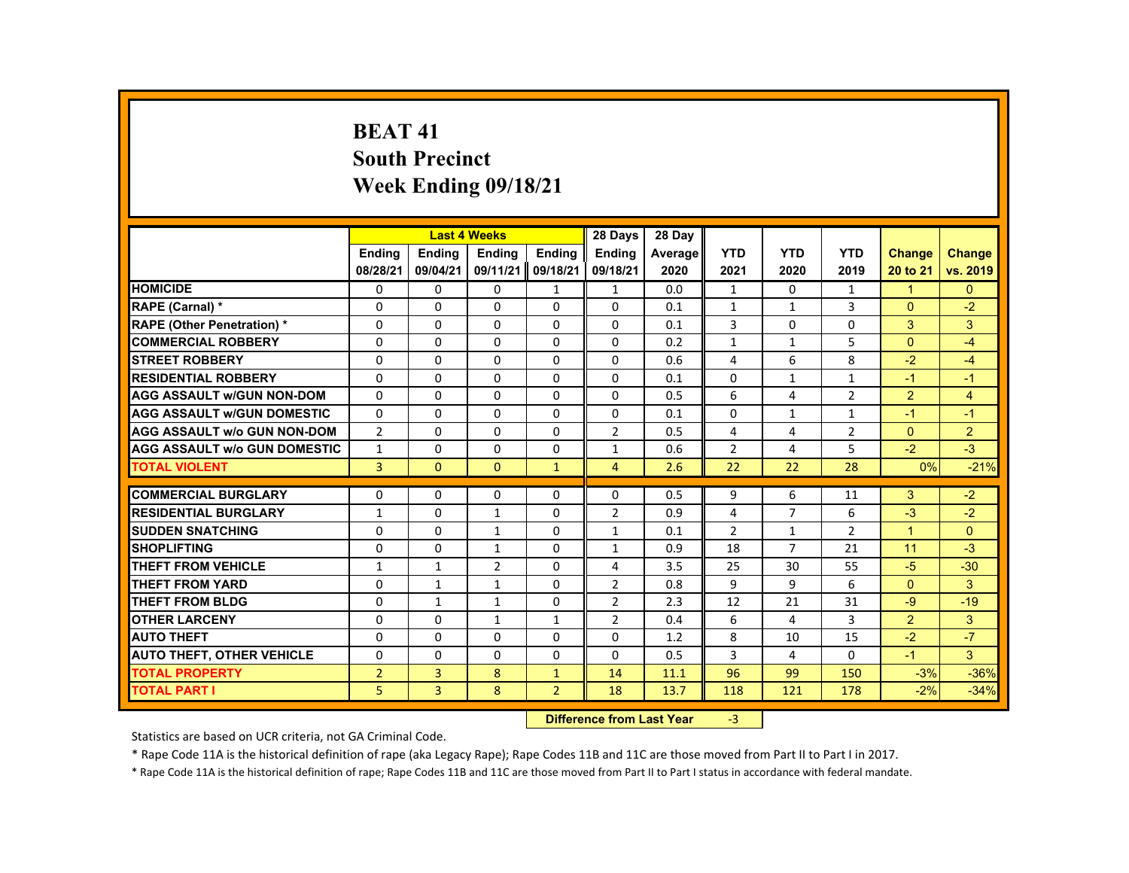# **BEAT 41 South Precinct Week Ending 09/18/21**

|                                     |                |                | <b>Last 4 Weeks</b> |                | 28 Days        | 28 Day  |                |                |                |                |                |
|-------------------------------------|----------------|----------------|---------------------|----------------|----------------|---------|----------------|----------------|----------------|----------------|----------------|
|                                     | <b>Endina</b>  | <b>Endina</b>  | <b>Endina</b>       | <b>Endina</b>  | <b>Endina</b>  | Average | <b>YTD</b>     | <b>YTD</b>     | <b>YTD</b>     | <b>Change</b>  | <b>Change</b>  |
|                                     | 08/28/21       | 09/04/21       | 09/11/21            | 09/18/21       | 09/18/21       | 2020    | 2021           | 2020           | 2019           | 20 to 21       | vs. 2019       |
| <b>HOMICIDE</b>                     | 0              | 0              | 0                   | 1              | 1              | 0.0     | 1              | 0              | $\mathbf{1}$   | $\mathbf{1}$   | $\Omega$       |
| RAPE (Carnal) *                     | $\Omega$       | $\Omega$       | $\Omega$            | $\Omega$       | $\Omega$       | 0.1     | $\mathbf{1}$   | $\mathbf{1}$   | 3              | $\Omega$       | $-2$           |
| <b>RAPE (Other Penetration) *</b>   | $\Omega$       | $\Omega$       | $\Omega$            | $\Omega$       | $\Omega$       | 0.1     | 3              | $\Omega$       | $\Omega$       | 3              | 3              |
| <b>COMMERCIAL ROBBERY</b>           | 0              | 0              | 0                   | 0              | 0              | 0.2     | $\mathbf{1}$   | $\mathbf{1}$   | 5              | $\mathbf{0}$   | $-4$           |
| <b>STREET ROBBERY</b>               | $\Omega$       | $\Omega$       | $\Omega$            | $\Omega$       | $\Omega$       | 0.6     | 4              | 6              | 8              | $-2$           | $-4$           |
| <b>RESIDENTIAL ROBBERY</b>          | $\Omega$       | $\Omega$       | $\Omega$            | $\Omega$       | $\Omega$       | 0.1     | $\Omega$       | $\mathbf{1}$   | $\mathbf{1}$   | $-1$           | $-1$           |
| <b>AGG ASSAULT w/GUN NON-DOM</b>    | $\Omega$       | $\Omega$       | $\Omega$            | $\Omega$       | $\Omega$       | 0.5     | 6              | 4              | $\overline{2}$ | 2              | $\overline{4}$ |
| <b>AGG ASSAULT w/GUN DOMESTIC</b>   | $\Omega$       | $\Omega$       | $\Omega$            | $\Omega$       | $\Omega$       | 0.1     | $\Omega$       | $\mathbf{1}$   | $\mathbf{1}$   | $-1$           | $-1$           |
| <b>AGG ASSAULT w/o GUN NON-DOM</b>  | $\overline{2}$ | $\Omega$       | $\Omega$            | $\Omega$       | $\overline{2}$ | 0.5     | 4              | 4              | $\overline{2}$ | $\Omega$       | $\overline{2}$ |
| <b>AGG ASSAULT w/o GUN DOMESTIC</b> | $\mathbf{1}$   | 0              | $\Omega$            | 0              | $\mathbf{1}$   | 0.6     | $\overline{2}$ | 4              | 5              | $-2$           | $-3$           |
| <b>TOTAL VIOLENT</b>                | $\overline{3}$ | $\Omega$       | $\Omega$            | $\mathbf{1}$   | $\overline{4}$ | 2.6     | 22             | 22             | 28             | 0%             | $-21%$         |
|                                     |                |                |                     |                |                |         |                |                |                |                |                |
| <b>COMMERCIAL BURGLARY</b>          | $\Omega$       | $\Omega$       | $\Omega$            | $\Omega$       | $\Omega$       | 0.5     | 9              | 6              | 11             | 3              | $-2$           |
| <b>RESIDENTIAL BURGLARY</b>         | $\mathbf{1}$   | 0              | $\mathbf{1}$        | 0              | $\overline{2}$ | 0.9     | 4              | $\overline{7}$ | 6              | $-3$           | $-2$           |
| <b>SUDDEN SNATCHING</b>             | $\Omega$       | $\Omega$       | $\mathbf{1}$        | $\Omega$       | $\mathbf{1}$   | 0.1     | $\overline{2}$ | $\mathbf{1}$   | $\overline{2}$ | $\overline{1}$ | $\Omega$       |
| <b>SHOPLIFTING</b>                  | $\Omega$       | $\Omega$       | $\mathbf{1}$        | $\Omega$       | $\mathbf{1}$   | 0.9     | 18             | $\overline{7}$ | 21             | 11             | $-3$           |
| THEFT FROM VEHICLE                  | $\mathbf{1}$   | $\mathbf{1}$   | $\overline{2}$      | 0              | 4              | 3.5     | 25             | 30             | 55             | $-5$           | $-30$          |
| <b>THEFT FROM YARD</b>              | $\Omega$       | $\mathbf{1}$   | $\mathbf{1}$        | $\Omega$       | $\overline{2}$ | 0.8     | 9              | 9              | 6              | $\Omega$       | 3              |
| <b>THEFT FROM BLDG</b>              | $\Omega$       | $\mathbf{1}$   | $\mathbf{1}$        | $\Omega$       | $\overline{2}$ | 2.3     | 12             | 21             | 31             | $-9$           | $-19$          |
| <b>OTHER LARCENY</b>                | 0              | 0              | $\mathbf{1}$        | $\mathbf{1}$   | 2              | 0.4     | 6              | 4              | 3              | $\overline{2}$ | 3              |
| <b>AUTO THEFT</b>                   | $\Omega$       | $\Omega$       | $\Omega$            | $\Omega$       | $\Omega$       | 1.2     | 8              | 10             | 15             | $-2$           | $-7$           |
| <b>AUTO THEFT, OTHER VEHICLE</b>    | $\Omega$       | $\Omega$       | $\Omega$            | $\Omega$       | $\Omega$       | 0.5     | 3              | 4              | $\Omega$       | $-1$           | 3              |
| <b>TOTAL PROPERTY</b>               | $\overline{2}$ | $\overline{3}$ | 8                   | $\mathbf{1}$   | 14             | 11.1    | 96             | 99             | 150            | $-3%$          | $-36%$         |
| <b>TOTAL PART I</b>                 | 5.             | $\overline{3}$ | 8                   | $\overline{2}$ | 18             | 13.7    | 118            | 121            | 178            | $-2%$          | $-34%$         |

#### **Difference from Last Year**r -3

Statistics are based on UCR criteria, not GA Criminal Code.

\* Rape Code 11A is the historical definition of rape (aka Legacy Rape); Rape Codes 11B and 11C are those moved from Part II to Part I in 2017.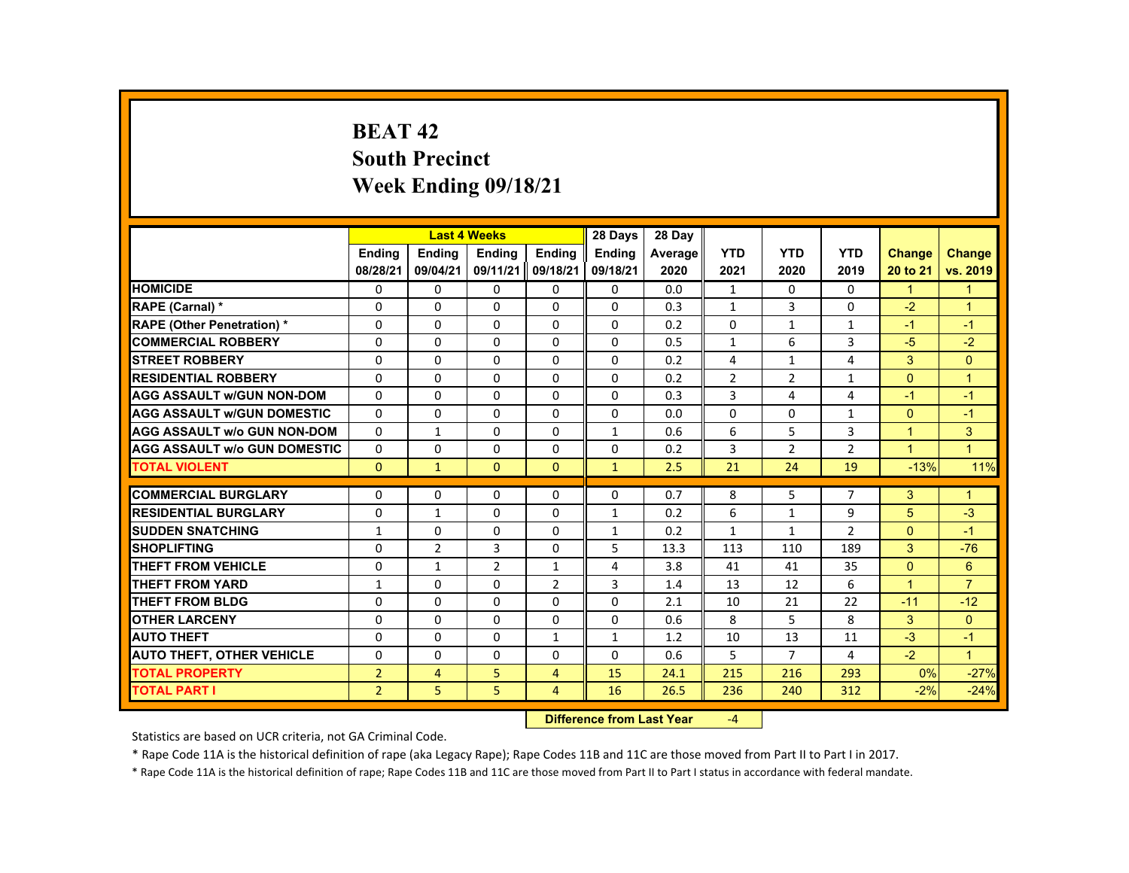# **BEAT 42 South Precinct Week Ending 09/18/21**

|                                     |                |                | <b>Last 4 Weeks</b> |                | 28 Days       | 28 Day  |                |                |                |                      |                      |
|-------------------------------------|----------------|----------------|---------------------|----------------|---------------|---------|----------------|----------------|----------------|----------------------|----------------------|
|                                     | <b>Endina</b>  | <b>Endina</b>  | <b>Endina</b>       | <b>Endina</b>  | <b>Endina</b> | Average | <b>YTD</b>     | <b>YTD</b>     | <b>YTD</b>     | <b>Change</b>        | <b>Change</b>        |
|                                     | 08/28/21       | 09/04/21       | 09/11/21            | 09/18/21       | 09/18/21      | 2020    | 2021           | 2020           | 2019           | 20 to 21             | vs. 2019             |
| <b>HOMICIDE</b>                     | 0              | 0              | 0                   | 0              | 0             | 0.0     | 1              | 0              | $\mathbf{0}$   | 1                    | 1                    |
| <b>RAPE (Carnal) *</b>              | $\Omega$       | $\Omega$       | $\Omega$            | $\Omega$       | $\Omega$      | 0.3     | $\mathbf{1}$   | 3              | 0              | $-2$                 | $\overline{1}$       |
| <b>RAPE (Other Penetration) *</b>   | $\Omega$       | $\Omega$       | $\Omega$            | $\Omega$       | $\Omega$      | 0.2     | $\Omega$       | $\mathbf{1}$   | $\mathbf{1}$   | $-1$                 | $-1$                 |
| <b>COMMERCIAL ROBBERY</b>           | 0              | 0              | 0                   | 0              | 0             | 0.5     | $\mathbf{1}$   | 6              | 3              | $-5$                 | $-2$                 |
| <b>STREET ROBBERY</b>               | $\Omega$       | $\Omega$       | $\Omega$            | $\Omega$       | $\Omega$      | 0.2     | 4              | $\mathbf{1}$   | 4              | 3                    | $\Omega$             |
| <b>RESIDENTIAL ROBBERY</b>          | $\Omega$       | $\Omega$       | $\Omega$            | $\Omega$       | $\Omega$      | 0.2     | $\overline{2}$ | $\overline{2}$ | $\mathbf{1}$   | $\Omega$             | $\overline{1}$       |
| <b>AGG ASSAULT W/GUN NON-DOM</b>    | $\Omega$       | $\Omega$       | $\Omega$            | $\Omega$       | $\Omega$      | 0.3     | 3              | 4              | 4              | $-1$                 | $-1$                 |
| <b>AGG ASSAULT W/GUN DOMESTIC</b>   | $\Omega$       | $\Omega$       | $\Omega$            | $\Omega$       | $\Omega$      | 0.0     | $\Omega$       | $\Omega$       | $\mathbf{1}$   | $\Omega$             | $-1$                 |
| <b>AGG ASSAULT W/o GUN NON-DOM</b>  | $\Omega$       | $\mathbf{1}$   | $\Omega$            | $\Omega$       | $\mathbf{1}$  | 0.6     | 6              | 5              | 3              | $\mathbf{1}$         | 3                    |
| <b>AGG ASSAULT W/o GUN DOMESTIC</b> | $\Omega$       | $\Omega$       | $\Omega$            | $\Omega$       | $\Omega$      | 0.2     | 3              | $\overline{2}$ | $\overline{2}$ | $\overline{1}$       | $\blacktriangleleft$ |
| <b>TOTAL VIOLENT</b>                | $\Omega$       | $\mathbf{1}$   | $\Omega$            | $\Omega$       | $\mathbf{1}$  | 2.5     | 21             | 24             | 19             | $-13%$               | 11%                  |
|                                     |                |                |                     |                |               |         |                |                |                |                      |                      |
| <b>COMMERCIAL BURGLARY</b>          | $\Omega$       | $\Omega$       | $\Omega$            | $\Omega$       | $\Omega$      | 0.7     | 8              | 5              | $\overline{7}$ | 3                    | $\mathbf{1}$         |
| <b>RESIDENTIAL BURGLARY</b>         | $\Omega$       | $\mathbf{1}$   | 0                   | 0              | $\mathbf{1}$  | 0.2     | 6              | $\mathbf{1}$   | 9              | 5                    | $-3$                 |
| <b>SUDDEN SNATCHING</b>             | $\mathbf{1}$   | 0              | 0                   | 0              | $\mathbf{1}$  | 0.2     | $\mathbf{1}$   | $\mathbf{1}$   | $\overline{2}$ | $\Omega$             | $-1$                 |
| <b>SHOPLIFTING</b>                  | $\Omega$       | $\overline{2}$ | $\overline{3}$      | $\Omega$       | 5             | 13.3    | 113            | 110            | 189            | 3                    | $-76$                |
| <b>THEFT FROM VEHICLE</b>           | 0              | $\mathbf{1}$   | $\overline{2}$      | $\mathbf{1}$   | 4             | 3.8     | 41             | 41             | 35             | $\mathbf{0}$         | $6^{\circ}$          |
| <b>THEFT FROM YARD</b>              | $\mathbf{1}$   | $\Omega$       | $\Omega$            | $\overline{2}$ | 3             | 1.4     | 13             | 12             | 6              | $\blacktriangleleft$ | $\overline{7}$       |
| THEFT FROM BLDG                     | $\Omega$       | $\Omega$       | $\Omega$            | $\Omega$       | $\Omega$      | 2.1     | 10             | 21             | 22             | $-11$                | $-12$                |
| <b>OTHER LARCENY</b>                | 0              | 0              | $\Omega$            | $\Omega$       | $\Omega$      | 0.6     | 8              | 5              | 8              | 3                    | $\Omega$             |
| <b>AUTO THEFT</b>                   | $\Omega$       | $\Omega$       | $\Omega$            | $\mathbf{1}$   | $\mathbf{1}$  | 1.2     | 10             | 13             | 11             | $-3$                 | $-1$                 |
| <b>AUTO THEFT, OTHER VEHICLE</b>    | $\Omega$       | $\Omega$       | $\Omega$            | $\Omega$       | $\Omega$      | 0.6     | 5              | $\overline{7}$ | 4              | $-2$                 | $\overline{1}$       |
| <b>TOTAL PROPERTY</b>               | $\overline{2}$ | $\overline{4}$ | 5                   | 4              | 15            | 24.1    | 215            | 216            | 293            | 0%                   | $-27%$               |
| TOTAL PART I                        | 2 <sup>1</sup> | 5 <sub>1</sub> | 5 <sup>1</sup>      | $\overline{4}$ | 16            | 26.5    | 236            | 240            | 312            | $-2%$                | $-24%$               |

#### **Difference from Last Year**‐4

Statistics are based on UCR criteria, not GA Criminal Code.

\* Rape Code 11A is the historical definition of rape (aka Legacy Rape); Rape Codes 11B and 11C are those moved from Part II to Part I in 2017.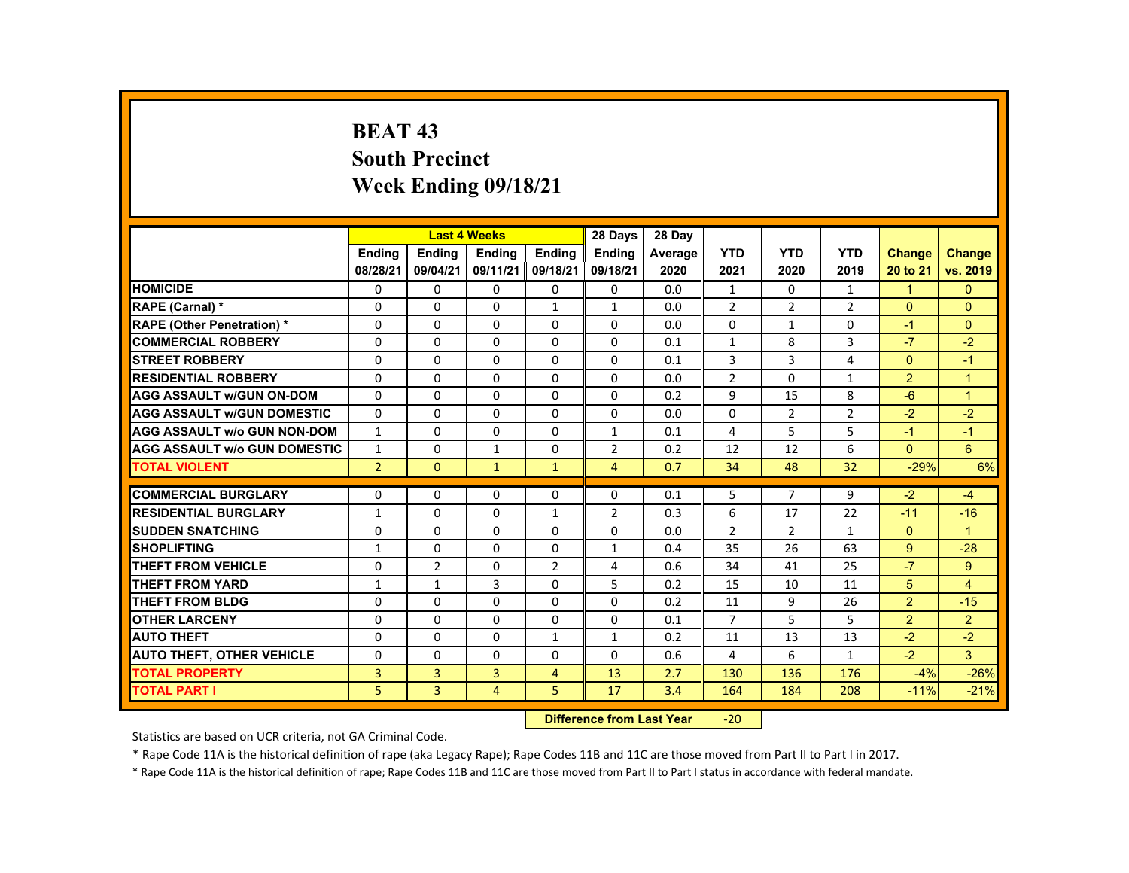# **BEAT 43 South Precinct Week Ending 09/18/21**

|                                     |                |                | <b>Last 4 Weeks</b> |                | 28 Days        | 28 Day  |                |                |                |                |                |
|-------------------------------------|----------------|----------------|---------------------|----------------|----------------|---------|----------------|----------------|----------------|----------------|----------------|
|                                     | <b>Endina</b>  | <b>Endina</b>  | <b>Endina</b>       | <b>Endina</b>  | <b>Endina</b>  | Average | <b>YTD</b>     | <b>YTD</b>     | <b>YTD</b>     | <b>Change</b>  | Change         |
|                                     | 08/28/21       | 09/04/21       | 09/11/21            | 09/18/21       | 09/18/21       | 2020    | 2021           | 2020           | 2019           | 20 to 21       | vs. 2019       |
| <b>HOMICIDE</b>                     | $\mathbf{0}$   | 0              | 0                   | 0              | 0              | 0.0     | $\mathbf{1}$   | $\Omega$       | $\mathbf{1}$   | $\mathbf{1}$   | $\mathbf{0}$   |
| RAPE (Carnal) *                     | $\Omega$       | $\Omega$       | $\Omega$            | 1              | 1              | 0.0     | $\overline{2}$ | 2              | $\overline{2}$ | $\Omega$       | $\Omega$       |
| <b>RAPE (Other Penetration) *</b>   | $\Omega$       | $\Omega$       | $\Omega$            | $\Omega$       | $\Omega$       | 0.0     | $\Omega$       | $\mathbf{1}$   | $\Omega$       | $-1$           | $\Omega$       |
| <b>COMMERCIAL ROBBERY</b>           | $\Omega$       | $\Omega$       | $\Omega$            | $\Omega$       | $\Omega$       | 0.1     | $\mathbf{1}$   | 8              | 3              | $-7$           | $-2$           |
| <b>STREET ROBBERY</b>               | $\Omega$       | $\Omega$       | $\Omega$            | $\Omega$       | $\Omega$       | 0.1     | 3              | 3              | 4              | $\Omega$       | $-1$           |
| <b>RESIDENTIAL ROBBERY</b>          | $\Omega$       | $\Omega$       | $\Omega$            | $\Omega$       | $\Omega$       | 0.0     | $\overline{2}$ | $\Omega$       | $\mathbf{1}$   | 2              | $\overline{1}$ |
| <b>AGG ASSAULT w/GUN ON-DOM</b>     | $\Omega$       | $\Omega$       | $\Omega$            | $\Omega$       | $\Omega$       | 0.2     | $\mathbf{q}$   | 15             | 8              | $-6$           | $\overline{1}$ |
| <b>AGG ASSAULT w/GUN DOMESTIC</b>   | $\Omega$       | $\Omega$       | $\Omega$            | $\Omega$       | $\Omega$       | 0.0     | $\Omega$       | $\overline{2}$ | $\overline{2}$ | $-2$           | $-2$           |
| <b>AGG ASSAULT w/o GUN NON-DOM</b>  | $\mathbf{1}$   | 0              | 0                   | 0              | $\mathbf{1}$   | 0.1     | 4              | 5              | 5              | $-1$           | $-1$           |
| <b>AGG ASSAULT W/o GUN DOMESTIC</b> | $\mathbf{1}$   | $\Omega$       | $\mathbf{1}$        | $\Omega$       | $\overline{2}$ | 0.2     | 12             | 12             | 6              | $\Omega$       | 6              |
| <b>TOTAL VIOLENT</b>                | $\overline{2}$ | $\Omega$       | $\mathbf{1}$        | $\mathbf{1}$   | $\overline{4}$ | 0.7     | 34             | 48             | 32             | $-29%$         | 6%             |
|                                     |                |                |                     |                |                |         |                |                |                |                |                |
| <b>COMMERCIAL BURGLARY</b>          | $\Omega$       | $\Omega$       | $\Omega$            | 0              | $\Omega$       | 0.1     | 5              | $\overline{7}$ | 9              | $-2$           | $-4$           |
| <b>RESIDENTIAL BURGLARY</b>         | $\mathbf{1}$   | 0              | $\Omega$            | $\mathbf{1}$   | $\overline{2}$ | 0.3     | 6              | 17             | 22             | $-11$          | $-16$          |
| <b>SUDDEN SNATCHING</b>             | $\Omega$       | $\Omega$       | $\Omega$            | $\Omega$       | $\Omega$       | 0.0     | $\overline{2}$ | 2              | $\mathbf{1}$   | $\Omega$       | $\overline{1}$ |
| <b>SHOPLIFTING</b>                  | $\mathbf{1}$   | $\Omega$       | $\Omega$            | $\Omega$       | $\mathbf{1}$   | 0.4     | 35             | 26             | 63             | 9              | $-28$          |
| <b>THEFT FROM VEHICLE</b>           | 0              | $\overline{2}$ | 0                   | $\overline{2}$ | 4              | 0.6     | 34             | 41             | 25             | $-7$           | $9^{\circ}$    |
| <b>THEFT FROM YARD</b>              | $\mathbf{1}$   | $\mathbf{1}$   | 3                   | $\Omega$       | 5              | 0.2     | 15             | 10             | 11             | 5              | $\overline{4}$ |
| <b>THEFT FROM BLDG</b>              | $\Omega$       | $\Omega$       | $\Omega$            | $\Omega$       | $\Omega$       | 0.2     | 11             | 9              | 26             | $\overline{2}$ | $-15$          |
| <b>OTHER LARCENY</b>                | $\Omega$       | $\Omega$       | $\Omega$            | $\Omega$       | $\Omega$       | 0.1     | $\overline{7}$ | 5              | 5              | $\overline{2}$ | $\overline{2}$ |
| <b>AUTO THEFT</b>                   | $\Omega$       | $\Omega$       | $\Omega$            | $\mathbf{1}$   | $\mathbf{1}$   | 0.2     | 11             | 13             | 13             | $-2$           | $-2$           |
| <b>AUTO THEFT, OTHER VEHICLE</b>    | $\Omega$       | $\Omega$       | $\Omega$            | $\Omega$       | $\Omega$       | 0.6     | 4              | 6              | $\mathbf{1}$   | $-2$           | $\mathbf{3}$   |
| <b>TOTAL PROPERTY</b>               | 3              | 3              | 3                   | $\overline{4}$ | 13             | 2.7     | 130            | 136            | 176            | $-4%$          | $-26%$         |
| <b>TOTAL PART I</b>                 | 5              | $\overline{3}$ | $\overline{4}$      | 5              | 17             | 3.4     | 164            | 184            | 208            | $-11%$         | $-21%$         |

#### **Difference from Last Year**‐20

Statistics are based on UCR criteria, not GA Criminal Code.

\* Rape Code 11A is the historical definition of rape (aka Legacy Rape); Rape Codes 11B and 11C are those moved from Part II to Part I in 2017.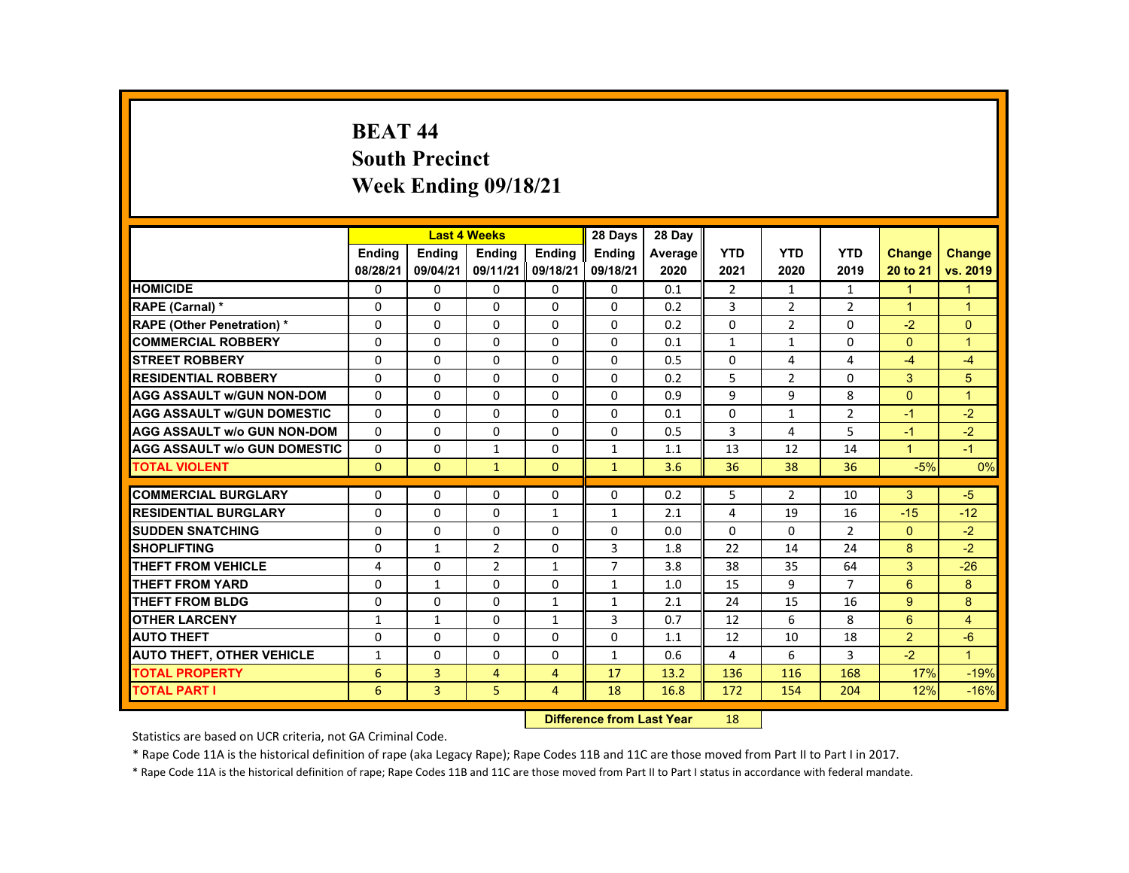# **BEAT 44 South Precinct Week Ending 09/18/21**

|                                     |               |                | <b>Last 4 Weeks</b> |                | 28 Days        | 28 Day  |                |                |                |                      |                      |
|-------------------------------------|---------------|----------------|---------------------|----------------|----------------|---------|----------------|----------------|----------------|----------------------|----------------------|
|                                     | <b>Endina</b> | <b>Endina</b>  | <b>Endina</b>       | <b>Endina</b>  | <b>Endina</b>  | Average | <b>YTD</b>     | <b>YTD</b>     | <b>YTD</b>     | <b>Change</b>        | Change               |
|                                     | 08/28/21      | 09/04/21       | 09/11/21            | 09/18/21       | 09/18/21       | 2020    | 2021           | 2020           | 2019           | 20 to 21             | vs. 2019             |
| <b>HOMICIDE</b>                     | 0             | 0              | 0                   | 0              | 0              | 0.1     | $\overline{2}$ | $\mathbf{1}$   | $\mathbf{1}$   | $\mathbf{1}$         | $\mathbf{1}$         |
| RAPE (Carnal) *                     | $\Omega$      | $\Omega$       | $\Omega$            | $\Omega$       | $\Omega$       | 0.2     | 3              | 2              | $\overline{2}$ | $\overline{1}$       | $\overline{1}$       |
| <b>RAPE (Other Penetration) *</b>   | $\Omega$      | $\Omega$       | $\Omega$            | $\Omega$       | $\Omega$       | 0.2     | $\Omega$       | 2              | $\Omega$       | $-2$                 | $\Omega$             |
| <b>COMMERCIAL ROBBERY</b>           | 0             | 0              | 0                   | 0              | 0              | 0.1     | $\mathbf{1}$   | $\mathbf{1}$   | 0              | $\Omega$             | $\mathbf{1}$         |
| <b>STREET ROBBERY</b>               | $\Omega$      | $\Omega$       | $\Omega$            | $\Omega$       | $\Omega$       | 0.5     | $\Omega$       | 4              | 4              | $-4$                 | $-4$                 |
| <b>RESIDENTIAL ROBBERY</b>          | $\Omega$      | $\Omega$       | $\Omega$            | $\Omega$       | $\Omega$       | 0.2     | 5              | $\overline{2}$ | $\Omega$       | 3                    | 5                    |
| <b>AGG ASSAULT w/GUN NON-DOM</b>    | $\Omega$      | 0              | $\Omega$            | 0              | 0              | 0.9     | 9              | 9              | 8              | $\Omega$             | $\mathbf{1}$         |
| <b>AGG ASSAULT w/GUN DOMESTIC</b>   | $\Omega$      | $\Omega$       | $\Omega$            | $\Omega$       | $\Omega$       | 0.1     | $\Omega$       | $\mathbf{1}$   | $\overline{2}$ | -1                   | $-2$                 |
| <b>AGG ASSAULT w/o GUN NON-DOM</b>  | $\Omega$      | $\Omega$       | $\Omega$            | $\Omega$       | $\Omega$       | 0.5     | 3              | 4              | 5              | $-1$                 | $-2$                 |
| <b>AGG ASSAULT W/o GUN DOMESTIC</b> | $\Omega$      | $\Omega$       | $\mathbf{1}$        | $\Omega$       | $\mathbf{1}$   | 1.1     | 13             | 12             | 14             | $\blacktriangleleft$ | $-1$                 |
| <b>TOTAL VIOLENT</b>                | $\mathbf{0}$  | $\mathbf{0}$   | $\mathbf{1}$        | $\Omega$       | $\mathbf{1}$   | 3.6     | 36             | 38             | 36             | $-5%$                | 0%                   |
|                                     |               |                |                     |                |                |         |                |                |                |                      |                      |
| <b>COMMERCIAL BURGLARY</b>          | $\Omega$      | $\Omega$       | $\Omega$            | $\Omega$       | $\Omega$       | 0.2     | 5              | $\overline{2}$ | 10             | 3                    | $-5$                 |
| <b>RESIDENTIAL BURGLARY</b>         | $\Omega$      | 0              | 0                   | $\mathbf{1}$   | $\mathbf{1}$   | 2.1     | 4              | 19             | 16             | $-15$                | $-12$                |
| <b>SUDDEN SNATCHING</b>             | $\Omega$      | $\Omega$       | $\Omega$            | $\Omega$       | 0              | 0.0     | $\Omega$       | $\Omega$       | $\overline{2}$ | $\Omega$             | $-2$                 |
| <b>SHOPLIFTING</b>                  | $\Omega$      | $\mathbf{1}$   | $\mathcal{P}$       | $\Omega$       | 3              | 1.8     | 22             | 14             | 24             | 8                    | $-2$                 |
| <b>THEFT FROM VEHICLE</b>           | 4             | 0              | $\overline{2}$      | $\mathbf{1}$   | $\overline{7}$ | 3.8     | 38             | 35             | 64             | 3                    | $-26$                |
| <b>THEFT FROM YARD</b>              | $\Omega$      | $\mathbf{1}$   | $\Omega$            | $\Omega$       | $\mathbf{1}$   | 1.0     | 15             | 9              | $\overline{7}$ | 6                    | 8                    |
| <b>THEFT FROM BLDG</b>              | $\Omega$      | $\Omega$       | $\Omega$            | $\mathbf{1}$   | $\mathbf{1}$   | 2.1     | 24             | 15             | 16             | 9                    | 8                    |
| <b>OTHER LARCENY</b>                | $\mathbf{1}$  | $\mathbf{1}$   | $\Omega$            | $\mathbf{1}$   | 3              | 0.7     | 12             | 6              | 8              | 6                    | $\overline{4}$       |
| <b>AUTO THEFT</b>                   | $\Omega$      | $\Omega$       | $\Omega$            | $\Omega$       | $\Omega$       | 1.1     | 12             | 10             | 18             | 2                    | $-6$                 |
| <b>AUTO THEFT, OTHER VEHICLE</b>    | $\mathbf{1}$  | $\Omega$       | $\Omega$            | $\Omega$       | $\mathbf{1}$   | 0.6     | 4              | 6              | 3              | $-2$                 | $\blacktriangleleft$ |
| <b>TOTAL PROPERTY</b>               | 6             | 3              | $\overline{4}$      | $\overline{4}$ | 17             | 13.2    | 136            | 116            | 168            | 17%                  | $-19%$               |
| <b>TOTAL PART I</b>                 | 6             | $\overline{3}$ | 5 <sup>1</sup>      | $\overline{4}$ | 18             | 16.8    | 172            | 154            | 204            | 12%                  | $-16%$               |

#### **Difference from Last Year**r 18

Statistics are based on UCR criteria, not GA Criminal Code.

\* Rape Code 11A is the historical definition of rape (aka Legacy Rape); Rape Codes 11B and 11C are those moved from Part II to Part I in 2017.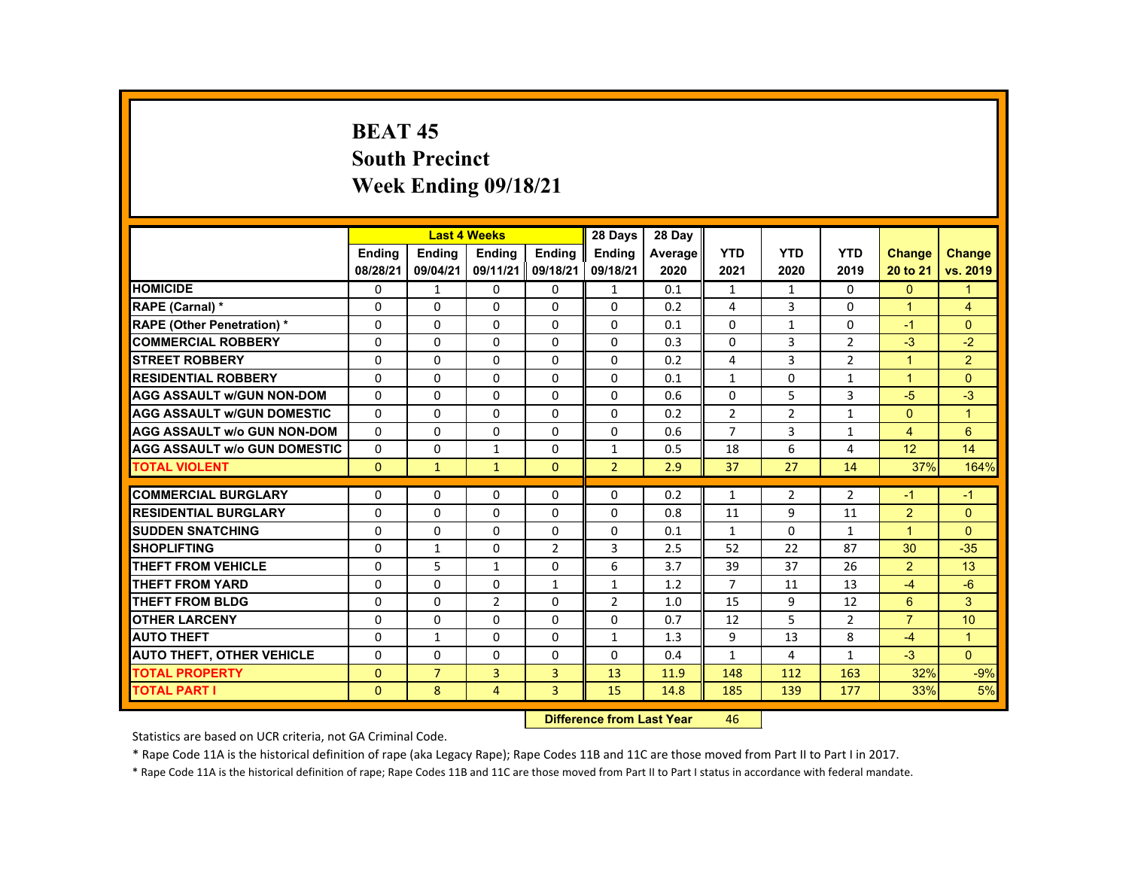# **BEAT 45 South Precinct Week Ending 09/18/21**

|                                     |               |                | <b>Last 4 Weeks</b> |                | 28 Days        | 28 Day  |                |                |                |                      |                      |
|-------------------------------------|---------------|----------------|---------------------|----------------|----------------|---------|----------------|----------------|----------------|----------------------|----------------------|
|                                     | <b>Endina</b> | <b>Endina</b>  | <b>Endina</b>       | <b>Endina</b>  | <b>Endina</b>  | Average | <b>YTD</b>     | <b>YTD</b>     | <b>YTD</b>     | <b>Change</b>        | Change               |
|                                     | 08/28/21      | 09/04/21       | 09/11/21            | 09/18/21       | 09/18/21       | 2020    | 2021           | 2020           | 2019           | 20 to 21             | vs. 2019             |
| <b>HOMICIDE</b>                     | $\mathbf{0}$  | $\mathbf{1}$   | 0                   | 0              | $\mathbf{1}$   | 0.1     | $\mathbf{1}$   | $\mathbf{1}$   | $\Omega$       | $\mathbf{0}$         | 1                    |
| <b>RAPE (Carnal) *</b>              | $\Omega$      | $\Omega$       | $\Omega$            | $\Omega$       | $\Omega$       | 0.2     | 4              | 3              | $\Omega$       | $\blacktriangleleft$ | $\overline{4}$       |
| <b>RAPE (Other Penetration) *</b>   | $\Omega$      | $\Omega$       | $\Omega$            | $\Omega$       | $\Omega$       | 0.1     | $\Omega$       | $\mathbf{1}$   | $\Omega$       | $-1$                 | $\Omega$             |
| <b>COMMERCIAL ROBBERY</b>           | $\Omega$      | $\Omega$       | $\Omega$            | $\Omega$       | $\Omega$       | 0.3     | $\Omega$       | $\overline{3}$ | $\overline{2}$ | $-3$                 | $-2$                 |
| <b>STREET ROBBERY</b>               | $\Omega$      | $\Omega$       | $\Omega$            | $\Omega$       | $\Omega$       | 0.2     | 4              | 3              | $\overline{2}$ | $\blacktriangleleft$ | $\overline{2}$       |
| <b>RESIDENTIAL ROBBERY</b>          | $\Omega$      | $\Omega$       | $\Omega$            | $\Omega$       | $\Omega$       | 0.1     | $\mathbf{1}$   | $\Omega$       | $\mathbf{1}$   | $\overline{1}$       | $\Omega$             |
| <b>AGG ASSAULT w/GUN NON-DOM</b>    | $\Omega$      | $\Omega$       | $\Omega$            | $\Omega$       | $\Omega$       | 0.6     | $\Omega$       | 5              | 3              | $-5$                 | $-3$                 |
| <b>AGG ASSAULT w/GUN DOMESTIC</b>   | $\Omega$      | $\Omega$       | $\Omega$            | 0              | 0              | 0.2     | $\overline{2}$ | $\overline{2}$ | $\mathbf{1}$   | $\Omega$             | $\blacktriangleleft$ |
| <b>AGG ASSAULT w/o GUN NON-DOM</b>  | $\Omega$      | $\Omega$       | $\Omega$            | $\Omega$       | $\Omega$       | 0.6     | $\overline{7}$ | 3              | $\mathbf{1}$   | $\overline{4}$       | 6                    |
| <b>AGG ASSAULT W/o GUN DOMESTIC</b> | $\Omega$      | $\Omega$       | $\mathbf{1}$        | $\Omega$       | $\mathbf{1}$   | 0.5     | 18             | 6              | $\overline{4}$ | 12                   | 14                   |
| <b>TOTAL VIOLENT</b>                | $\mathbf{0}$  | $\mathbf{1}$   | $\mathbf{1}$        | $\Omega$       | $\overline{2}$ | 2.9     | 37             | 27             | 14             | 37%                  | 164%                 |
|                                     |               |                |                     |                |                |         |                |                |                |                      |                      |
| <b>COMMERCIAL BURGLARY</b>          | $\Omega$      | $\Omega$       | $\Omega$            | $\Omega$       | $\Omega$       | 0.2     | $\mathbf{1}$   | $\overline{2}$ | $\overline{2}$ | -1                   | $-1$                 |
| <b>RESIDENTIAL BURGLARY</b>         | $\Omega$      | $\Omega$       | $\Omega$            | $\Omega$       | $\Omega$       | 0.8     | 11             | 9              | 11             | 2                    | $\Omega$             |
| <b>SUDDEN SNATCHING</b>             | $\Omega$      | $\Omega$       | $\Omega$            | $\Omega$       | $\Omega$       | 0.1     | $\mathbf{1}$   | $\Omega$       | $\mathbf{1}$   | $\overline{1}$       | $\Omega$             |
| <b>SHOPLIFTING</b>                  | $\Omega$      | $\mathbf{1}$   | $\Omega$            | $\overline{2}$ | 3              | 2.5     | 52             | 22             | 87             | 30                   | $-35$                |
| <b>THEFT FROM VEHICLE</b>           | $\Omega$      | 5              | 1                   | 0              | 6              | 3.7     | 39             | 37             | 26             | $\overline{2}$       | 13                   |
| <b>THEFT FROM YARD</b>              | $\Omega$      | $\Omega$       | $\Omega$            | $\mathbf{1}$   | $\mathbf{1}$   | 1.2     | $\overline{7}$ | 11             | 13             | $-4$                 | $-6$                 |
| <b>THEFT FROM BLDG</b>              | $\Omega$      | $\Omega$       | $\overline{2}$      | $\Omega$       | $\overline{2}$ | 1.0     | 15             | 9              | 12             | 6                    | 3                    |
| <b>OTHER LARCENY</b>                | $\Omega$      | $\Omega$       | $\Omega$            | $\Omega$       | $\Omega$       | 0.7     | 12             | 5              | $\overline{2}$ | $\overline{7}$       | 10                   |
| <b>AUTO THEFT</b>                   | $\Omega$      | $\mathbf{1}$   | $\Omega$            | $\Omega$       | $\mathbf{1}$   | 1.3     | 9              | 13             | 8              | $-4$                 | $\blacktriangleleft$ |
| <b>AUTO THEFT, OTHER VEHICLE</b>    | $\Omega$      | $\Omega$       | $\Omega$            | $\Omega$       | $\Omega$       | 0.4     | $\mathbf{1}$   | 4              | $\mathbf{1}$   | $-3$                 | $\Omega$             |
| <b>TOTAL PROPERTY</b>               | $\Omega$      | $\overline{7}$ | 3                   | 3              | 13             | 11.9    | 148            | 112            | 163            | 32%                  | $-9%$                |
| <b>TOTAL PART I</b>                 | $\mathbf{0}$  | 8              | $\overline{4}$      | $\overline{3}$ | 15             | 14.8    | 185            | 139            | 177            | 33%                  | 5%                   |

#### **Difference from Last Year**r 46

Statistics are based on UCR criteria, not GA Criminal Code.

\* Rape Code 11A is the historical definition of rape (aka Legacy Rape); Rape Codes 11B and 11C are those moved from Part II to Part I in 2017.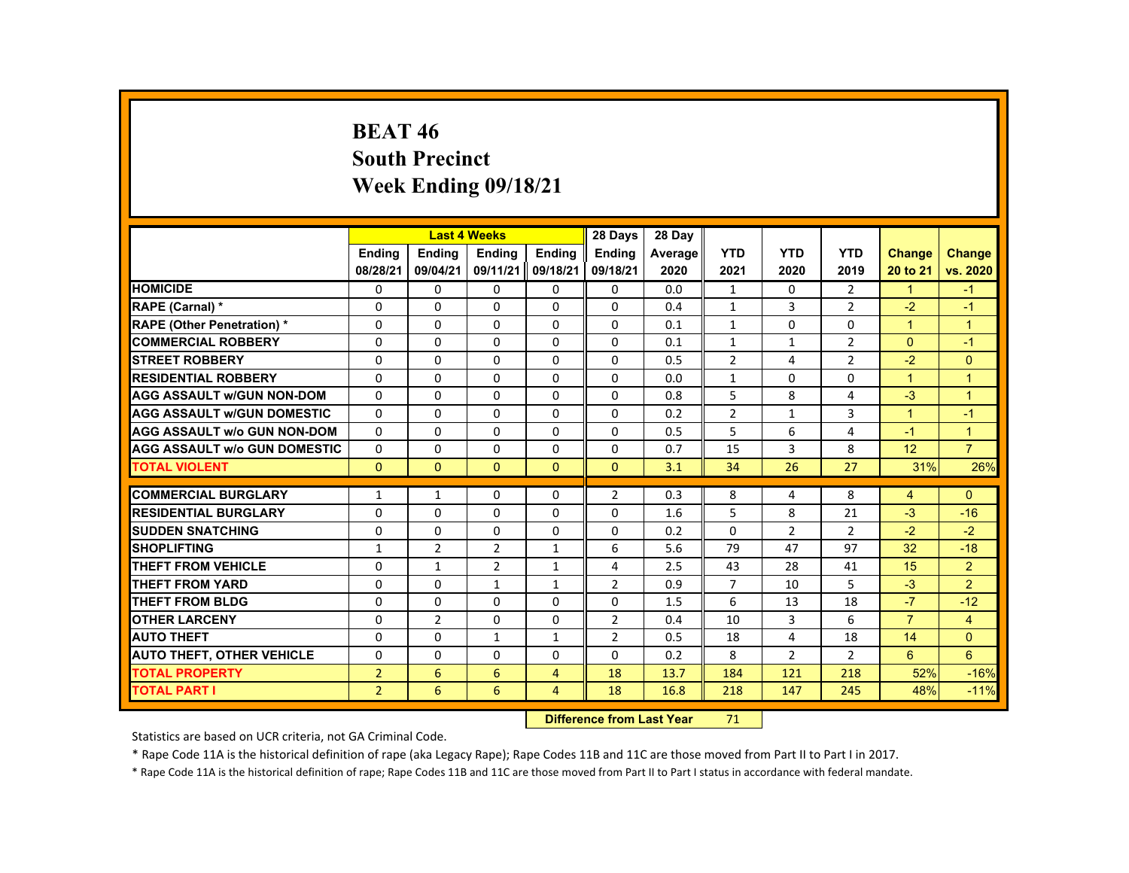# **BEAT 46 South Precinct Week Ending 09/18/21**

|                                     |                |                | <b>Last 4 Weeks</b> |                | 28 Days        | 28 Day  |                |                |                |                      |                |
|-------------------------------------|----------------|----------------|---------------------|----------------|----------------|---------|----------------|----------------|----------------|----------------------|----------------|
|                                     | <b>Endina</b>  | <b>Endina</b>  | <b>Endina</b>       | <b>Endina</b>  | <b>Endina</b>  | Average | <b>YTD</b>     | <b>YTD</b>     | <b>YTD</b>     | <b>Change</b>        | <b>Change</b>  |
|                                     | 08/28/21       | 09/04/21       | 09/11/21            | 09/18/21       | 09/18/21       | 2020    | 2021           | 2020           | 2019           | 20 to 21             | vs. 2020       |
| <b>HOMICIDE</b>                     | $\mathbf{0}$   | $\mathbf{0}$   | 0                   | 0              | 0              | 0.0     | $\mathbf{1}$   | 0              | $\overline{2}$ | $\mathbf{1}$         | $-1$           |
| <b>RAPE (Carnal) *</b>              | $\Omega$       | $\Omega$       | $\Omega$            | $\Omega$       | $\Omega$       | 0.4     | $\mathbf{1}$   | 3              | $\overline{2}$ | $-2$                 | $-1$           |
| <b>RAPE (Other Penetration) *</b>   | $\Omega$       | $\Omega$       | $\Omega$            | $\Omega$       | $\Omega$       | 0.1     | $\mathbf{1}$   | $\Omega$       | $\Omega$       | $\mathbf{1}$         | $\overline{1}$ |
| <b>COMMERCIAL ROBBERY</b>           | 0              | $\mathbf{0}$   | 0                   | 0              | 0              | 0.1     | $\mathbf{1}$   | $\mathbf{1}$   | $\overline{2}$ | $\Omega$             | $-1$           |
| <b>STREET ROBBERY</b>               | 0              | $\Omega$       | $\Omega$            | $\Omega$       | $\Omega$       | 0.5     | $\overline{2}$ | 4              | $\overline{2}$ | $-2$                 | $\Omega$       |
| <b>RESIDENTIAL ROBBERY</b>          | $\Omega$       | $\Omega$       | $\Omega$            | $\Omega$       | $\Omega$       | 0.0     | $\mathbf{1}$   | $\Omega$       | $\Omega$       | $\mathbf{1}$         | $\overline{1}$ |
| <b>AGG ASSAULT w/GUN NON-DOM</b>    | $\Omega$       | $\mathbf{0}$   | 0                   | 0              | 0              | 0.8     | 5              | 8              | 4              | $-3$                 | $\overline{1}$ |
| <b>AGG ASSAULT WGUN DOMESTIC</b>    | $\Omega$       | $\Omega$       | $\Omega$            | 0              | 0              | 0.2     | $\overline{2}$ | $\mathbf{1}$   | 3              | $\blacktriangleleft$ | $-1$           |
| <b>AGG ASSAULT W/o GUN NON-DOM</b>  | $\Omega$       | $\mathbf{0}$   | 0                   | $\Omega$       | $\Omega$       | 0.5     | 5              | 6              | 4              | $-1$                 | $\overline{1}$ |
| <b>AGG ASSAULT W/o GUN DOMESTIC</b> | $\Omega$       | $\Omega$       | $\Omega$            | $\Omega$       | $\Omega$       | 0.7     | 15             | 3              | 8              | 12                   | $\overline{7}$ |
| <b>TOTAL VIOLENT</b>                | $\Omega$       | $\Omega$       | $\Omega$            | $\Omega$       | $\Omega$       | 3.1     | 34             | 26             | 27             | 31%                  | 26%            |
|                                     |                |                |                     |                |                |         |                |                |                |                      |                |
| <b>COMMERCIAL BURGLARY</b>          | $\mathbf{1}$   | $\mathbf{1}$   | $\Omega$            | $\Omega$       | 2              | 0.3     | 8              | 4              | 8              | $\overline{4}$       | $\Omega$       |
| <b>RESIDENTIAL BURGLARY</b>         | 0              | $\mathbf{0}$   | 0                   | 0              | 0              | 1.6     | 5              | 8              | 21             | $-3$                 | $-16$          |
| <b>SUDDEN SNATCHING</b>             | $\Omega$       | $\Omega$       | $\Omega$            | $\Omega$       | $\Omega$       | 0.2     | $\Omega$       | $\overline{2}$ | $\overline{2}$ | $-2$                 | $-2$           |
| <b>SHOPLIFTING</b>                  | $\mathbf{1}$   | $\overline{2}$ | $\overline{2}$      | $\mathbf{1}$   | 6              | 5.6     | 79             | 47             | 97             | 32                   | $-18$          |
| <b>THEFT FROM VEHICLE</b>           | 0              | 1              | $\overline{2}$      | $\mathbf{1}$   | 4              | 2.5     | 43             | 28             | 41             | 15                   | $\overline{2}$ |
| <b>THEFT FROM YARD</b>              | $\Omega$       | $\Omega$       | $\mathbf{1}$        | $\mathbf{1}$   | 2              | 0.9     | $\overline{7}$ | 10             | 5              | $-3$                 | $\overline{2}$ |
| THEFT FROM BLDG                     | $\Omega$       | $\Omega$       | $\Omega$            | $\Omega$       | $\Omega$       | 1.5     | 6              | 13             | 18             | $-7$                 | $-12$          |
| <b>OTHER LARCENY</b>                | 0              | $\overline{2}$ | 0                   | 0              | 2              | 0.4     | 10             | 3              | 6              | $\overline{7}$       | $\overline{4}$ |
| <b>AUTO THEFT</b>                   | $\Omega$       | $\Omega$       | $\mathbf{1}$        | $\mathbf{1}$   | $\overline{2}$ | 0.5     | 18             | 4              | 18             | 14                   | $\Omega$       |
| <b>AUTO THEFT, OTHER VEHICLE</b>    | $\Omega$       | $\Omega$       | $\Omega$            | $\Omega$       | $\Omega$       | 0.2     | 8              | 2              | $\overline{2}$ | 6                    | 6              |
| <b>TOTAL PROPERTY</b>               | $\overline{2}$ | 6              | 6                   | $\overline{4}$ | 18             | 13.7    | 184            | 121            | 218            | 52%                  | $-16%$         |
| <b>TOTAL PART I</b>                 | 2 <sup>1</sup> | 6              | 6                   | $\overline{4}$ | 18             | 16.8    | 218            | 147            | 245            | 48%                  | $-11%$         |

#### **Difference from Last Year**r 71

Statistics are based on UCR criteria, not GA Criminal Code.

\* Rape Code 11A is the historical definition of rape (aka Legacy Rape); Rape Codes 11B and 11C are those moved from Part II to Part I in 2017.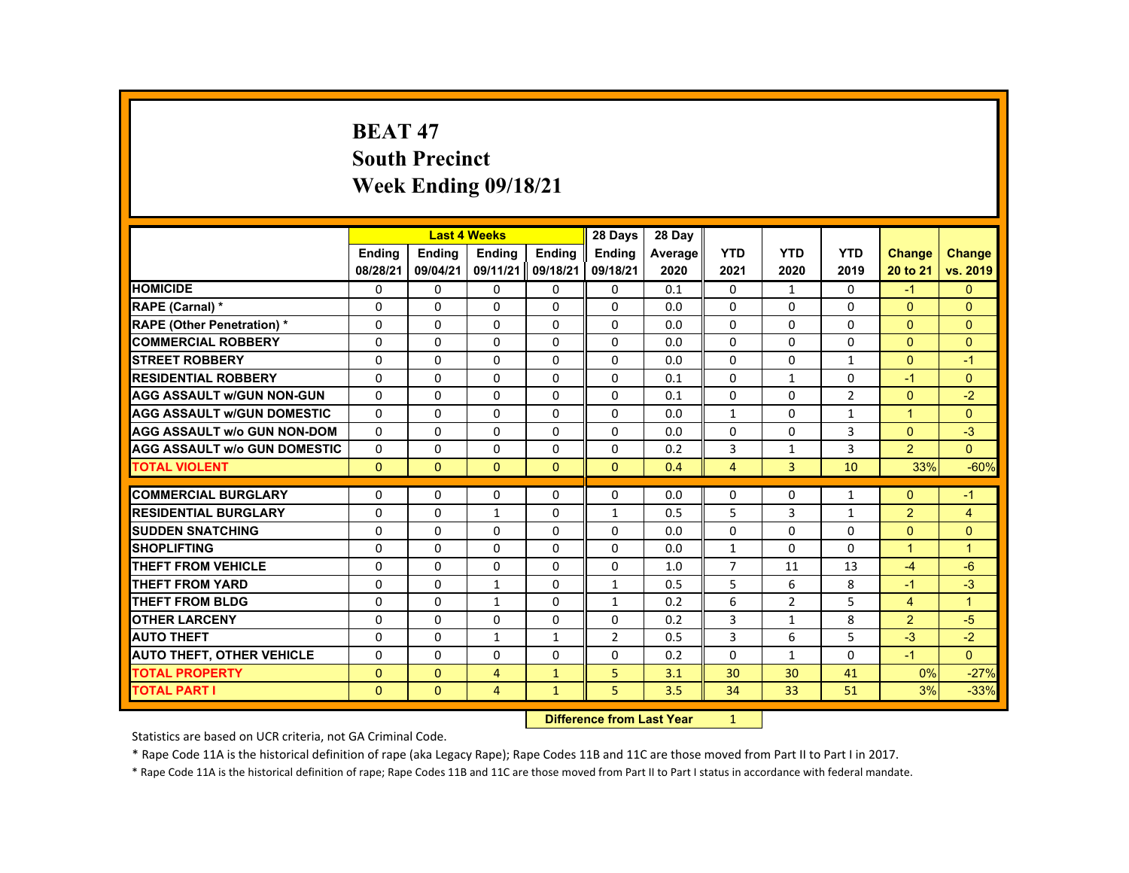# **BEAT 47 South Precinct Week Ending 09/18/21**

|                                     |               |               | <b>Last 4 Weeks</b> |               | 28 Days        | 28 Day  |                |                |                |                |                |
|-------------------------------------|---------------|---------------|---------------------|---------------|----------------|---------|----------------|----------------|----------------|----------------|----------------|
|                                     | <b>Ending</b> | <b>Endina</b> | <b>Endina</b>       | <b>Endina</b> | <b>Endina</b>  | Average | <b>YTD</b>     | <b>YTD</b>     | <b>YTD</b>     | Change         | <b>Change</b>  |
|                                     | 08/28/21      | 09/04/21      | 09/11/21            | 09/18/21      | 09/18/21       | 2020    | 2021           | 2020           | 2019           | 20 to 21       | vs. 2019       |
| <b>HOMICIDE</b>                     | 0             | 0             | 0                   | 0             | 0              | 0.1     | $\mathbf{0}$   | $\mathbf{1}$   | 0              | $-1$           | $\mathbf{0}$   |
| <b>RAPE (Carnal) *</b>              | $\Omega$      | $\Omega$      | $\Omega$            | $\Omega$      | $\Omega$       | 0.0     | $\Omega$       | $\Omega$       | $\Omega$       | $\Omega$       | $\Omega$       |
| <b>RAPE (Other Penetration) *</b>   | $\Omega$      | $\Omega$      | $\Omega$            | $\Omega$      | $\Omega$       | 0.0     | $\Omega$       | $\Omega$       | $\Omega$       | $\Omega$       | $\Omega$       |
| <b>COMMERCIAL ROBBERY</b>           | $\Omega$      | $\mathbf{0}$  | $\Omega$            | $\Omega$      | $\Omega$       | 0.0     | $\Omega$       | 0              | $\Omega$       | $\Omega$       | $\Omega$       |
| <b>STREET ROBBERY</b>               | $\Omega$      | $\Omega$      | $\Omega$            | $\Omega$      | $\Omega$       | 0.0     | $\Omega$       | $\Omega$       | $\mathbf{1}$   | $\Omega$       | $-1$           |
| <b>RESIDENTIAL ROBBERY</b>          | $\Omega$      | $\Omega$      | $\Omega$            | $\Omega$      | $\Omega$       | 0.1     | $\Omega$       | $\mathbf{1}$   | $\Omega$       | $-1$           | $\mathbf{0}$   |
| <b>AGG ASSAULT w/GUN NON-GUN</b>    | $\Omega$      | $\Omega$      | $\Omega$            | $\Omega$      | $\Omega$       | 0.1     | $\Omega$       | $\Omega$       | $\overline{2}$ | $\Omega$       | $-2$           |
| <b>AGG ASSAULT WGUN DOMESTIC</b>    | $\Omega$      | $\Omega$      | $\Omega$            | $\Omega$      | $\Omega$       | 0.0     | $\mathbf{1}$   | 0              | $\mathbf{1}$   | $\mathbf{1}$   | $\Omega$       |
| <b>AGG ASSAULT W/o GUN NON-DOM</b>  | $\Omega$      | $\Omega$      | $\Omega$            | $\Omega$      | $\Omega$       | 0.0     | $\Omega$       | $\Omega$       | 3              | $\Omega$       | $-3$           |
| <b>AGG ASSAULT w/o GUN DOMESTIC</b> | $\Omega$      | $\Omega$      | $\Omega$            | $\Omega$      | $\Omega$       | 0.2     | 3              | $\mathbf{1}$   | 3              | $\overline{2}$ | $\Omega$       |
| <b>TOTAL VIOLENT</b>                | $\Omega$      | $\Omega$      | $\Omega$            | $\Omega$      | $\Omega$       | 0.4     | $\overline{4}$ | 3              | 10             | 33%            | $-60%$         |
|                                     |               |               |                     |               |                |         |                |                |                |                |                |
| <b>COMMERCIAL BURGLARY</b>          | $\Omega$      | $\Omega$      | $\Omega$            | $\Omega$      | $\Omega$       | 0.0     | $\Omega$       | $\Omega$       | $\mathbf{1}$   | $\Omega$       | $-1$           |
| <b>RESIDENTIAL BURGLARY</b>         | $\Omega$      | $\Omega$      | $\mathbf{1}$        | $\Omega$      | $\mathbf{1}$   | 0.5     | 5              | 3              | $\mathbf{1}$   | $\overline{2}$ | $\overline{4}$ |
| <b>SUDDEN SNATCHING</b>             | 0             | $\Omega$      | 0                   | $\Omega$      | 0              | 0.0     | $\Omega$       | $\Omega$       | $\Omega$       | $\Omega$       | $\Omega$       |
| <b>SHOPLIFTING</b>                  | $\Omega$      | $\Omega$      | $\Omega$            | $\Omega$      | $\Omega$       | 0.0     | $\mathbf{1}$   | $\Omega$       | $\Omega$       | $\mathbf{1}$   | $\overline{1}$ |
| <b>THEFT FROM VEHICLE</b>           | $\Omega$      | $\Omega$      | $\Omega$            | $\Omega$      | $\Omega$       | 1.0     | $\overline{7}$ | 11             | 13             | $-4$           | $-6$           |
| <b>THEFT FROM YARD</b>              | $\Omega$      | $\Omega$      | $\mathbf{1}$        | 0             | $\mathbf{1}$   | 0.5     | 5              | 6              | 8              | $-1$           | $-3$           |
| THEFT FROM BLDG                     | 0             | $\mathbf{0}$  | $\mathbf{1}$        | 0             | $\mathbf{1}$   | 0.2     | 6              | $\overline{2}$ | 5              | $\overline{4}$ | $\mathbf{1}$   |
| <b>OTHER LARCENY</b>                | $\Omega$      | $\Omega$      | $\Omega$            | $\Omega$      | $\Omega$       | 0.2     | 3              | $\mathbf{1}$   | 8              | $\overline{2}$ | $-5$           |
| <b>AUTO THEFT</b>                   | 0             | $\mathbf{0}$  | $\mathbf{1}$        | $\mathbf{1}$  | $\overline{2}$ | 0.5     | 3              | 6              | 5              | $-3$           | $-2$           |
| <b>AUTO THEFT, OTHER VEHICLE</b>    | $\Omega$      | $\mathbf{0}$  | $\Omega$            | $\Omega$      | $\Omega$       | 0.2     | $\Omega$       | $\mathbf{1}$   | $\Omega$       | $-1$           | $\mathbf{0}$   |
| <b>TOTAL PROPERTY</b>               | $\Omega$      | $\Omega$      | $\overline{4}$      | $\mathbf{1}$  | 5              | 3.1     | 30             | 30             | 41             | 0%             | $-27%$         |
| <b>TOTAL PART I</b>                 | $\mathbf{0}$  | $\mathbf{0}$  | 4                   | $\mathbf{1}$  | 5              | 3.5     | 34             | 33             | 51             | 3%             | $-33%$         |

#### **Difference from Last Year**r 1

Statistics are based on UCR criteria, not GA Criminal Code.

\* Rape Code 11A is the historical definition of rape (aka Legacy Rape); Rape Codes 11B and 11C are those moved from Part II to Part I in 2017.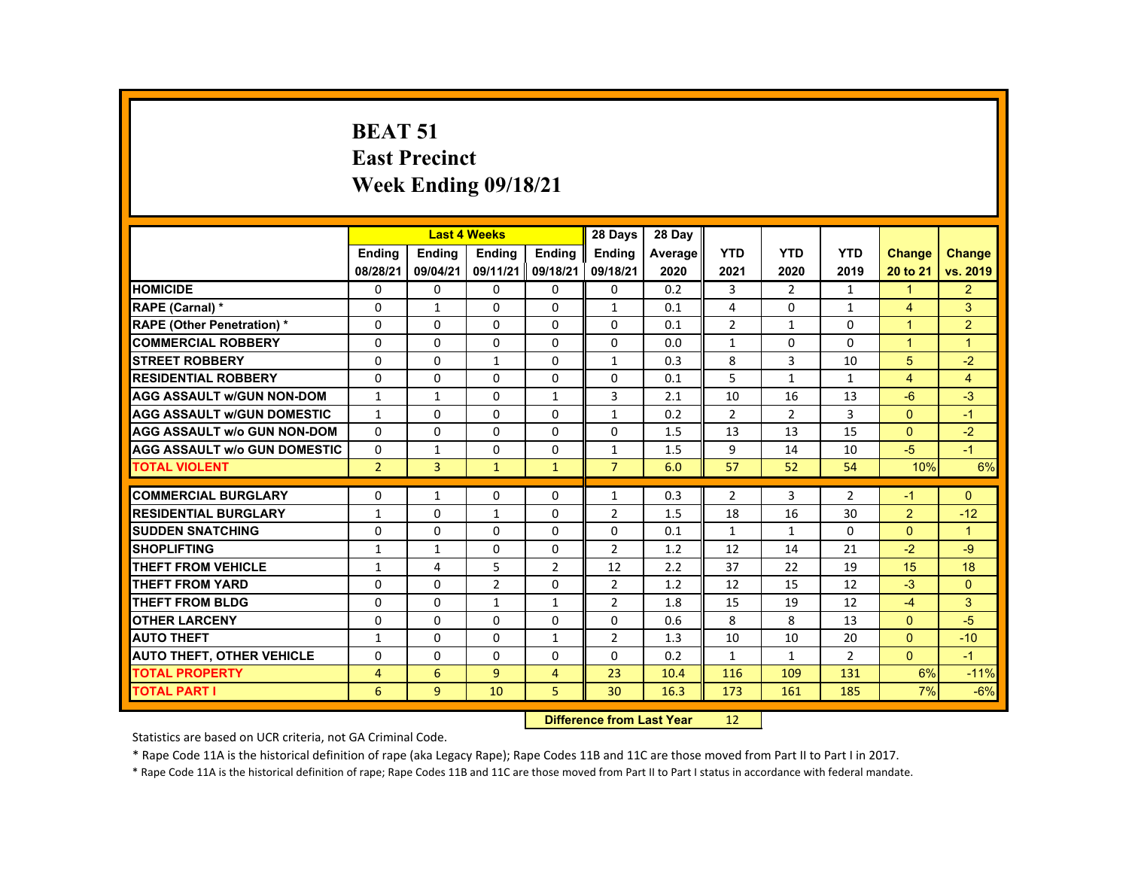# **BEAT 51 East Precinct Week Ending 09/18/21**

|                                     |                |                | <b>Last 4 Weeks</b> |                | 28 Days        | 28 Day  |                |                |                |                      |                |
|-------------------------------------|----------------|----------------|---------------------|----------------|----------------|---------|----------------|----------------|----------------|----------------------|----------------|
|                                     | <b>Endina</b>  | <b>Endina</b>  | <b>Endina</b>       | <b>Endina</b>  | <b>Endina</b>  | Average | <b>YTD</b>     | <b>YTD</b>     | <b>YTD</b>     | <b>Change</b>        | Change         |
|                                     | 08/28/21       | 09/04/21       | 09/11/21            | 09/18/21       | 09/18/21       | 2020    | 2021           | 2020           | 2019           | 20 to 21             | vs. 2019       |
| <b>HOMICIDE</b>                     | 0              | 0              | 0                   | 0              | 0              | 0.2     | 3              | 2              | $\mathbf{1}$   | $\mathbf{1}$         | $\overline{2}$ |
| <b>RAPE (Carnal) *</b>              | $\Omega$       | $\mathbf{1}$   | $\Omega$            | $\Omega$       | $\mathbf{1}$   | 0.1     | 4              | $\Omega$       | $\mathbf{1}$   | $\overline{4}$       | 3              |
| <b>RAPE (Other Penetration) *</b>   | $\Omega$       | $\Omega$       | $\Omega$            | $\Omega$       | $\Omega$       | 0.1     | $\overline{2}$ | $\mathbf{1}$   | $\Omega$       | $\overline{1}$       | $\overline{2}$ |
| <b>COMMERCIAL ROBBERY</b>           | 0              | 0              | 0                   | 0              | 0              | 0.0     | $\mathbf{1}$   | 0              | 0              | $\blacktriangleleft$ | $\mathbf{1}$   |
| <b>STREET ROBBERY</b>               | $\Omega$       | $\Omega$       | $\mathbf{1}$        | $\Omega$       | $\mathbf{1}$   | 0.3     | 8              | $\overline{3}$ | 10             | 5                    | $-2$           |
| <b>RESIDENTIAL ROBBERY</b>          | $\Omega$       | $\Omega$       | $\Omega$            | $\Omega$       | $\Omega$       | 0.1     | 5              | $\mathbf{1}$   | $\mathbf{1}$   | $\overline{4}$       | $\overline{4}$ |
| <b>AGG ASSAULT W/GUN NON-DOM</b>    | $\mathbf{1}$   | $\mathbf{1}$   | $\Omega$            | $\mathbf{1}$   | 3              | 2.1     | 10             | 16             | 13             | $-6$                 | $-3$           |
| <b>AGG ASSAULT W/GUN DOMESTIC</b>   | $\mathbf{1}$   | $\Omega$       | $\Omega$            | $\Omega$       | $\mathbf{1}$   | 0.2     | $\overline{2}$ | 2              | 3              | $\Omega$             | $-1$           |
| <b>AGG ASSAULT w/o GUN NON-DOM</b>  | $\Omega$       | $\Omega$       | $\Omega$            | $\Omega$       | $\Omega$       | 1.5     | 13             | 13             | 15             | $\Omega$             | $-2$           |
| <b>AGG ASSAULT W/o GUN DOMESTIC</b> | $\Omega$       | $\mathbf{1}$   | $\Omega$            | $\Omega$       | $\mathbf{1}$   | 1.5     | 9              | 14             | 10             | $-5$                 | $-1$           |
| <b>TOTAL VIOLENT</b>                | $\overline{2}$ | $\overline{3}$ | $\mathbf{1}$        | $\mathbf{1}$   | $\overline{7}$ | 6.0     | 57             | 52             | 54             | 10%                  | 6%             |
|                                     |                |                |                     |                |                |         |                |                |                |                      |                |
| <b>COMMERCIAL BURGLARY</b>          | $\Omega$       | $\mathbf{1}$   | $\Omega$            | $\Omega$       | $\mathbf{1}$   | 0.3     | $\overline{2}$ | 3              | $\overline{2}$ | $-1$                 | $\Omega$       |
| <b>RESIDENTIAL BURGLARY</b>         | $\mathbf{1}$   | $\Omega$       | $\mathbf{1}$        | $\Omega$       | $\overline{2}$ | 1.5     | 18             | 16             | 30             | $\overline{2}$       | $-12$          |
| <b>SUDDEN SNATCHING</b>             | $\Omega$       | $\Omega$       | 0                   | $\Omega$       | 0              | 0.1     | $\mathbf{1}$   | $\mathbf{1}$   | $\Omega$       | $\Omega$             | $\overline{1}$ |
| <b>SHOPLIFTING</b>                  | $\mathbf{1}$   | $\mathbf{1}$   | $\Omega$            | $\Omega$       | $\overline{2}$ | 1.2     | 12             | 14             | 21             | $-2$                 | $-9$           |
| <b>THEFT FROM VEHICLE</b>           | $\mathbf{1}$   | 4              | 5                   | $\overline{2}$ | 12             | 2.2     | 37             | 22             | 19             | 15                   | 18             |
| <b>THEFT FROM YARD</b>              | $\Omega$       | $\Omega$       | $\overline{2}$      | $\Omega$       | $\overline{2}$ | 1.2     | 12             | 15             | 12             | $-3$                 | $\Omega$       |
| <b>THEFT FROM BLDG</b>              | $\Omega$       | $\Omega$       | $\mathbf{1}$        | $\mathbf{1}$   | $\overline{2}$ | 1.8     | 15             | 19             | 12             | $-4$                 | 3              |
| <b>OTHER LARCENY</b>                | 0              | 0              | 0                   | 0              | 0              | 0.6     | 8              | 8              | 13             | $\Omega$             | $-5$           |
| <b>AUTO THEFT</b>                   | $\mathbf{1}$   | $\Omega$       | $\Omega$            | $\mathbf{1}$   | 2              | 1.3     | 10             | 10             | 20             | $\Omega$             | $-10$          |
| <b>AUTO THEFT, OTHER VEHICLE</b>    | $\Omega$       | $\Omega$       | $\Omega$            | $\Omega$       | $\Omega$       | 0.2     | $\mathbf{1}$   | $\mathbf{1}$   | $\overline{2}$ | $\Omega$             | $-1$           |
| <b>TOTAL PROPERTY</b>               | 4              | 6              | $\overline{9}$      | $\overline{4}$ | 23             | 10.4    | 116            | 109            | 131            | 6%                   | $-11%$         |
| <b>TOTAL PART I</b>                 | 6              | 9              | 10                  | 5              | 30             | 16.3    | 173            | 161            | 185            | 7%                   | $-6%$          |
|                                     |                |                |                     |                |                |         |                |                |                |                      |                |

#### **Difference from Last Year**r 12

Statistics are based on UCR criteria, not GA Criminal Code.

\* Rape Code 11A is the historical definition of rape (aka Legacy Rape); Rape Codes 11B and 11C are those moved from Part II to Part I in 2017.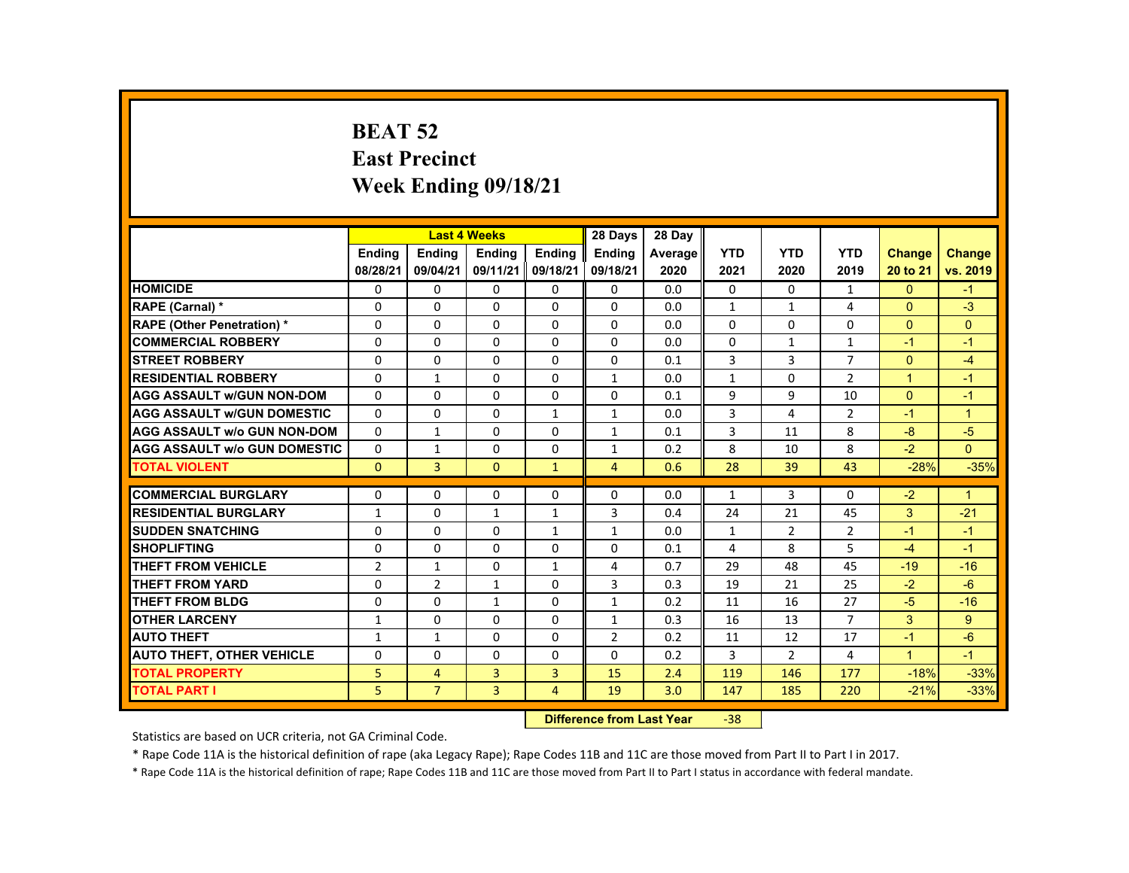# **BEAT 52 East Precinct Week Ending 09/18/21**

|                                     |                |                | <b>Last 4 Weeks</b> |                | 28 Days        | 28 Day  |              |                |                |                      |                      |
|-------------------------------------|----------------|----------------|---------------------|----------------|----------------|---------|--------------|----------------|----------------|----------------------|----------------------|
|                                     | <b>Endina</b>  | <b>Endina</b>  | <b>Endina</b>       | <b>Endina</b>  | <b>Endina</b>  | Average | <b>YTD</b>   | <b>YTD</b>     | <b>YTD</b>     | <b>Change</b>        | <b>Change</b>        |
|                                     | 08/28/21       | 09/04/21       | 09/11/21            | 09/18/21       | 09/18/21       | 2020    | 2021         | 2020           | 2019           | 20 to 21             | vs. 2019             |
| <b>HOMICIDE</b>                     | 0              | 0              | 0                   | 0              | 0              | 0.0     | 0            | 0              | $\mathbf{1}$   | $\mathbf{0}$         | $-1$                 |
| <b>RAPE (Carnal) *</b>              | $\Omega$       | $\Omega$       | $\Omega$            | $\Omega$       | $\Omega$       | 0.0     | $\mathbf{1}$ | $\mathbf{1}$   | 4              | $\Omega$             | $-3$                 |
| <b>RAPE (Other Penetration) *</b>   | $\Omega$       | $\Omega$       | $\Omega$            | $\Omega$       | $\Omega$       | 0.0     | $\Omega$     | $\Omega$       | $\Omega$       | $\Omega$             | $\Omega$             |
| <b>COMMERCIAL ROBBERY</b>           | $\Omega$       | 0              | 0                   | 0              | 0              | 0.0     | 0            | $\mathbf{1}$   | $\mathbf{1}$   | $-1$                 | $-1$                 |
| <b>STREET ROBBERY</b>               | $\Omega$       | $\Omega$       | $\Omega$            | $\Omega$       | $\Omega$       | 0.1     | 3            | 3              | $\overline{7}$ | $\Omega$             | $-4$                 |
| <b>RESIDENTIAL ROBBERY</b>          | $\Omega$       | $\mathbf{1}$   | $\Omega$            | $\Omega$       | $\mathbf{1}$   | 0.0     | $\mathbf{1}$ | $\Omega$       | $\overline{2}$ | $\overline{1}$       | $-1$                 |
| <b>AGG ASSAULT w/GUN NON-DOM</b>    | $\Omega$       | $\Omega$       | $\Omega$            | $\Omega$       | $\Omega$       | 0.1     | 9            | 9              | 10             | $\Omega$             | $-1$                 |
| <b>AGG ASSAULT w/GUN DOMESTIC</b>   | $\Omega$       | $\Omega$       | $\Omega$            | $\mathbf{1}$   | $\mathbf{1}$   | 0.0     | 3            | 4              | $\overline{2}$ | $-1$                 | $\blacktriangleleft$ |
| <b>AGG ASSAULT w/o GUN NON-DOM</b>  | $\Omega$       | $\mathbf{1}$   | $\Omega$            | $\Omega$       | $\mathbf{1}$   | 0.1     | 3            | 11             | 8              | $-8$                 | $-5$                 |
| <b>AGG ASSAULT W/o GUN DOMESTIC</b> | $\Omega$       | $\mathbf{1}$   | $\Omega$            | 0              | $\mathbf{1}$   | 0.2     | 8            | 10             | 8              | $-2$                 | $\Omega$             |
| <b>TOTAL VIOLENT</b>                | $\Omega$       | $\overline{3}$ | $\Omega$            | $\mathbf{1}$   | $\overline{4}$ | 0.6     | 28           | 39             | 43             | $-28%$               | $-35%$               |
|                                     |                |                |                     |                |                |         |              |                |                |                      |                      |
| <b>COMMERCIAL BURGLARY</b>          | $\Omega$       | $\Omega$       | $\Omega$            | $\Omega$       | $\Omega$       | 0.0     | $\mathbf{1}$ | 3              | $\Omega$       | $-2$                 | $\blacktriangleleft$ |
| <b>RESIDENTIAL BURGLARY</b>         | $\mathbf{1}$   | 0              | $\mathbf{1}$        | $\mathbf{1}$   | 3              | 0.4     | 24           | 21             | 45             | 3                    | $-21$                |
| <b>SUDDEN SNATCHING</b>             | $\Omega$       | $\Omega$       | $\Omega$            | $\mathbf{1}$   | $\mathbf{1}$   | 0.0     | $\mathbf{1}$ | 2              | $\overline{2}$ | $-1$                 | $-1$                 |
| <b>SHOPLIFTING</b>                  | $\Omega$       | $\Omega$       | $\Omega$            | $\Omega$       | $\Omega$       | 0.1     | 4            | 8              | 5              | $-4$                 | $-1$                 |
| THEFT FROM VEHICLE                  | $\overline{2}$ | $\mathbf{1}$   | 0                   | $\mathbf{1}$   | 4              | 0.7     | 29           | 48             | 45             | $-19$                | $-16$                |
| <b>THEFT FROM YARD</b>              | $\Omega$       | $\overline{2}$ | $\mathbf{1}$        | $\Omega$       | 3              | 0.3     | 19           | 21             | 25             | $-2$                 | $-6$                 |
| <b>THEFT FROM BLDG</b>              | $\Omega$       | $\Omega$       | $\mathbf{1}$        | $\Omega$       | $\mathbf{1}$   | 0.2     | 11           | 16             | 27             | $-5$                 | $-16$                |
| <b>OTHER LARCENY</b>                | $\mathbf{1}$   | 0              | 0                   | 0              | $\mathbf{1}$   | 0.3     | 16           | 13             | $\overline{7}$ | 3                    | $9^{\circ}$          |
| <b>AUTO THEFT</b>                   | $\mathbf{1}$   | $\mathbf{1}$   | $\Omega$            | $\Omega$       | $\overline{2}$ | 0.2     | 11           | 12             | 17             | $-1$                 | $-6$                 |
| <b>AUTO THEFT, OTHER VEHICLE</b>    | $\Omega$       | $\Omega$       | $\Omega$            | $\Omega$       | $\Omega$       | 0.2     | 3            | $\overline{2}$ | 4              | $\blacktriangleleft$ | $-1$                 |
| <b>TOTAL PROPERTY</b>               | 5              | $\overline{4}$ | 3                   | 3              | 15             | 2.4     | 119          | 146            | 177            | $-18%$               | $-33%$               |
| <b>TOTAL PART I</b>                 | 5.             | $\overline{7}$ | $\overline{3}$      | $\overline{4}$ | 19             | 3.0     | 147          | 185            | 220            | $-21%$               | $-33%$               |

#### **Difference from Last Year**‐38

Statistics are based on UCR criteria, not GA Criminal Code.

\* Rape Code 11A is the historical definition of rape (aka Legacy Rape); Rape Codes 11B and 11C are those moved from Part II to Part I in 2017.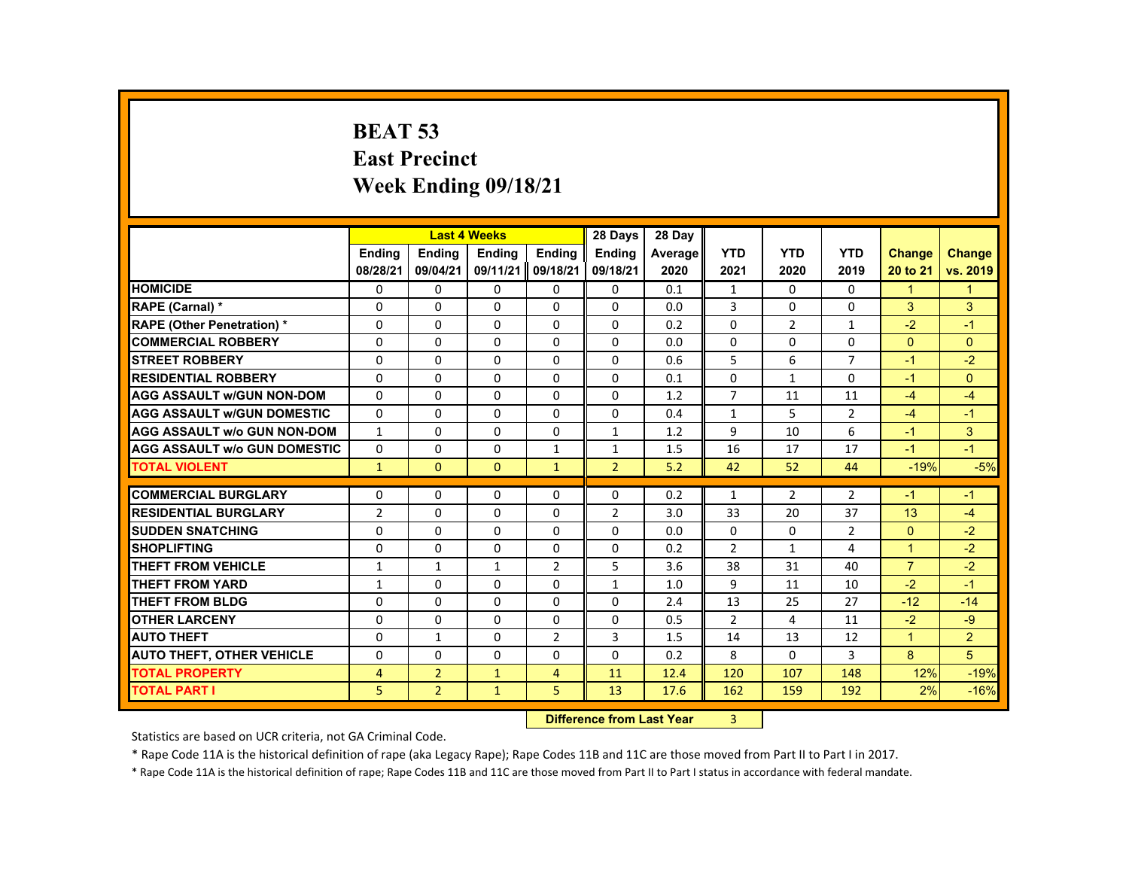# **BEAT 53 East Precinct Week Ending 09/18/21**

|                                     |                |                | <b>Last 4 Weeks</b> |                | 28 Days        | 28 Day  |                |                |                |                      |                |
|-------------------------------------|----------------|----------------|---------------------|----------------|----------------|---------|----------------|----------------|----------------|----------------------|----------------|
|                                     | <b>Endina</b>  | <b>Endina</b>  | <b>Endina</b>       | <b>Endina</b>  | <b>Endina</b>  | Average | <b>YTD</b>     | <b>YTD</b>     | <b>YTD</b>     | <b>Change</b>        | <b>Change</b>  |
|                                     | 08/28/21       | 09/04/21       | 09/11/21            | 09/18/21       | 09/18/21       | 2020    | 2021           | 2020           | 2019           | 20 to 21             | vs. 2019       |
| <b>HOMICIDE</b>                     | $\mathbf{0}$   | 0              | 0                   | 0              | 0              | 0.1     | $\mathbf{1}$   | $\Omega$       | $\Omega$       | 1                    | $\mathbf 1$    |
| RAPE (Carnal) *                     | $\Omega$       | $\Omega$       | $\Omega$            | $\Omega$       | $\Omega$       | 0.0     | 3              | $\Omega$       | $\Omega$       | 3                    | 3              |
| <b>RAPE (Other Penetration) *</b>   | $\Omega$       | $\Omega$       | $\Omega$            | $\Omega$       | $\Omega$       | 0.2     | $\Omega$       | $\overline{2}$ | $\mathbf{1}$   | $-2$                 | $-1$           |
| <b>COMMERCIAL ROBBERY</b>           | $\Omega$       | $\Omega$       | $\Omega$            | $\Omega$       | $\Omega$       | 0.0     | $\Omega$       | $\Omega$       | $\Omega$       | $\Omega$             | $\Omega$       |
| <b>STREET ROBBERY</b>               | $\Omega$       | $\Omega$       | $\Omega$            | $\Omega$       | $\Omega$       | 0.6     | 5              | 6              | $\overline{7}$ | -1                   | $-2$           |
| <b>RESIDENTIAL ROBBERY</b>          | $\Omega$       | $\Omega$       | $\Omega$            | $\Omega$       | $\Omega$       | 0.1     | $\Omega$       | $\mathbf{1}$   | $\Omega$       | $-1$                 | $\Omega$       |
| <b>AGG ASSAULT w/GUN NON-DOM</b>    | $\Omega$       | $\Omega$       | $\Omega$            | $\Omega$       | $\Omega$       | 1.2     | $\overline{7}$ | 11             | 11             | $-4$                 | $-4$           |
| <b>AGG ASSAULT w/GUN DOMESTIC</b>   | $\Omega$       | $\Omega$       | $\Omega$            | $\Omega$       | $\Omega$       | 0.4     | $\mathbf{1}$   | 5              | $\overline{2}$ | $-4$                 | $-1$           |
| <b>AGG ASSAULT w/o GUN NON-DOM</b>  | $\mathbf{1}$   | 0              | 0                   | 0              | $\mathbf{1}$   | 1.2     | 9              | 10             | 6              | $-1$                 | 3              |
| <b>AGG ASSAULT w/o GUN DOMESTIC</b> | $\Omega$       | $\Omega$       | $\Omega$            | $\mathbf{1}$   | $\mathbf{1}$   | 1.5     | 16             | 17             | 17             | $-1$                 | $-1$           |
| <b>TOTAL VIOLENT</b>                | $\mathbf{1}$   | $\mathbf{0}$   | $\mathbf{0}$        | $\mathbf{1}$   | $\overline{2}$ | 5.2     | 42             | 52             | 44             | $-19%$               | $-5%$          |
|                                     |                |                |                     |                |                |         |                |                |                |                      |                |
| <b>COMMERCIAL BURGLARY</b>          | $\Omega$       | $\Omega$       | $\Omega$            | $\Omega$       | $\Omega$       | 0.2     | $\mathbf{1}$   | $\overline{2}$ | $\overline{2}$ | $-1$                 | $-1$           |
| <b>RESIDENTIAL BURGLARY</b>         | $\overline{2}$ | 0              | 0                   | 0              | $\overline{2}$ | 3.0     | 33             | 20             | 37             | 13                   | $-4$           |
| <b>SUDDEN SNATCHING</b>             | $\Omega$       | $\Omega$       | $\Omega$            | $\Omega$       | $\Omega$       | 0.0     | $\Omega$       | $\Omega$       | $\overline{2}$ | $\Omega$             | $-2$           |
| <b>SHOPLIFTING</b>                  | $\Omega$       | $\Omega$       | $\Omega$            | $\Omega$       | $\Omega$       | 0.2     | $\overline{2}$ | $\mathbf{1}$   | 4              | $\overline{1}$       | $-2$           |
| THEFT FROM VEHICLE                  | $\mathbf{1}$   | $\mathbf{1}$   | $\mathbf{1}$        | $\overline{2}$ | 5              | 3.6     | 38             | 31             | 40             | $\overline{7}$       | $-2$           |
| <b>THEFT FROM YARD</b>              | $\mathbf{1}$   | $\Omega$       | $\Omega$            | $\Omega$       | $\mathbf{1}$   | 1.0     | 9              | 11             | 10             | $-2$                 | $-1$           |
| <b>THEFT FROM BLDG</b>              | $\Omega$       | $\Omega$       | $\Omega$            | $\Omega$       | $\Omega$       | 2.4     | 13             | 25             | 27             | $-12$                | $-14$          |
| <b>OTHER LARCENY</b>                | $\Omega$       | $\Omega$       | $\Omega$            | $\Omega$       | $\Omega$       | 0.5     | $\overline{2}$ | 4              | 11             | $-2$                 | $-9$           |
| <b>AUTO THEFT</b>                   | $\Omega$       | $\mathbf{1}$   | $\Omega$            | $\overline{2}$ | 3              | 1.5     | 14             | 13             | 12             | $\blacktriangleleft$ | $\overline{2}$ |
| <b>AUTO THEFT, OTHER VEHICLE</b>    | $\Omega$       | 0              | $\Omega$            | 0              | $\Omega$       | 0.2     | 8              | 0              | 3              | 8                    | 5              |
| <b>TOTAL PROPERTY</b>               | 4              | $\overline{2}$ | $\mathbf{1}$        | 4              | 11             | 12.4    | 120            | 107            | 148            | 12%                  | $-19%$         |
| <b>TOTAL PART I</b>                 | 5              | $\overline{2}$ | $\mathbf{1}$        | 5              | 13             | 17.6    | 162            | 159            | 192            | 2%                   | $-16%$         |

#### **Difference from Last Year**r 3

Statistics are based on UCR criteria, not GA Criminal Code.

\* Rape Code 11A is the historical definition of rape (aka Legacy Rape); Rape Codes 11B and 11C are those moved from Part II to Part I in 2017.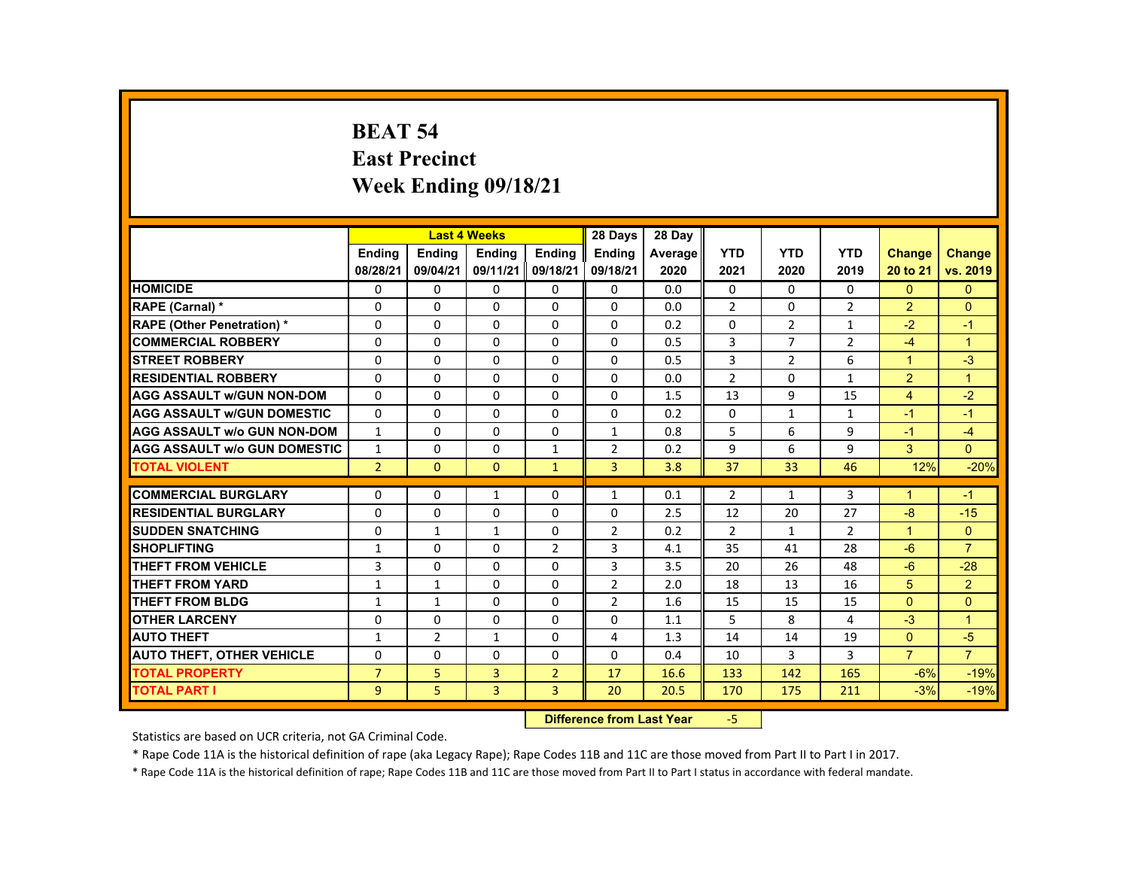# **BEAT 54 East Precinct Week Ending 09/18/21**

|                                     |                |                | <b>Last 4 Weeks</b> |                | 28 Days        | 28 Day  |                |                |                |                      |                      |
|-------------------------------------|----------------|----------------|---------------------|----------------|----------------|---------|----------------|----------------|----------------|----------------------|----------------------|
|                                     | <b>Endina</b>  | <b>Endina</b>  | <b>Endina</b>       | <b>Endina</b>  | <b>Endina</b>  | Average | <b>YTD</b>     | <b>YTD</b>     | <b>YTD</b>     | <b>Change</b>        | <b>Change</b>        |
|                                     | 08/28/21       | 09/04/21       | 09/11/21            | 09/18/21       | 09/18/21       | 2020    | 2021           | 2020           | 2019           | 20 to 21             | vs. 2019             |
| <b>HOMICIDE</b>                     | 0              | $\mathbf{0}$   | 0                   | $\mathbf{0}$   | $\mathbf{0}$   | 0.0     | $\mathbf{0}$   | 0              | $\mathbf{0}$   | $\Omega$             | $\mathbf{0}$         |
| <b>RAPE (Carnal) *</b>              | $\Omega$       | $\Omega$       | $\Omega$            | $\Omega$       | $\Omega$       | 0.0     | 2              | $\Omega$       | $\overline{2}$ | $\overline{2}$       | $\Omega$             |
| <b>RAPE (Other Penetration) *</b>   | $\Omega$       | $\Omega$       | $\Omega$            | $\Omega$       | $\Omega$       | 0.2     | $\Omega$       | $\overline{2}$ | $\mathbf{1}$   | $-2$                 | $-1$                 |
| <b>COMMERCIAL ROBBERY</b>           | 0              | $\mathbf{0}$   | 0                   | $\mathbf{0}$   | $\mathbf{0}$   | 0.5     | 3              | $\overline{7}$ | $\overline{2}$ | $-4$                 | $\blacktriangleleft$ |
| <b>STREET ROBBERY</b>               | $\Omega$       | $\Omega$       | $\Omega$            | $\Omega$       | $\Omega$       | 0.5     | 3              | 2              | 6              | $\blacktriangleleft$ | $-3$                 |
| <b>RESIDENTIAL ROBBERY</b>          | $\Omega$       | $\Omega$       | $\Omega$            | $\Omega$       | $\Omega$       | 0.0     | $\overline{2}$ | $\Omega$       | $\mathbf{1}$   | $\overline{2}$       | $\blacktriangleleft$ |
| <b>AGG ASSAULT W/GUN NON-DOM</b>    | $\Omega$       | $\Omega$       | $\Omega$            | $\Omega$       | $\Omega$       | 1.5     | 13             | 9              | 15             | $\overline{4}$       | $-2$                 |
| <b>AGG ASSAULT w/GUN DOMESTIC</b>   | $\Omega$       | $\Omega$       | $\Omega$            | $\Omega$       | $\Omega$       | 0.2     | $\Omega$       | $\mathbf{1}$   | $\mathbf{1}$   | $-1$                 | $-1$                 |
| <b>AGG ASSAULT w/o GUN NON-DOM</b>  | $\mathbf{1}$   | $\Omega$       | $\Omega$            | $\Omega$       | $\mathbf{1}$   | 0.8     | 5              | 6              | 9              | $-1$                 | $-4$                 |
| <b>AGG ASSAULT W/o GUN DOMESTIC</b> | $\mathbf{1}$   | $\Omega$       | $\Omega$            | $\mathbf{1}$   | 2              | 0.2     | 9              | 6              | 9              | 3                    | $\Omega$             |
| <b>TOTAL VIOLENT</b>                | $\overline{2}$ | $\mathbf{0}$   | $\Omega$            | $\mathbf{1}$   | 3              | 3.8     | 37             | 33             | 46             | 12%                  | $-20%$               |
|                                     |                |                |                     |                |                |         |                |                |                |                      |                      |
| <b>COMMERCIAL BURGLARY</b>          | $\Omega$       | $\Omega$       | $\mathbf{1}$        | $\Omega$       | $\mathbf{1}$   | 0.1     | $\overline{2}$ | $\mathbf{1}$   | $\overline{3}$ | 1                    | $-1$                 |
| <b>RESIDENTIAL BURGLARY</b>         | 0              | $\mathbf{0}$   | 0                   | 0              | $\mathbf{0}$   | 2.5     | 12             | 20             | 27             | $-8$                 | $-15$                |
| <b>SUDDEN SNATCHING</b>             | $\Omega$       | $\mathbf{1}$   | $\mathbf{1}$        | $\Omega$       | $\overline{2}$ | 0.2     | 2              | $\mathbf{1}$   | $\overline{2}$ | $\blacktriangleleft$ | $\Omega$             |
| <b>SHOPLIFTING</b>                  | $\mathbf{1}$   | $\Omega$       | $\Omega$            | $\overline{2}$ | 3              | 4.1     | 35             | 41             | 28             | $-6$                 | $\overline{7}$       |
| <b>THEFT FROM VEHICLE</b>           | 3              | $\Omega$       | $\Omega$            | $\Omega$       | 3              | 3.5     | 20             | 26             | 48             | $-6$                 | $-28$                |
| <b>THEFT FROM YARD</b>              | $\mathbf{1}$   | $\mathbf{1}$   | $\Omega$            | $\Omega$       | 2              | 2.0     | 18             | 13             | 16             | 5                    | $\overline{2}$       |
| <b>THEFT FROM BLDG</b>              | $\mathbf{1}$   | $\mathbf{1}$   | $\Omega$            | $\Omega$       | $\overline{2}$ | 1.6     | 15             | 15             | 15             | $\Omega$             | $\Omega$             |
| <b>OTHER LARCENY</b>                | 0              | $\mathbf{0}$   | $\Omega$            | 0              | $\mathbf{0}$   | 1.1     | 5              | 8              | 4              | $-3$                 | $\blacktriangleleft$ |
| <b>AUTO THEFT</b>                   | $\mathbf{1}$   | $\overline{2}$ | $\mathbf{1}$        | $\Omega$       | 4              | 1.3     | 14             | 14             | 19             | $\Omega$             | $-5$                 |
| <b>AUTO THEFT, OTHER VEHICLE</b>    | $\Omega$       | $\mathbf{0}$   | 0                   | 0              | $\mathbf{0}$   | 0.4     | 10             | 3              | 3              | $\overline{7}$       | $\overline{7}$       |
| <b>TOTAL PROPERTY</b>               | $\overline{7}$ | 5              | 3                   | $\overline{2}$ | 17             | 16.6    | 133            | 142            | 165            | $-6%$                | $-19%$               |
| <b>TOTAL PART I</b>                 | $\overline{9}$ | 5              | $\overline{3}$      | $\overline{3}$ | 20             | 20.5    | 170            | 175            | 211            | $-3%$                | $-19%$               |

#### **Difference from Last Year**‐5

Statistics are based on UCR criteria, not GA Criminal Code.

\* Rape Code 11A is the historical definition of rape (aka Legacy Rape); Rape Codes 11B and 11C are those moved from Part II to Part I in 2017.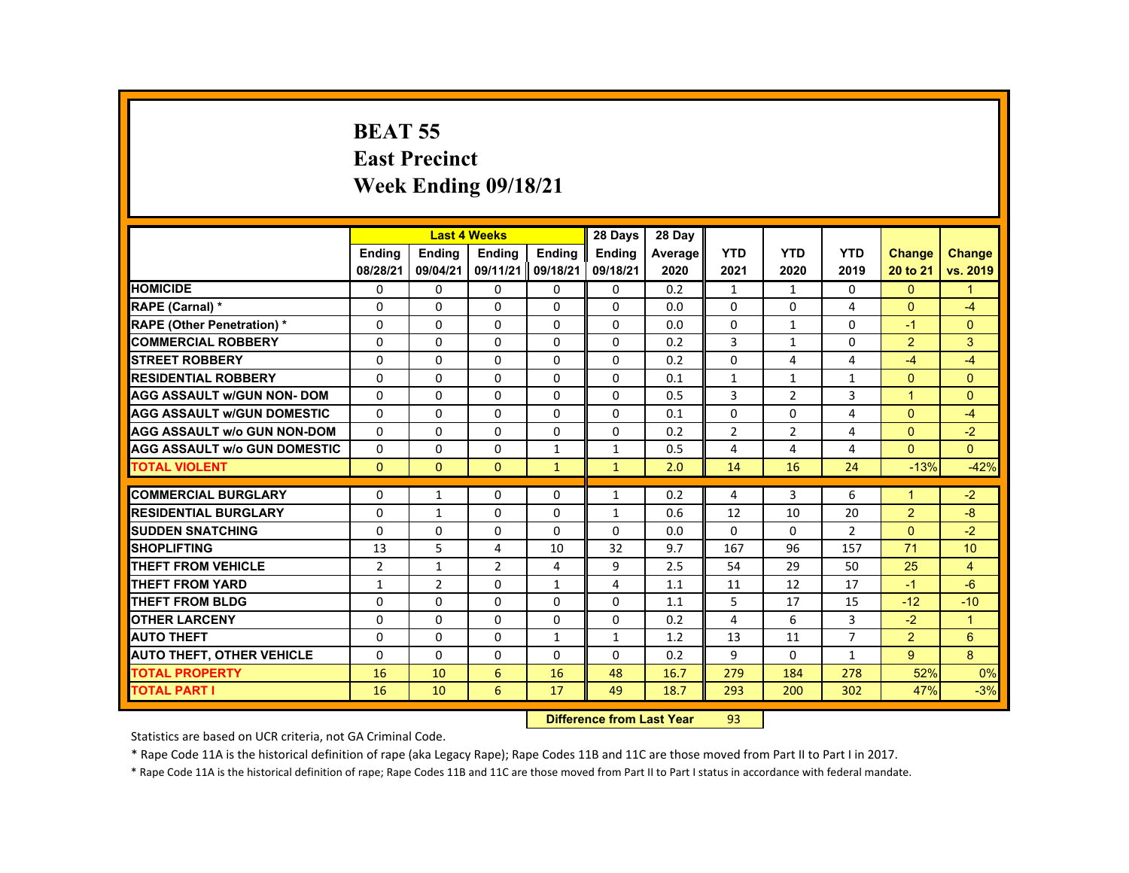# **BEAT 55 East Precinct Week Ending 09/18/21**

|                                     |               |                | <b>Last 4 Weeks</b> |               | 28 Days       | 28 Day  |                |                |                |                |               |
|-------------------------------------|---------------|----------------|---------------------|---------------|---------------|---------|----------------|----------------|----------------|----------------|---------------|
|                                     | <b>Endina</b> | <b>Endina</b>  | <b>Endina</b>       | <b>Endina</b> | <b>Endina</b> | Average | <b>YTD</b>     | <b>YTD</b>     | <b>YTD</b>     | <b>Change</b>  | <b>Change</b> |
|                                     | 08/28/21      | 09/04/21       | 09/11/21            | 09/18/21      | 09/18/21      | 2020    | 2021           | 2020           | 2019           | 20 to 21       | vs. 2019      |
| <b>HOMICIDE</b>                     | 0             | $\Omega$       | $\Omega$            | 0             | 0             | 0.2     | $\mathbf{1}$   | $\mathbf{1}$   | 0              | $\mathbf{0}$   | 1             |
| RAPE (Carnal) *                     | $\Omega$      | $\Omega$       | $\Omega$            | $\Omega$      | $\Omega$      | 0.0     | $\Omega$       | $\Omega$       | $\overline{4}$ | $\Omega$       | $-4$          |
| <b>RAPE (Other Penetration)*</b>    | $\Omega$      | $\Omega$       | $\Omega$            | $\Omega$      | $\Omega$      | 0.0     | $\Omega$       | $\mathbf{1}$   | $\Omega$       | $-1$           | $\Omega$      |
| <b>COMMERCIAL ROBBERY</b>           | 0             | 0              | $\mathbf{0}$        | 0             | 0             | 0.2     | 3              | $\mathbf{1}$   | 0              | $\overline{2}$ | 3             |
| <b>STREET ROBBERY</b>               | $\Omega$      | $\Omega$       | $\Omega$            | $\Omega$      | $\Omega$      | 0.2     | $\Omega$       | 4              | 4              | $-4$           | $-4$          |
| <b>RESIDENTIAL ROBBERY</b>          | $\Omega$      | $\Omega$       | $\Omega$            | $\Omega$      | $\Omega$      | 0.1     | $\mathbf{1}$   | $\mathbf{1}$   | $\mathbf{1}$   | $\Omega$       | $\Omega$      |
| <b>AGG ASSAULT w/GUN NON-DOM</b>    | $\Omega$      | $\Omega$       | $\Omega$            | $\Omega$      | $\Omega$      | 0.5     | 3              | $\overline{2}$ | 3              | $\mathbf{1}$   | $\Omega$      |
| <b>AGG ASSAULT w/GUN DOMESTIC</b>   | $\Omega$      | $\Omega$       | $\Omega$            | $\Omega$      | $\Omega$      | 0.1     | $\Omega$       | $\Omega$       | 4              | $\Omega$       | $-4$          |
| <b>AGG ASSAULT w/o GUN NON-DOM</b>  | $\Omega$      | $\Omega$       | $\Omega$            | $\Omega$      | $\Omega$      | 0.2     | $\overline{2}$ | $\overline{2}$ | 4              | $\Omega$       | $-2$          |
| <b>AGG ASSAULT w/o GUN DOMESTIC</b> | $\Omega$      | $\Omega$       | $\Omega$            | $\mathbf{1}$  | $\mathbf{1}$  | 0.5     | 4              | 4              | $\overline{4}$ | $\Omega$       | $\Omega$      |
| <b>TOTAL VIOLENT</b>                | $\mathbf{0}$  | $\mathbf{0}$   | $\mathbf{0}$        | $\mathbf{1}$  | $\mathbf{1}$  | 2.0     | 14             | 16             | 24             | $-13%$         | $-42%$        |
|                                     |               |                |                     |               |               |         |                |                |                |                |               |
| <b>COMMERCIAL BURGLARY</b>          | $\Omega$      | $\mathbf{1}$   | $\Omega$            | $\Omega$      | 1             | 0.2     | 4              | 3              | 6              | $\mathbf{1}$   | $-2$          |
| <b>RESIDENTIAL BURGLARY</b>         | $\Omega$      | 1              | $\Omega$            | 0             | $\mathbf{1}$  | 0.6     | 12             | 10             | 20             | $\overline{2}$ | -8            |
| <b>SUDDEN SNATCHING</b>             | $\Omega$      | $\Omega$       | $\Omega$            | $\Omega$      | $\Omega$      | 0.0     | $\Omega$       | $\Omega$       | $\overline{2}$ | $\Omega$       | $-2$          |
| <b>SHOPLIFTING</b>                  | 13            | 5.             | 4                   | 10            | 32            | 9.7     | 167            | 96             | 157            | 71             | 10            |
| <b>THEFT FROM VEHICLE</b>           | 2             | $\mathbf{1}$   | $\overline{2}$      | 4             | 9             | 2.5     | 54             | 29             | 50             | 25             | 4             |
| <b>THEFT FROM YARD</b>              | $\mathbf{1}$  | $\overline{2}$ | $\Omega$            | $\mathbf{1}$  | 4             | 1.1     | 11             | 12             | 17             | $-1$           | $-6$          |
| <b>THEFT FROM BLDG</b>              | $\Omega$      | $\Omega$       | $\Omega$            | $\Omega$      | $\Omega$      | 1.1     | 5              | 17             | 15             | $-12$          | $-10$         |
| <b>OTHER LARCENY</b>                | $\Omega$      | $\Omega$       | $\mathbf{0}$        | 0             | $\Omega$      | 0.2     | 4              | 6              | 3              | $-2$           | $\mathbf{1}$  |
| <b>AUTO THEFT</b>                   | $\Omega$      | $\Omega$       | $\Omega$            | $\mathbf{1}$  | $\mathbf{1}$  | 1.2     | 13             | 11             | $\overline{7}$ | $\overline{2}$ | 6             |
| <b>AUTO THEFT, OTHER VEHICLE</b>    | $\Omega$      | $\Omega$       | $\Omega$            | $\Omega$      | $\Omega$      | 0.2     | 9              | $\Omega$       | $\mathbf{1}$   | 9              | 8             |
| <b>TOTAL PROPERTY</b>               | 16            | 10             | 6                   | 16            | 48            | 16.7    | 279            | 184            | 278            | 52%            | 0%            |
| <b>TOTAL PART I</b>                 | 16            | 10             | 6                   | 17            | 49            | 18.7    | 293            | 200            | 302            | 47%            | $-3%$         |

#### **Difference from Last Year**r 93

Statistics are based on UCR criteria, not GA Criminal Code.

\* Rape Code 11A is the historical definition of rape (aka Legacy Rape); Rape Codes 11B and 11C are those moved from Part II to Part I in 2017.